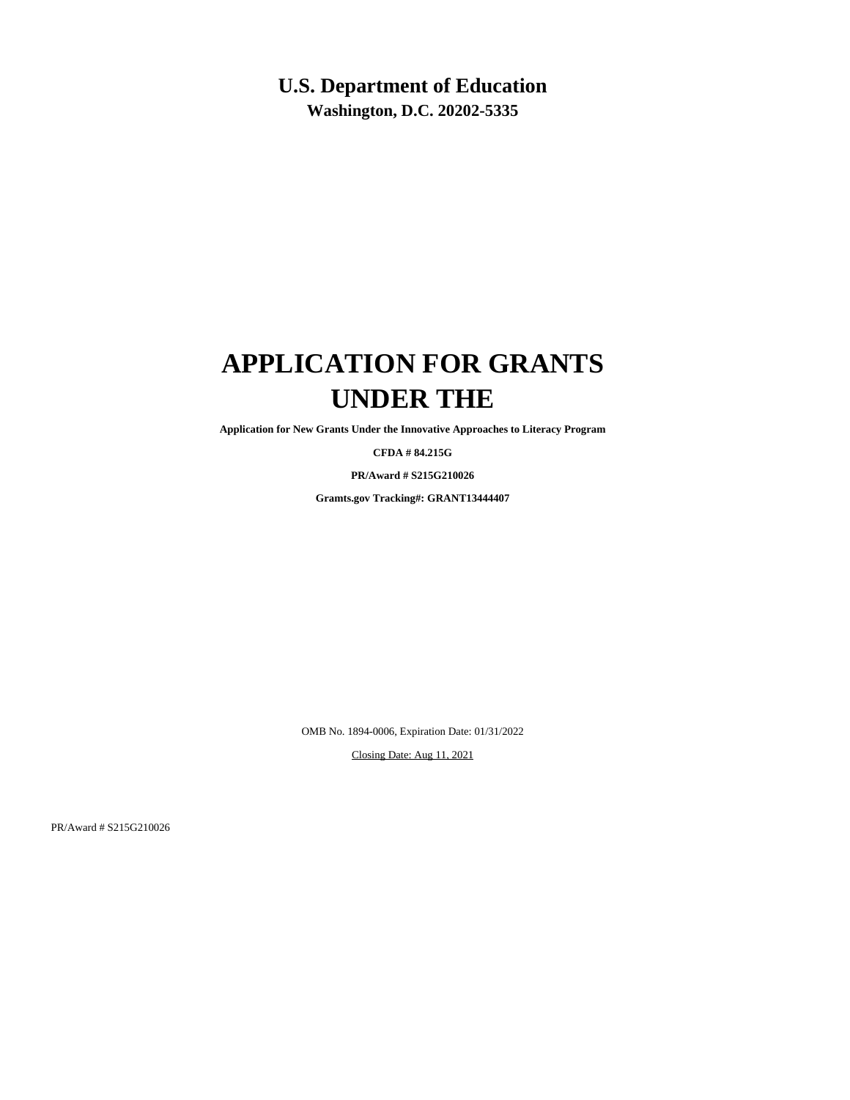# **U.S. Department of Education**

**Washington, D.C. 20202-5335**

# **APPLICATION FOR GRANTS UNDER THE**

**Application for New Grants Under the Innovative Approaches to Literacy Program**

**CFDA # 84.215G**

**PR/Award # S215G210026**

**Gramts.gov Tracking#: GRANT13444407**

OMB No. 1894-0006, Expiration Date: 01/31/2022

Closing Date: Aug 11, 2021

PR/Award # S215G210026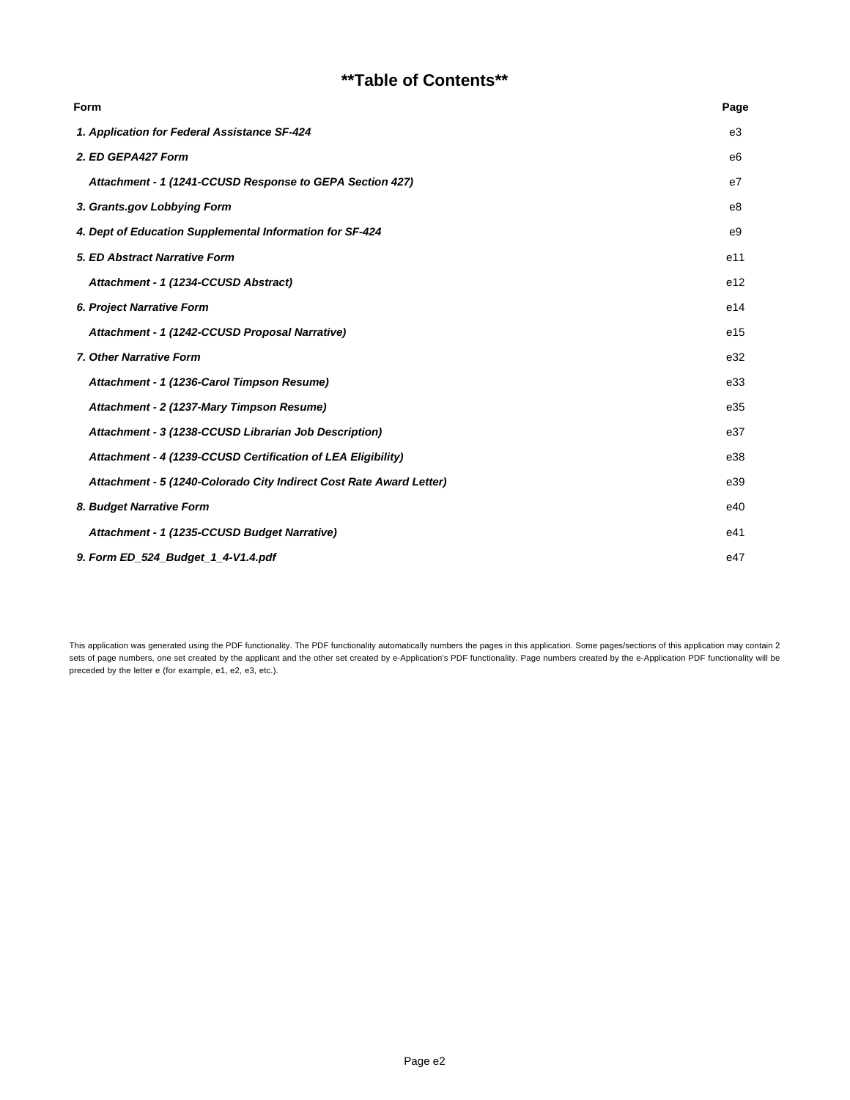# **\*\*Table of Contents\*\***

| Form                                                                | Page |
|---------------------------------------------------------------------|------|
| 1. Application for Federal Assistance SF-424                        | e3   |
| 2. ED GEPA427 Form                                                  | e6   |
| Attachment - 1 (1241-CCUSD Response to GEPA Section 427)            | e7   |
| 3. Grants.gov Lobbying Form                                         | e8   |
| 4. Dept of Education Supplemental Information for SF-424            | e9   |
| 5. ED Abstract Narrative Form                                       | e11  |
| Attachment - 1 (1234-CCUSD Abstract)                                | e12  |
| 6. Project Narrative Form                                           | e14  |
| Attachment - 1 (1242-CCUSD Proposal Narrative)                      | e15  |
| 7. Other Narrative Form                                             | e32  |
| Attachment - 1 (1236-Carol Timpson Resume)                          | e33  |
| Attachment - 2 (1237-Mary Timpson Resume)                           | e35  |
| Attachment - 3 (1238-CCUSD Librarian Job Description)               | e37  |
| Attachment - 4 (1239-CCUSD Certification of LEA Eligibility)        | e38  |
| Attachment - 5 (1240-Colorado City Indirect Cost Rate Award Letter) | e39  |
| 8. Budget Narrative Form                                            | e40  |
| Attachment - 1 (1235-CCUSD Budget Narrative)                        | e41  |
| 9. Form ED_524_Budget_1_4-V1.4.pdf                                  | e47  |

This application was generated using the PDF functionality. The PDF functionality automatically numbers the pages in this application. Some pages/sections of this application may contain 2 sets of page numbers, one set created by the applicant and the other set created by e-Application's PDF functionality. Page numbers created by the e-Application PDF functionality will be preceded by the letter e (for example, e1, e2, e3, etc.).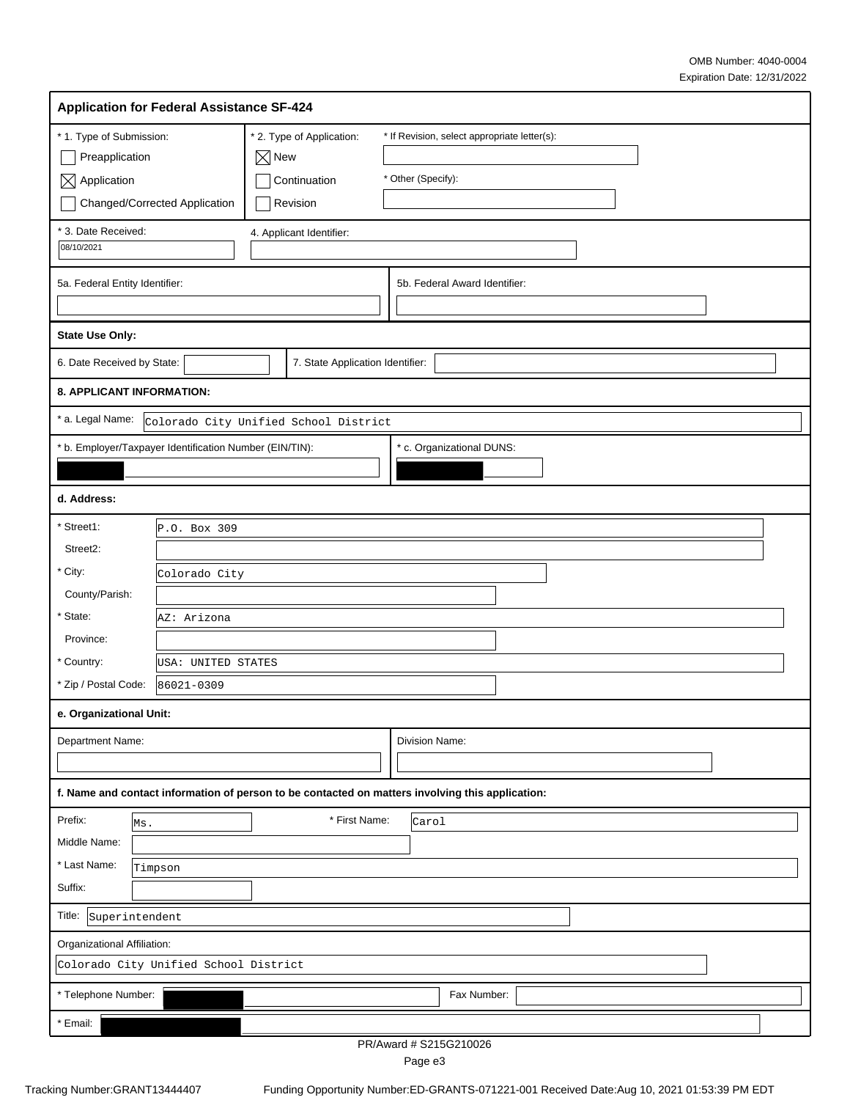| <b>Application for Federal Assistance SF-424</b>                                                       |                                                                          |  |                                                                    |  |  |  |
|--------------------------------------------------------------------------------------------------------|--------------------------------------------------------------------------|--|--------------------------------------------------------------------|--|--|--|
| * 1. Type of Submission:<br>Preapplication<br>$\boxtimes$ Application<br>Changed/Corrected Application | * 2. Type of Application:<br>$\boxtimes$ New<br>Continuation<br>Revision |  | * If Revision, select appropriate letter(s):<br>* Other (Specify): |  |  |  |
| * 3. Date Received:<br>08/10/2021                                                                      | 4. Applicant Identifier:                                                 |  |                                                                    |  |  |  |
| 5a. Federal Entity Identifier:                                                                         |                                                                          |  | 5b. Federal Award Identifier:                                      |  |  |  |
| <b>State Use Only:</b>                                                                                 |                                                                          |  |                                                                    |  |  |  |
| 6. Date Received by State:                                                                             | 7. State Application Identifier:                                         |  |                                                                    |  |  |  |
| 8. APPLICANT INFORMATION:                                                                              |                                                                          |  |                                                                    |  |  |  |
| * a. Legal Name:                                                                                       | Colorado City Unified School District                                    |  |                                                                    |  |  |  |
| * b. Employer/Taxpayer Identification Number (EIN/TIN):                                                |                                                                          |  | * c. Organizational DUNS:                                          |  |  |  |
|                                                                                                        |                                                                          |  |                                                                    |  |  |  |
| d. Address:                                                                                            |                                                                          |  |                                                                    |  |  |  |
| * Street1:<br>P.O. Box 309<br>Street2:<br>* City:<br>Colorado City                                     |                                                                          |  |                                                                    |  |  |  |
| County/Parish:                                                                                         |                                                                          |  |                                                                    |  |  |  |
| * State:<br>AZ: Arizona<br>Province:                                                                   |                                                                          |  |                                                                    |  |  |  |
| * Country:<br>USA: UNITED STATES                                                                       |                                                                          |  |                                                                    |  |  |  |
| * Zip / Postal Code:<br>86021-0309                                                                     |                                                                          |  |                                                                    |  |  |  |
| e. Organizational Unit:                                                                                |                                                                          |  |                                                                    |  |  |  |
| Department Name:                                                                                       |                                                                          |  | Division Name:                                                     |  |  |  |
|                                                                                                        |                                                                          |  |                                                                    |  |  |  |
| f. Name and contact information of person to be contacted on matters involving this application:       |                                                                          |  |                                                                    |  |  |  |
| Prefix:<br>Ms.                                                                                         | * First Name:                                                            |  | Carol                                                              |  |  |  |
| Middle Name:<br>* Last Name:                                                                           |                                                                          |  |                                                                    |  |  |  |
| Timpson<br>Suffix:                                                                                     |                                                                          |  |                                                                    |  |  |  |
| Title:<br>Superintendent                                                                               |                                                                          |  |                                                                    |  |  |  |
| Organizational Affiliation:                                                                            |                                                                          |  |                                                                    |  |  |  |
| Colorado City Unified School District                                                                  |                                                                          |  |                                                                    |  |  |  |
| * Telephone Number:                                                                                    |                                                                          |  | Fax Number:                                                        |  |  |  |
| * Email:                                                                                               |                                                                          |  |                                                                    |  |  |  |

PR/Award # S215G210026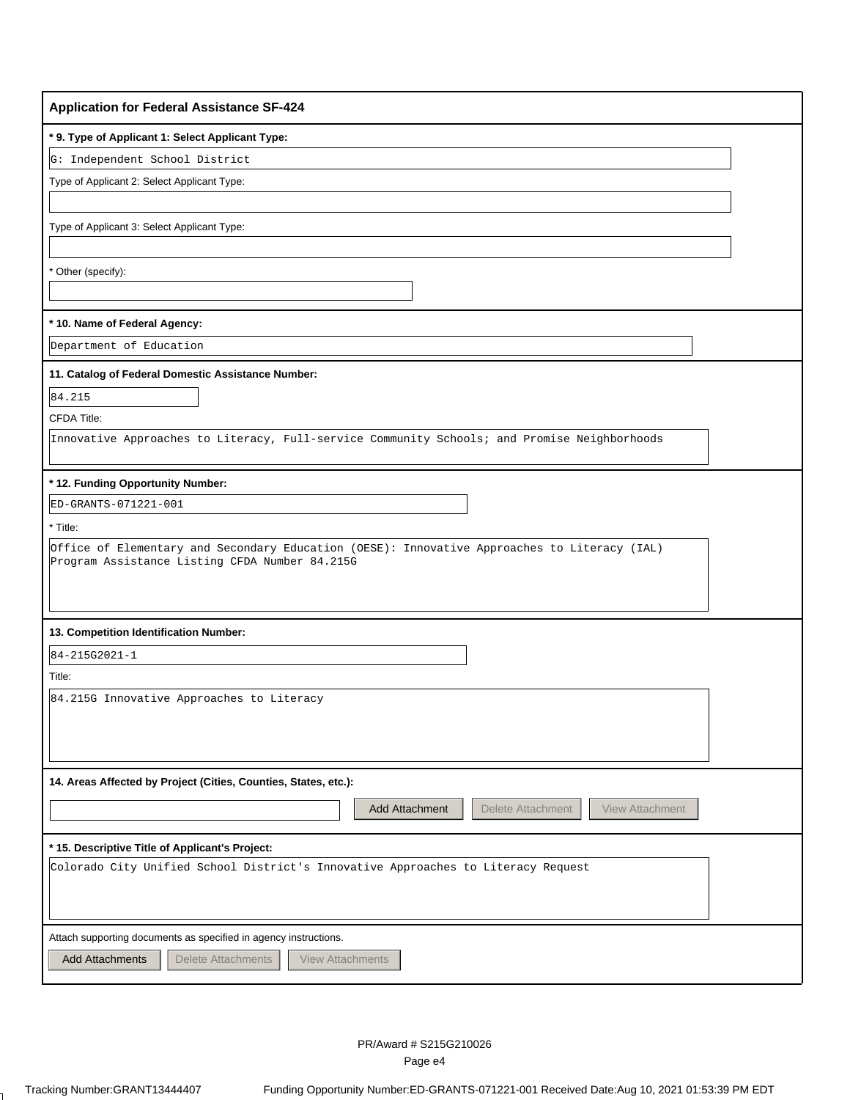| <b>Application for Federal Assistance SF-424</b>                                                                                               |
|------------------------------------------------------------------------------------------------------------------------------------------------|
| * 9. Type of Applicant 1: Select Applicant Type:                                                                                               |
| G: Independent School District                                                                                                                 |
| Type of Applicant 2: Select Applicant Type:                                                                                                    |
|                                                                                                                                                |
| Type of Applicant 3: Select Applicant Type:                                                                                                    |
|                                                                                                                                                |
| * Other (specify):                                                                                                                             |
|                                                                                                                                                |
| * 10. Name of Federal Agency:                                                                                                                  |
| Department of Education                                                                                                                        |
| 11. Catalog of Federal Domestic Assistance Number:                                                                                             |
| 84.215                                                                                                                                         |
| CFDA Title:                                                                                                                                    |
| Innovative Approaches to Literacy, Full-service Community Schools; and Promise Neighborhoods                                                   |
|                                                                                                                                                |
| * 12. Funding Opportunity Number:                                                                                                              |
| ED-GRANTS-071221-001                                                                                                                           |
| * Title:                                                                                                                                       |
| Office of Elementary and Secondary Education (OESE): Innovative Approaches to Literacy (IAL)<br>Program Assistance Listing CFDA Number 84.215G |
| 13. Competition Identification Number:                                                                                                         |
| 84-215G2021-1                                                                                                                                  |
| Title:                                                                                                                                         |
| 84.215G Innovative Approaches to Literacy                                                                                                      |
|                                                                                                                                                |
|                                                                                                                                                |
| 14. Areas Affected by Project (Cities, Counties, States, etc.):                                                                                |
| Add Attachment<br>Delete Attachment<br>View Attachment                                                                                         |
|                                                                                                                                                |
| * 15. Descriptive Title of Applicant's Project:                                                                                                |
| Colorado City Unified School District's Innovative Approaches to Literacy Request                                                              |
|                                                                                                                                                |
|                                                                                                                                                |
| Attach supporting documents as specified in agency instructions.                                                                               |
| <b>Add Attachments</b><br>Delete Attachments<br><b>View Attachments</b>                                                                        |

 $\mathbf{L}$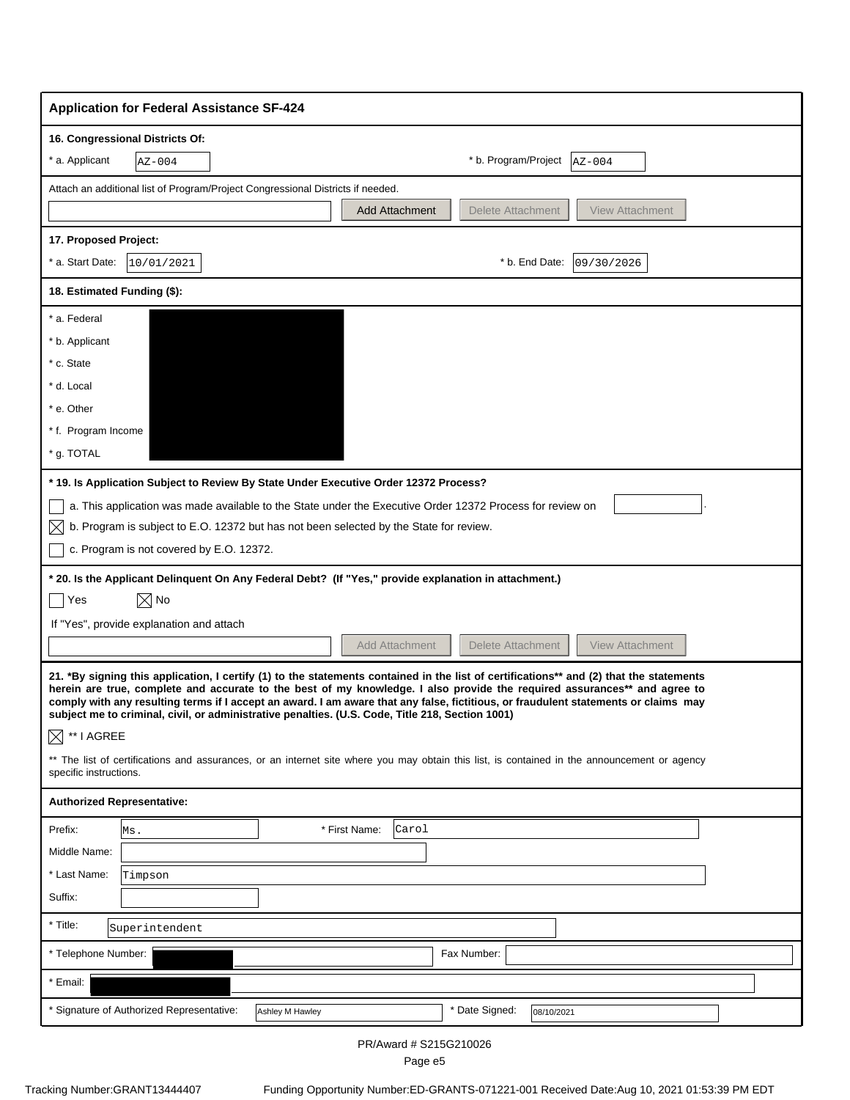| <b>Application for Federal Assistance SF-424</b>                                                                                                                                                                                                                                                                                                                                                                                                                                                                                                                                                                                                                                                                     |  |  |  |  |  |  |
|----------------------------------------------------------------------------------------------------------------------------------------------------------------------------------------------------------------------------------------------------------------------------------------------------------------------------------------------------------------------------------------------------------------------------------------------------------------------------------------------------------------------------------------------------------------------------------------------------------------------------------------------------------------------------------------------------------------------|--|--|--|--|--|--|
| 16. Congressional Districts Of:                                                                                                                                                                                                                                                                                                                                                                                                                                                                                                                                                                                                                                                                                      |  |  |  |  |  |  |
| * b. Program/Project<br>* a. Applicant<br>$AZ-004$<br>$AZ - 004$                                                                                                                                                                                                                                                                                                                                                                                                                                                                                                                                                                                                                                                     |  |  |  |  |  |  |
| Attach an additional list of Program/Project Congressional Districts if needed.                                                                                                                                                                                                                                                                                                                                                                                                                                                                                                                                                                                                                                      |  |  |  |  |  |  |
| Delete Attachment<br><b>View Attachment</b><br><b>Add Attachment</b>                                                                                                                                                                                                                                                                                                                                                                                                                                                                                                                                                                                                                                                 |  |  |  |  |  |  |
| 17. Proposed Project:                                                                                                                                                                                                                                                                                                                                                                                                                                                                                                                                                                                                                                                                                                |  |  |  |  |  |  |
| * a. Start Date:<br>* b. End Date:<br>09/30/2026<br>10/01/2021                                                                                                                                                                                                                                                                                                                                                                                                                                                                                                                                                                                                                                                       |  |  |  |  |  |  |
| 18. Estimated Funding (\$):                                                                                                                                                                                                                                                                                                                                                                                                                                                                                                                                                                                                                                                                                          |  |  |  |  |  |  |
| * a. Federal                                                                                                                                                                                                                                                                                                                                                                                                                                                                                                                                                                                                                                                                                                         |  |  |  |  |  |  |
| * b. Applicant                                                                                                                                                                                                                                                                                                                                                                                                                                                                                                                                                                                                                                                                                                       |  |  |  |  |  |  |
| * c. State                                                                                                                                                                                                                                                                                                                                                                                                                                                                                                                                                                                                                                                                                                           |  |  |  |  |  |  |
| * d. Local                                                                                                                                                                                                                                                                                                                                                                                                                                                                                                                                                                                                                                                                                                           |  |  |  |  |  |  |
| * e. Other                                                                                                                                                                                                                                                                                                                                                                                                                                                                                                                                                                                                                                                                                                           |  |  |  |  |  |  |
| * f. Program Income                                                                                                                                                                                                                                                                                                                                                                                                                                                                                                                                                                                                                                                                                                  |  |  |  |  |  |  |
| * g. TOTAL                                                                                                                                                                                                                                                                                                                                                                                                                                                                                                                                                                                                                                                                                                           |  |  |  |  |  |  |
| * 19. Is Application Subject to Review By State Under Executive Order 12372 Process?                                                                                                                                                                                                                                                                                                                                                                                                                                                                                                                                                                                                                                 |  |  |  |  |  |  |
| a. This application was made available to the State under the Executive Order 12372 Process for review on                                                                                                                                                                                                                                                                                                                                                                                                                                                                                                                                                                                                            |  |  |  |  |  |  |
| b. Program is subject to E.O. 12372 but has not been selected by the State for review.<br>$\bowtie$                                                                                                                                                                                                                                                                                                                                                                                                                                                                                                                                                                                                                  |  |  |  |  |  |  |
| c. Program is not covered by E.O. 12372.                                                                                                                                                                                                                                                                                                                                                                                                                                                                                                                                                                                                                                                                             |  |  |  |  |  |  |
| * 20. Is the Applicant Delinquent On Any Federal Debt? (If "Yes," provide explanation in attachment.)                                                                                                                                                                                                                                                                                                                                                                                                                                                                                                                                                                                                                |  |  |  |  |  |  |
| $\boxtimes$ No<br>Yes                                                                                                                                                                                                                                                                                                                                                                                                                                                                                                                                                                                                                                                                                                |  |  |  |  |  |  |
| If "Yes", provide explanation and attach                                                                                                                                                                                                                                                                                                                                                                                                                                                                                                                                                                                                                                                                             |  |  |  |  |  |  |
| Delete Attachment<br><b>View Attachment</b><br><b>Add Attachment</b>                                                                                                                                                                                                                                                                                                                                                                                                                                                                                                                                                                                                                                                 |  |  |  |  |  |  |
| 21. *By signing this application, I certify (1) to the statements contained in the list of certifications** and (2) that the statements<br>herein are true, complete and accurate to the best of my knowledge. I also provide the required assurances** and agree to<br>comply with any resulting terms if I accept an award. I am aware that any false, fictitious, or fraudulent statements or claims may<br>subject me to criminal, civil, or administrative penalties. (U.S. Code, Title 218, Section 1001)<br>** I AGREE<br>$\bowtie$<br>** The list of certifications and assurances, or an internet site where you may obtain this list, is contained in the announcement or agency<br>specific instructions. |  |  |  |  |  |  |
| <b>Authorized Representative:</b>                                                                                                                                                                                                                                                                                                                                                                                                                                                                                                                                                                                                                                                                                    |  |  |  |  |  |  |
| * First Name:<br>Prefix:<br>Carol<br>Ms.                                                                                                                                                                                                                                                                                                                                                                                                                                                                                                                                                                                                                                                                             |  |  |  |  |  |  |
| Middle Name:                                                                                                                                                                                                                                                                                                                                                                                                                                                                                                                                                                                                                                                                                                         |  |  |  |  |  |  |
| * Last Name:<br>Timpson                                                                                                                                                                                                                                                                                                                                                                                                                                                                                                                                                                                                                                                                                              |  |  |  |  |  |  |
| Suffix:                                                                                                                                                                                                                                                                                                                                                                                                                                                                                                                                                                                                                                                                                                              |  |  |  |  |  |  |
| * Title:<br>Superintendent                                                                                                                                                                                                                                                                                                                                                                                                                                                                                                                                                                                                                                                                                           |  |  |  |  |  |  |
| * Telephone Number:<br>Fax Number:                                                                                                                                                                                                                                                                                                                                                                                                                                                                                                                                                                                                                                                                                   |  |  |  |  |  |  |
| * Email:                                                                                                                                                                                                                                                                                                                                                                                                                                                                                                                                                                                                                                                                                                             |  |  |  |  |  |  |
| * Date Signed:<br>* Signature of Authorized Representative:<br>Ashley M Hawley<br>08/10/2021                                                                                                                                                                                                                                                                                                                                                                                                                                                                                                                                                                                                                         |  |  |  |  |  |  |

PR/Award # S215G210026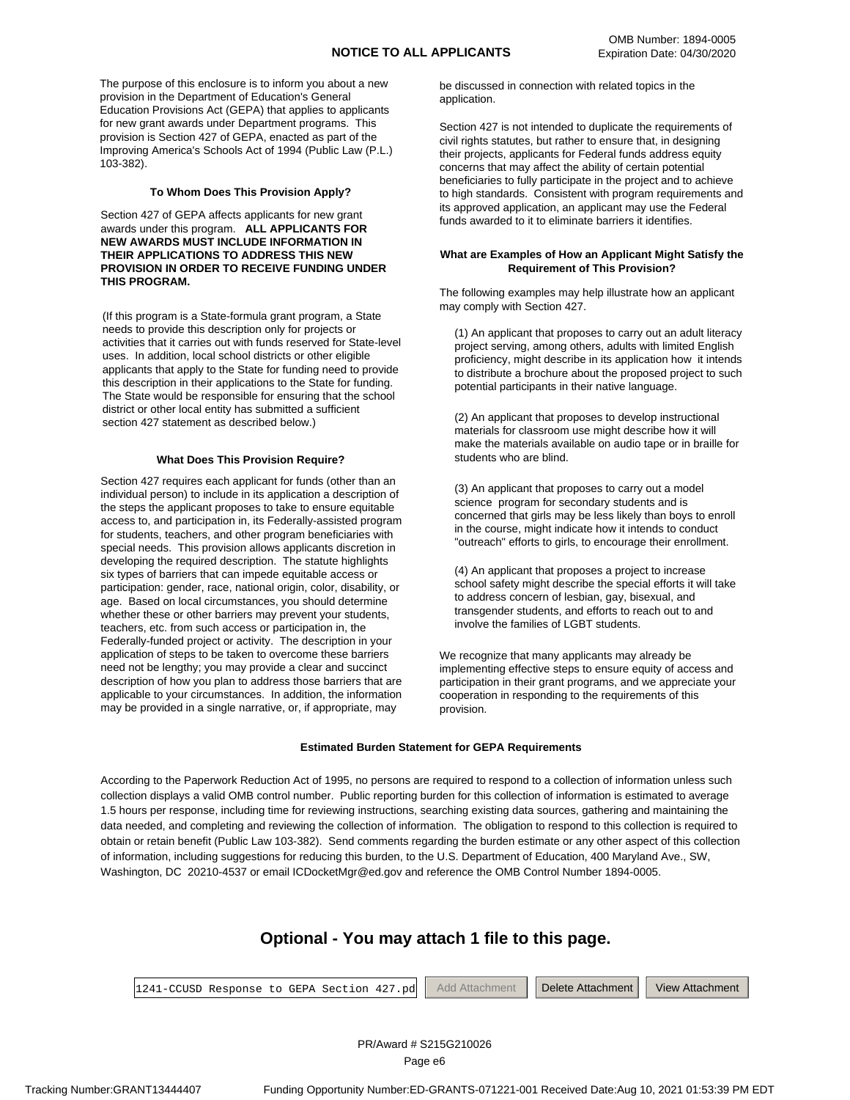The purpose of this enclosure is to inform you about a new provision in the Department of Education's General Education Provisions Act (GEPA) that applies to applicants for new grant awards under Department programs. This provision is Section 427 of GEPA, enacted as part of the Improving America's Schools Act of 1994 (Public Law (P.L.) 103-382).

#### **To Whom Does This Provision Apply?**

Section 427 of GEPA affects applicants for new grant awards under this program. **ALL APPLICANTS FOR NEW AWARDS MUST INCLUDE INFORMATION IN THEIR APPLICATIONS TO ADDRESS THIS NEW PROVISION IN ORDER TO RECEIVE FUNDING UNDER THIS PROGRAM.** 

(If this program is a State-formula grant program, a State needs to provide this description only for projects or activities that it carries out with funds reserved for State-level uses. In addition, local school districts or other eligible applicants that apply to the State for funding need to provide this description in their applications to the State for funding. The State would be responsible for ensuring that the school district or other local entity has submitted a sufficient section 427 statement as described below.)

#### **What Does This Provision Require?**

Section 427 requires each applicant for funds (other than an individual person) to include in its application a description of the steps the applicant proposes to take to ensure equitable access to, and participation in, its Federally-assisted program for students, teachers, and other program beneficiaries with special needs. This provision allows applicants discretion in developing the required description. The statute highlights six types of barriers that can impede equitable access or participation: gender, race, national origin, color, disability, or age. Based on local circumstances, you should determine whether these or other barriers may prevent your students, teachers, etc. from such access or participation in, the Federally-funded project or activity. The description in your application of steps to be taken to overcome these barriers need not be lengthy; you may provide a clear and succinct description of how you plan to address those barriers that are applicable to your circumstances. In addition, the information may be provided in a single narrative, or, if appropriate, may

be discussed in connection with related topics in the application.

Section 427 is not intended to duplicate the requirements of civil rights statutes, but rather to ensure that, in designing their projects, applicants for Federal funds address equity concerns that may affect the ability of certain potential beneficiaries to fully participate in the project and to achieve to high standards. Consistent with program requirements and its approved application, an applicant may use the Federal funds awarded to it to eliminate barriers it identifies.

#### **What are Examples of How an Applicant Might Satisfy the Requirement of This Provision?**

The following examples may help illustrate how an applicant may comply with Section 427.

(1) An applicant that proposes to carry out an adult literacy project serving, among others, adults with limited English proficiency, might describe in its application how it intends to distribute a brochure about the proposed project to such potential participants in their native language.

(2) An applicant that proposes to develop instructional materials for classroom use might describe how it will make the materials available on audio tape or in braille for students who are blind.

(3) An applicant that proposes to carry out a model science program for secondary students and is concerned that girls may be less likely than boys to enroll in the course, might indicate how it intends to conduct "outreach" efforts to girls, to encourage their enrollment.

(4) An applicant that proposes a project to increase school safety might describe the special efforts it will take to address concern of lesbian, gay, bisexual, and transgender students, and efforts to reach out to and involve the families of LGBT students.

We recognize that many applicants may already be implementing effective steps to ensure equity of access and participation in their grant programs, and we appreciate your cooperation in responding to the requirements of this provision.

#### **Estimated Burden Statement for GEPA Requirements**

According to the Paperwork Reduction Act of 1995, no persons are required to respond to a collection of information unless such collection displays a valid OMB control number. Public reporting burden for this collection of information is estimated to average 1.5 hours per response, including time for reviewing instructions, searching existing data sources, gathering and maintaining the data needed, and completing and reviewing the collection of information. The obligation to respond to this collection is required to obtain or retain benefit (Public Law 103-382). Send comments regarding the burden estimate or any other aspect of this collection of information, including suggestions for reducing this burden, to the U.S. Department of Education, 400 Maryland Ave., SW, Washington, DC 20210-4537 or email ICDocketMgr@ed.gov and reference the OMB Control Number 1894-0005.

# **Optional - You may attach 1 file to this page.**

1241-CCUSD Response to GEPA Section 427.pd Add Attachment | Delete Attachment | View Attachment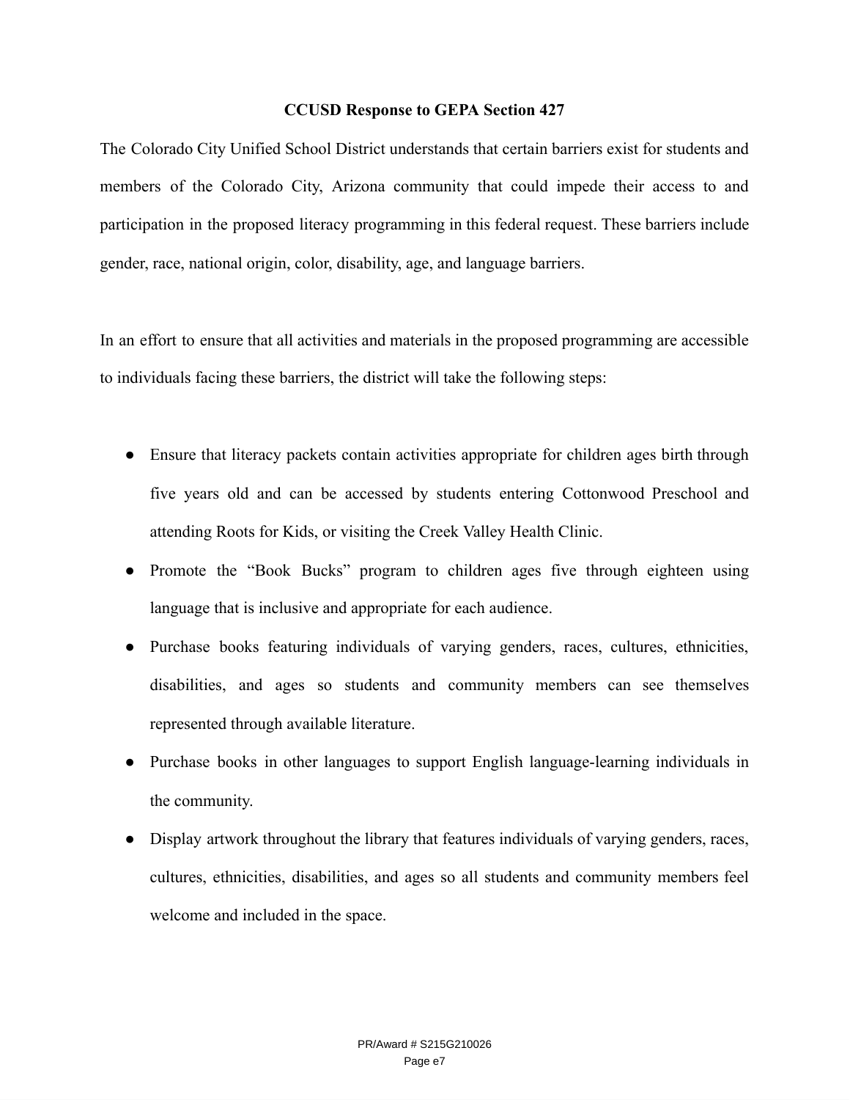#### **CCUSD Response to GEPA Section 427**

The Colorado City Unified School District understands that certain barriers exist for students and members of the Colorado City, Arizona community that could impede their access to and participation in the proposed literacy programming in this federal request. These barriers include gender, race, national origin, color, disability, age, and language barriers.

In an effort to ensure that all activities and materials in the proposed programming are accessible to individuals facing these barriers, the district will take the following steps:

- Ensure that literacy packets contain activities appropriate for children ages birth through five years old and can be accessed by students entering Cottonwood Preschool and attending Roots for Kids, or visiting the Creek Valley Health Clinic.
- Promote the "Book Bucks" program to children ages five through eighteen using language that is inclusive and appropriate for each audience.
- Purchase books featuring individuals of varying genders, races, cultures, ethnicities, disabilities, and ages so students and community members can see themselves represented through available literature.
- Purchase books in other languages to support English language-learning individuals in the community.
- Display artwork throughout the library that features individuals of varying genders, races, cultures, ethnicities, disabilities, and ages so all students and community members feel welcome and included in the space.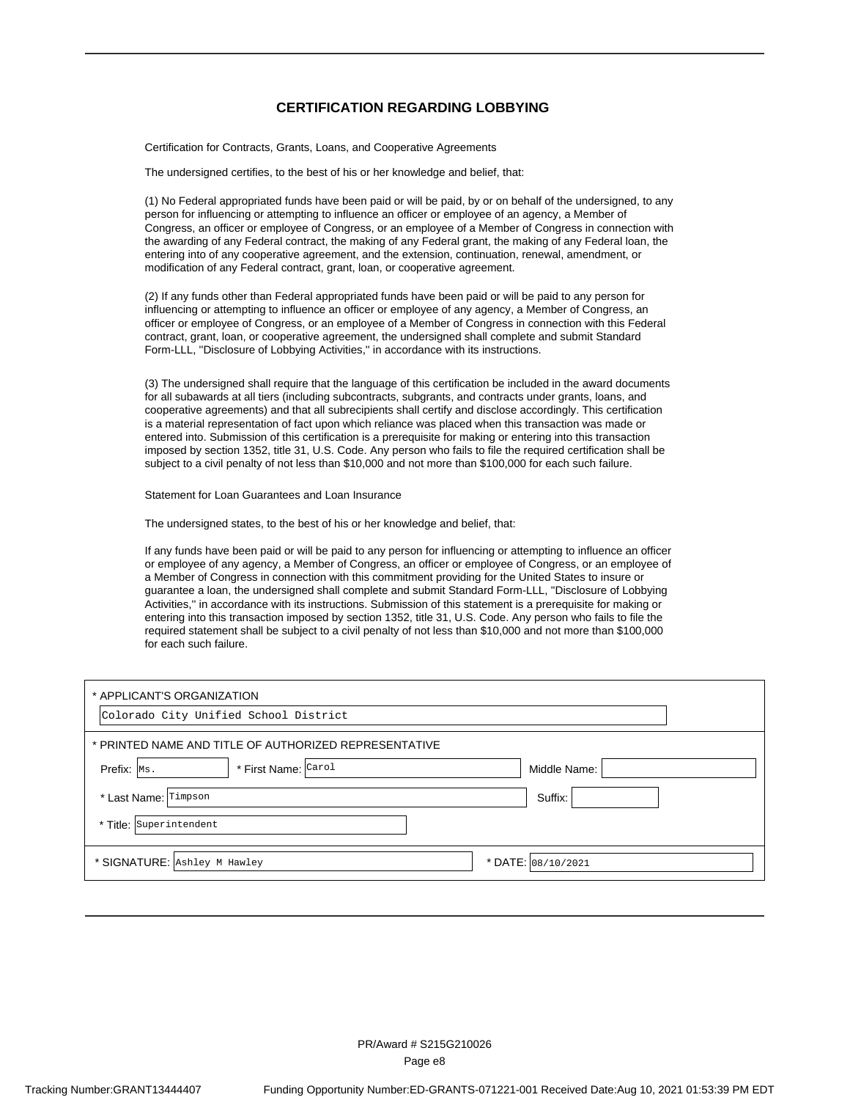#### **CERTIFICATION REGARDING LOBBYING**

Certification for Contracts, Grants, Loans, and Cooperative Agreements

The undersigned certifies, to the best of his or her knowledge and belief, that:

(1) No Federal appropriated funds have been paid or will be paid, by or on behalf of the undersigned, to any person for influencing or attempting to influence an officer or employee of an agency, a Member of Congress, an officer or employee of Congress, or an employee of a Member of Congress in connection with the awarding of any Federal contract, the making of any Federal grant, the making of any Federal loan, the entering into of any cooperative agreement, and the extension, continuation, renewal, amendment, or modification of any Federal contract, grant, loan, or cooperative agreement.

(2) If any funds other than Federal appropriated funds have been paid or will be paid to any person for influencing or attempting to influence an officer or employee of any agency, a Member of Congress, an officer or employee of Congress, or an employee of a Member of Congress in connection with this Federal contract, grant, loan, or cooperative agreement, the undersigned shall complete and submit Standard Form-LLL, ''Disclosure of Lobbying Activities,'' in accordance with its instructions.

(3) The undersigned shall require that the language of this certification be included in the award documents for all subawards at all tiers (including subcontracts, subgrants, and contracts under grants, loans, and cooperative agreements) and that all subrecipients shall certify and disclose accordingly. This certification is a material representation of fact upon which reliance was placed when this transaction was made or entered into. Submission of this certification is a prerequisite for making or entering into this transaction imposed by section 1352, title 31, U.S. Code. Any person who fails to file the required certification shall be subject to a civil penalty of not less than \$10,000 and not more than \$100,000 for each such failure.

Statement for Loan Guarantees and Loan Insurance

The undersigned states, to the best of his or her knowledge and belief, that:

If any funds have been paid or will be paid to any person for influencing or attempting to influence an officer or employee of any agency, a Member of Congress, an officer or employee of Congress, or an employee of a Member of Congress in connection with this commitment providing for the United States to insure or guarantee a loan, the undersigned shall complete and submit Standard Form-LLL, ''Disclosure of Lobbying Activities,'' in accordance with its instructions. Submission of this statement is a prerequisite for making or entering into this transaction imposed by section 1352, title 31, U.S. Code. Any person who fails to file the required statement shall be subject to a civil penalty of not less than \$10,000 and not more than \$100,000 for each such failure.

| * APPLICANT'S ORGANIZATION                            |                    |
|-------------------------------------------------------|--------------------|
| Colorado City Unified School District                 |                    |
| * PRINTED NAME AND TITLE OF AUTHORIZED REPRESENTATIVE |                    |
| * First Name: Carol<br>$Prefix:$ $Ms.$                | Middle Name:       |
| * Last Name: Timpson                                  | Suffix:            |
| * Title: Superintendent                               |                    |
| * SIGNATURE: Ashley M Hawley                          | * DATE: 08/10/2021 |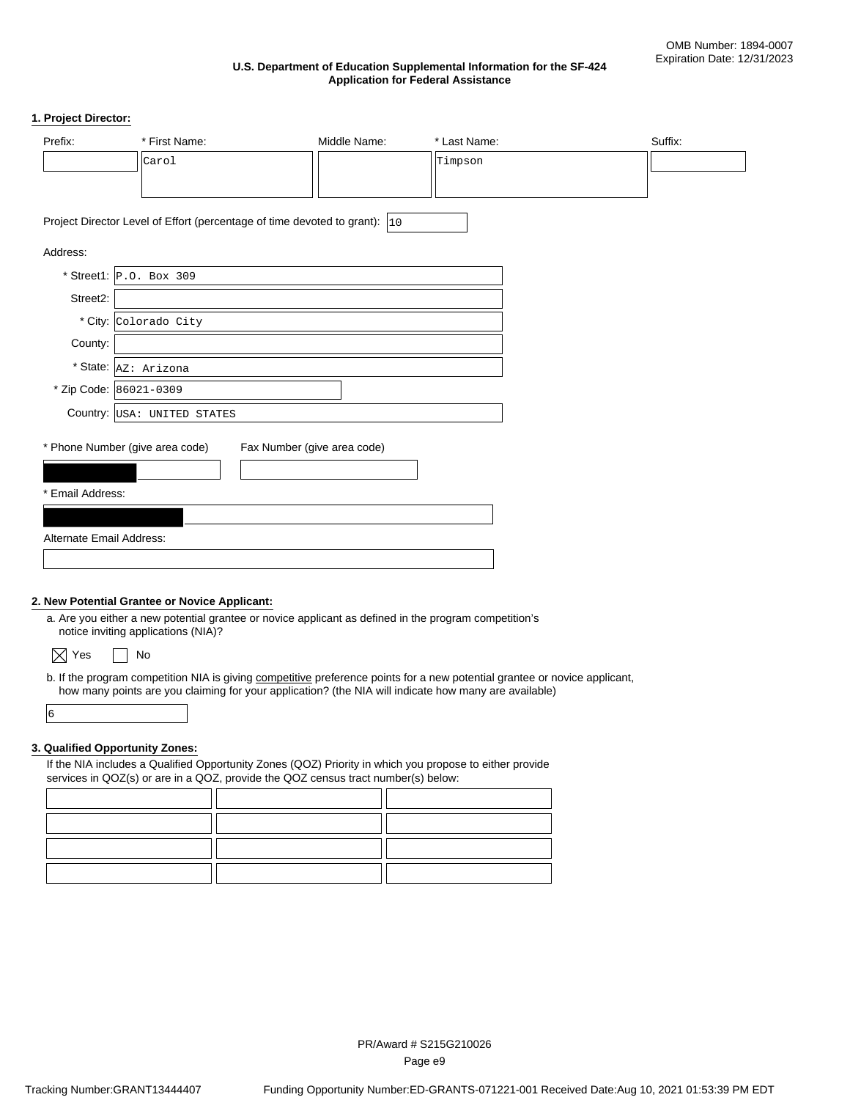#### **U.S. Department of Education Supplemental Information for the SF-424 Application for Federal Assistance**

#### **1. Project Director:**

| Carol<br>Timpson<br>Project Director Level of Effort (percentage of time devoted to grant): 10<br>* Street1: $P.0.$ Box 309<br>Street2:<br>* City: Colorado City<br>County:<br>* State: Az: Arizona<br>* Zip Code: 86021-0309<br>Country: USA: UNITED STATES<br>* Phone Number (give area code)<br>Fax Number (give area code)<br>* Email Address:<br><b>Alternate Email Address:</b><br>2. New Potential Grantee or Novice Applicant:<br>a. Are you either a new potential grantee or novice applicant as defined in the program competition's<br>notice inviting applications (NIA)?<br>Yes<br>No<br>b. If the program competition NIA is giving competitive preference points for a new potential grantee or novice applicant,<br>how many points are you claiming for your application? (the NIA will indicate how many are available)<br>6<br>3. Qualified Opportunity Zones: | Prefix:  | * First Name: | Middle Name: | * Last Name: | Suffix: |
|------------------------------------------------------------------------------------------------------------------------------------------------------------------------------------------------------------------------------------------------------------------------------------------------------------------------------------------------------------------------------------------------------------------------------------------------------------------------------------------------------------------------------------------------------------------------------------------------------------------------------------------------------------------------------------------------------------------------------------------------------------------------------------------------------------------------------------------------------------------------------------|----------|---------------|--------------|--------------|---------|
|                                                                                                                                                                                                                                                                                                                                                                                                                                                                                                                                                                                                                                                                                                                                                                                                                                                                                    |          |               |              |              |         |
|                                                                                                                                                                                                                                                                                                                                                                                                                                                                                                                                                                                                                                                                                                                                                                                                                                                                                    |          |               |              |              |         |
|                                                                                                                                                                                                                                                                                                                                                                                                                                                                                                                                                                                                                                                                                                                                                                                                                                                                                    |          |               |              |              |         |
|                                                                                                                                                                                                                                                                                                                                                                                                                                                                                                                                                                                                                                                                                                                                                                                                                                                                                    |          |               |              |              |         |
|                                                                                                                                                                                                                                                                                                                                                                                                                                                                                                                                                                                                                                                                                                                                                                                                                                                                                    | Address: |               |              |              |         |
|                                                                                                                                                                                                                                                                                                                                                                                                                                                                                                                                                                                                                                                                                                                                                                                                                                                                                    |          |               |              |              |         |
|                                                                                                                                                                                                                                                                                                                                                                                                                                                                                                                                                                                                                                                                                                                                                                                                                                                                                    |          |               |              |              |         |
|                                                                                                                                                                                                                                                                                                                                                                                                                                                                                                                                                                                                                                                                                                                                                                                                                                                                                    |          |               |              |              |         |
|                                                                                                                                                                                                                                                                                                                                                                                                                                                                                                                                                                                                                                                                                                                                                                                                                                                                                    |          |               |              |              |         |
|                                                                                                                                                                                                                                                                                                                                                                                                                                                                                                                                                                                                                                                                                                                                                                                                                                                                                    |          |               |              |              |         |
|                                                                                                                                                                                                                                                                                                                                                                                                                                                                                                                                                                                                                                                                                                                                                                                                                                                                                    |          |               |              |              |         |
|                                                                                                                                                                                                                                                                                                                                                                                                                                                                                                                                                                                                                                                                                                                                                                                                                                                                                    |          |               |              |              |         |
|                                                                                                                                                                                                                                                                                                                                                                                                                                                                                                                                                                                                                                                                                                                                                                                                                                                                                    |          |               |              |              |         |
|                                                                                                                                                                                                                                                                                                                                                                                                                                                                                                                                                                                                                                                                                                                                                                                                                                                                                    |          |               |              |              |         |
|                                                                                                                                                                                                                                                                                                                                                                                                                                                                                                                                                                                                                                                                                                                                                                                                                                                                                    |          |               |              |              |         |
|                                                                                                                                                                                                                                                                                                                                                                                                                                                                                                                                                                                                                                                                                                                                                                                                                                                                                    |          |               |              |              |         |
|                                                                                                                                                                                                                                                                                                                                                                                                                                                                                                                                                                                                                                                                                                                                                                                                                                                                                    |          |               |              |              |         |
|                                                                                                                                                                                                                                                                                                                                                                                                                                                                                                                                                                                                                                                                                                                                                                                                                                                                                    |          |               |              |              |         |
|                                                                                                                                                                                                                                                                                                                                                                                                                                                                                                                                                                                                                                                                                                                                                                                                                                                                                    |          |               |              |              |         |
|                                                                                                                                                                                                                                                                                                                                                                                                                                                                                                                                                                                                                                                                                                                                                                                                                                                                                    |          |               |              |              |         |
|                                                                                                                                                                                                                                                                                                                                                                                                                                                                                                                                                                                                                                                                                                                                                                                                                                                                                    |          |               |              |              |         |

If the NIA includes a Qualified Opportunity Zones (QOZ) Priority in which you propose to either provide services in QOZ(s) or are in a QOZ, provide the QOZ census tract number(s) below: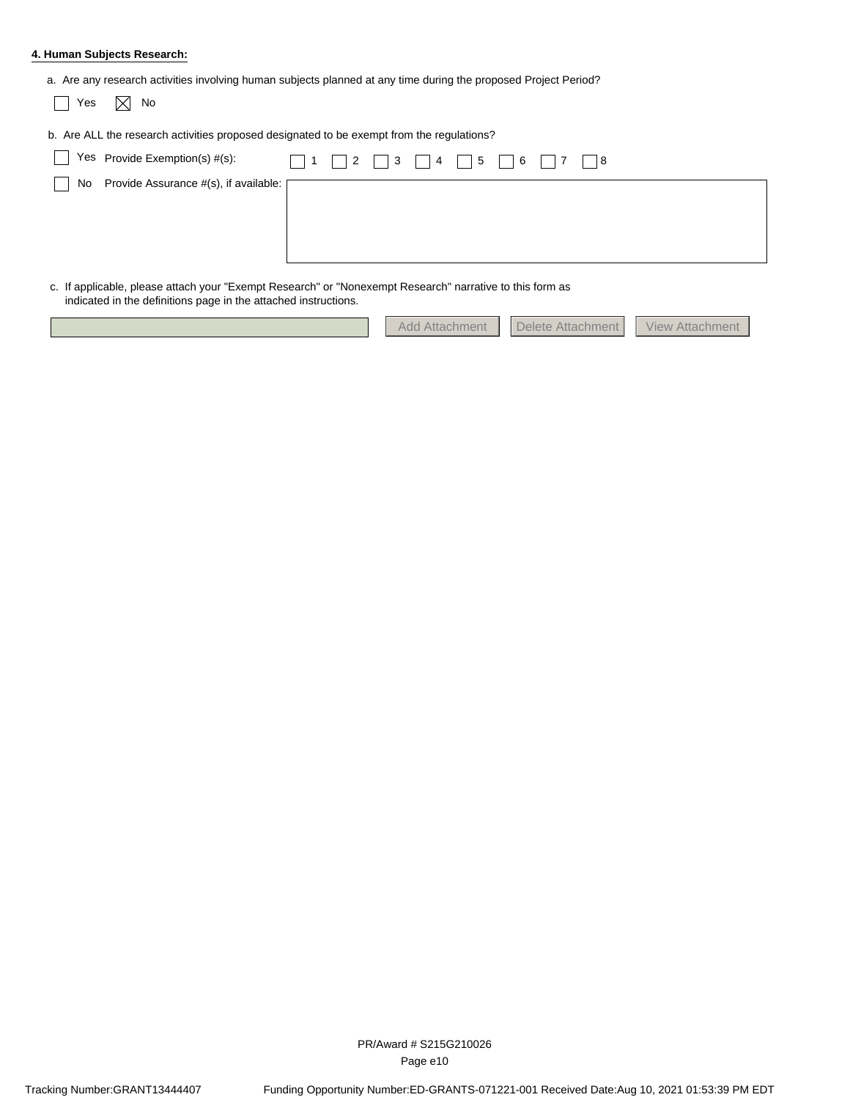#### **4. Human Subjects Research:**

| Yes | No<br>X                                                                                   |   |             |  |
|-----|-------------------------------------------------------------------------------------------|---|-------------|--|
|     | b. Are ALL the research activities proposed designated to be exempt from the regulations? |   |             |  |
|     | Yes Provide Exemption(s) #(s):                                                            |   | $\vert$   8 |  |
|     | No Provide Assurance #(s), if available: [                                                |   |             |  |
|     |                                                                                           | . |             |  |

c. If applicable, please attach your "Exempt Research" or "Nonexempt Research" narrative to this form as indicated in the definitions page in the attached instructions.

|  |  | Add Attachment   Delete Attachment   View Attachment |  |
|--|--|------------------------------------------------------|--|
|  |  |                                                      |  |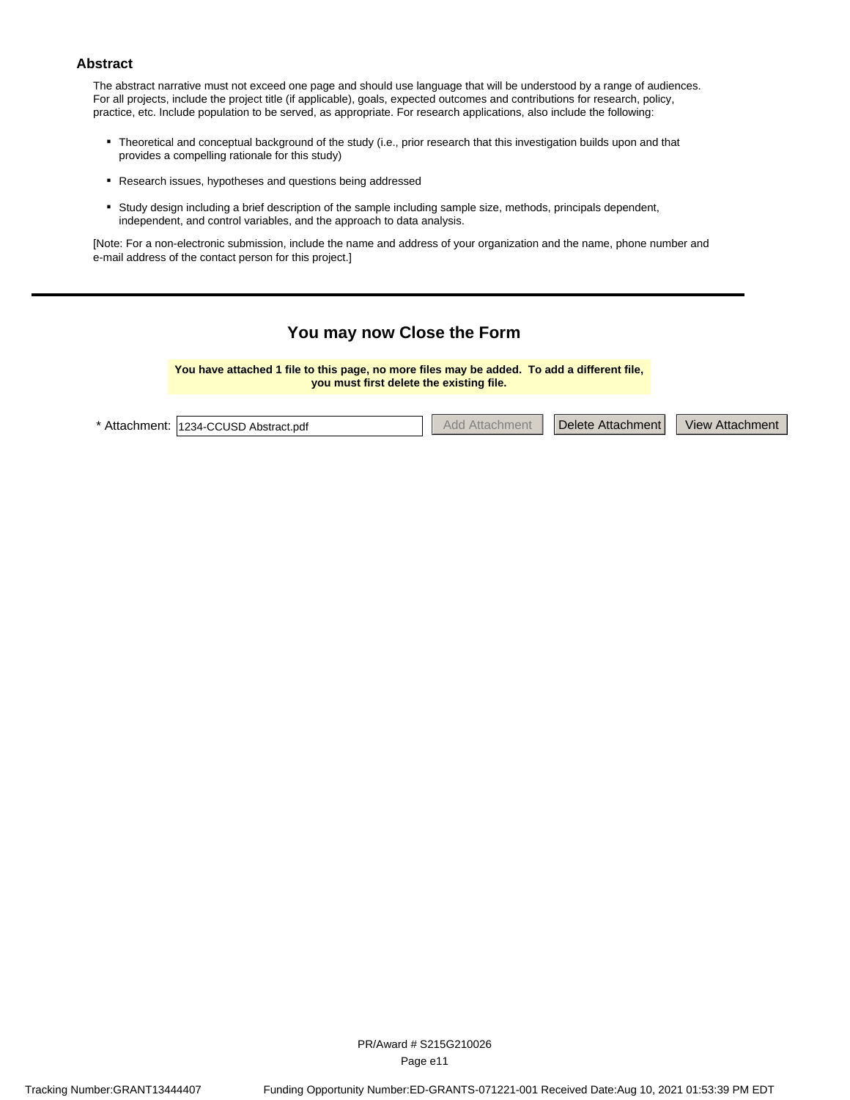#### **Abstract**

The abstract narrative must not exceed one page and should use language that will be understood by a range of audiences. For all projects, include the project title (if applicable), goals, expected outcomes and contributions for research, policy, practice, etc. Include population to be served, as appropriate. For research applications, also include the following:

- Theoretical and conceptual background of the study (i.e., prior research that this investigation builds upon and that provides a competition retired for this ctudy). provides a compelling rationale for this study)
- **·** Research issues, hypotheses and questions being addressed
- Study design including a brief description of the sample including sample size, methods, principals dependent, independent, independent, independent, and control variables, and the approach to data analysis.

[Note: For a non-electronic submission, include the name and address of your organization and the name, phone number and e-mail address of the contact person for this project.]

# **You may now Close the Form**

**You have attached 1 file to this page, no more files may be added. To add a different file, you must first delete the existing file.**

| * Attachment: 1234-CCUSD Abstract.pdf | Attachment | Delete Attachment | <b>View Attachment</b> |
|---------------------------------------|------------|-------------------|------------------------|
|---------------------------------------|------------|-------------------|------------------------|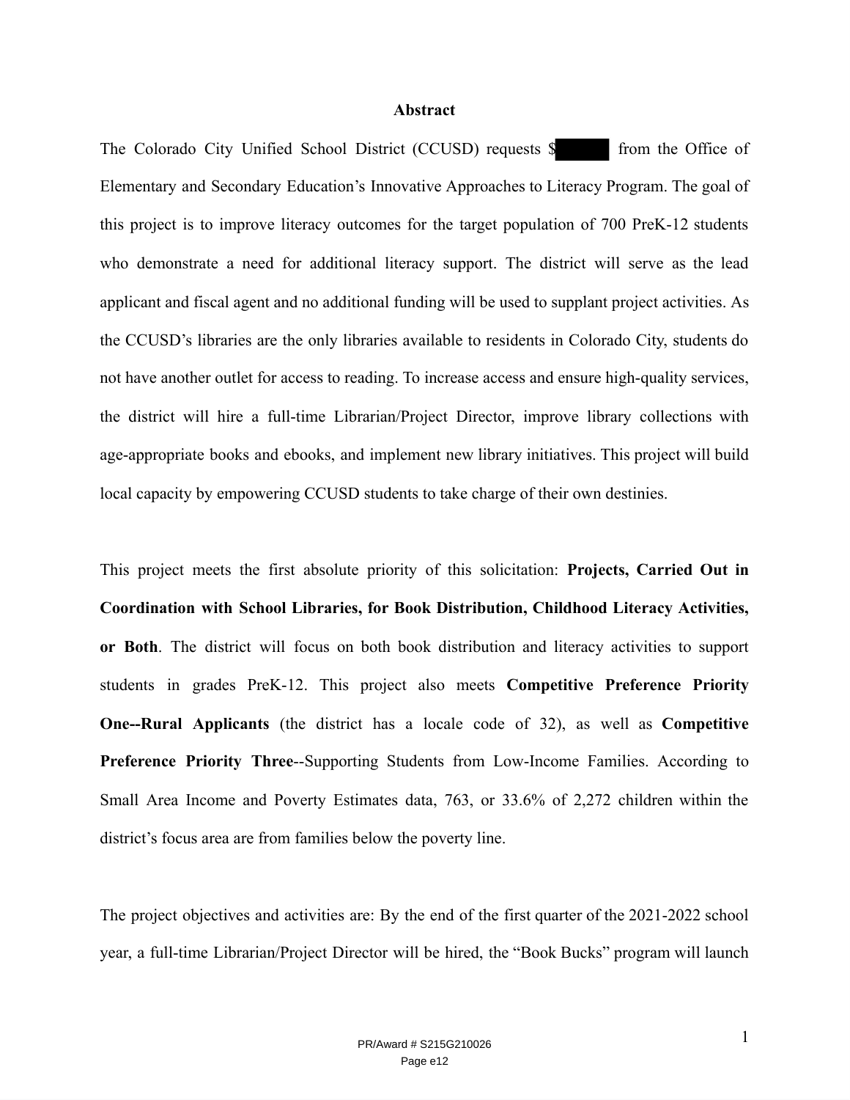#### **Abstract**

The Colorado City Unified School District (CCUSD) requests \$ from the Office of Elementary and Secondary Education's Innovative Approaches to Literacy Program. The goal of this project is to improve literacy outcomes for the target population of 700 PreK-12 students who demonstrate a need for additional literacy support. The district will serve as the lead applicant and fiscal agent and no additional funding will be used to supplant project activities. As the CCUSD's libraries are the only libraries available to residents in Colorado City, students do not have another outlet for access to reading. To increase access and ensure high-quality services, the district will hire a full-time Librarian/Project Director, improve library collections with age-appropriate books and ebooks, and implement new library initiatives. This project will build local capacity by empowering CCUSD students to take charge of their own destinies.

This project meets the first absolute priority of this solicitation: **Projects, Carried Out in Coordination with School Libraries, for Book Distribution, Childhood Literacy Activities, or Both**. The district will focus on both book distribution and literacy activities to support students in grades PreK-12. This project also meets **Competitive Preference Priority One--Rural Applicants** (the district has a locale code of 32), as well as **Competitive Preference Priority Three**--Supporting Students from Low-Income Families. According to Small Area Income and Poverty Estimates data, 763, or 33.6% of 2,272 children within the district's focus area are from families below the poverty line.

The project objectives and activities are: By the end of the first quarter of the 2021-2022 school year, a full-time Librarian/Project Director will be hired, the "Book Bucks" program will launch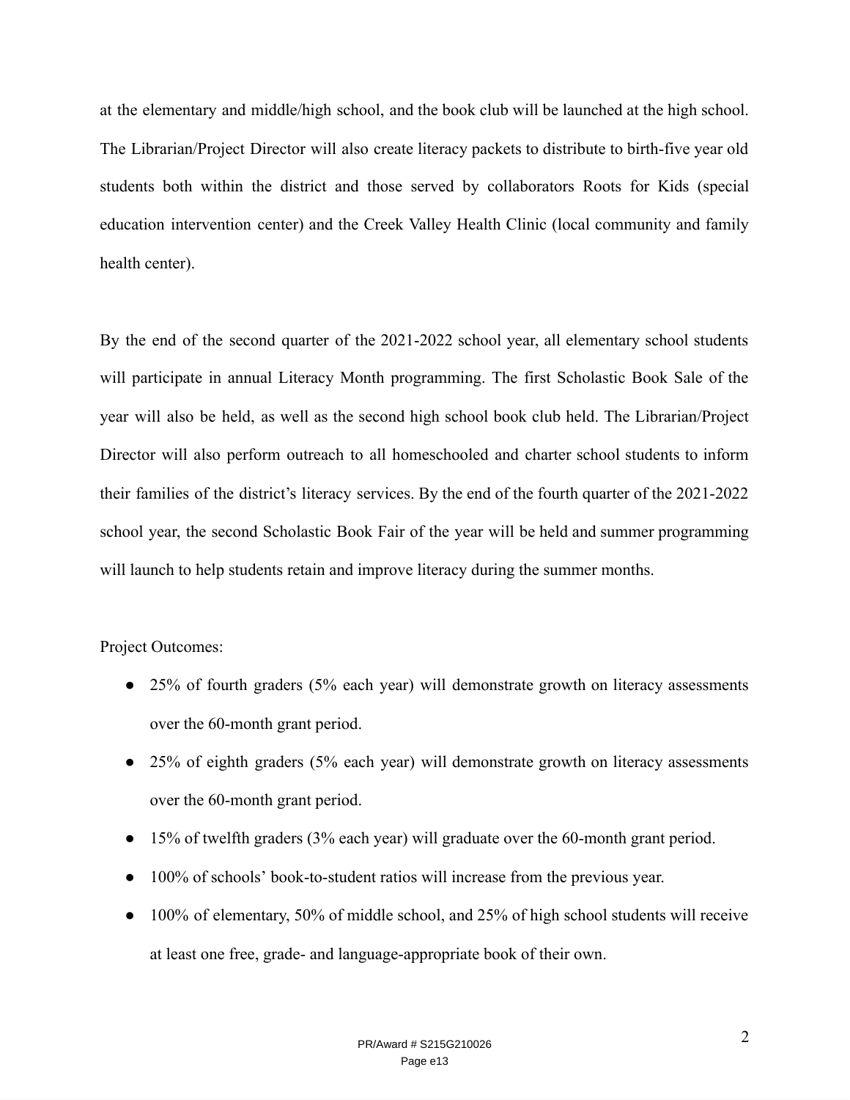at the elementary and middle/high school, and the book club will be launched at the high school. The Librarian/Project Director will also create literacy packets to distribute to birth-five year old students both within the district and those served by collaborators Roots for Kids (special education intervention center) and the Creek Valley Health Clinic (local community and family health center).

By the end of the second quarter of the 2021-2022 school year, all elementary school students will participate in annual Literacy Month programming. The first Scholastic Book Sale of the year will also be held, as well as the second high school book club held. The Librarian/Project Director will also perform outreach to all homeschooled and charter school students to inform their families of the district's literacy services. By the end of the fourth quarter of the 2021-2022 school year, the second Scholastic Book Fair of the year will be held and summer programming will launch to help students retain and improve literacy during the summer months.

Project Outcomes:

- 25% of fourth graders (5% each year) will demonstrate growth on literacy assessments over the 60-month grant period.
- 25% of eighth graders (5% each year) will demonstrate growth on literacy assessments over the 60-month grant period.
- 15% of twelfth graders (3% each year) will graduate over the 60-month grant period.
- 100% of schools' book-to-student ratios will increase from the previous year.
- 100% of elementary, 50% of middle school, and 25% of high school students will receive at least one free, grade- and language-appropriate book of their own.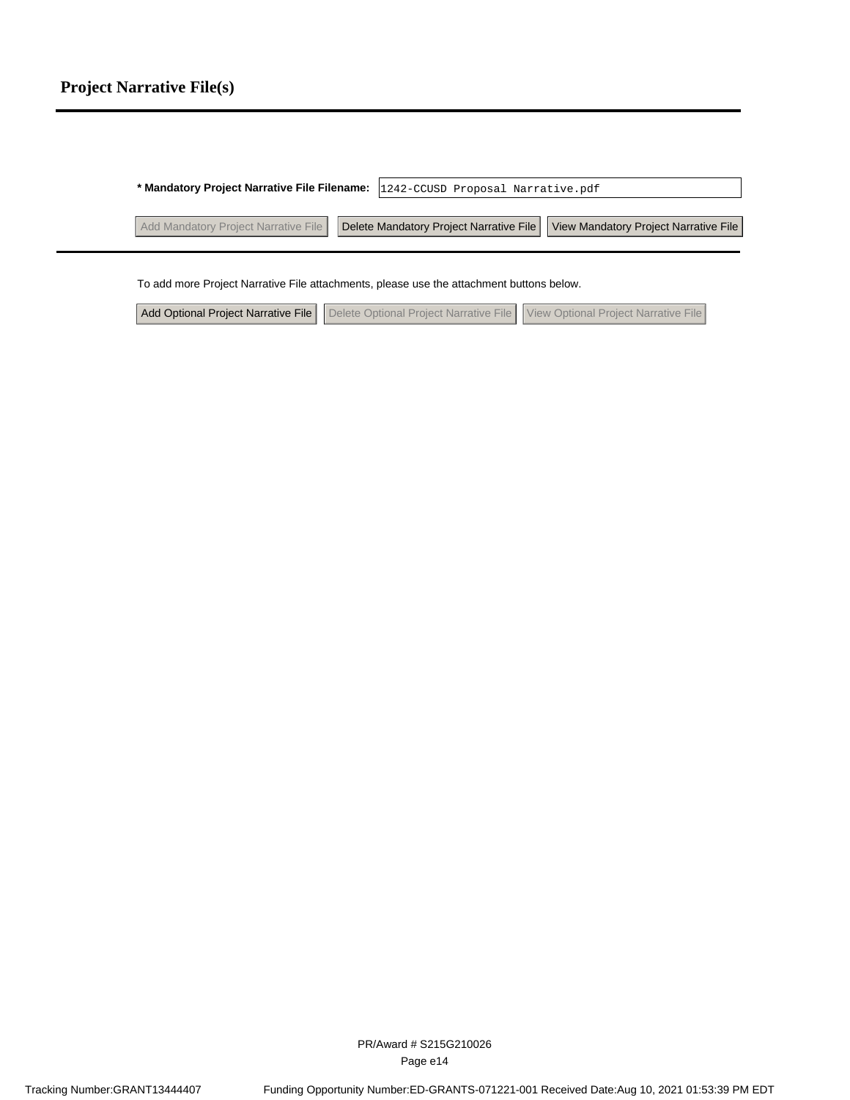|                                      | * Mandatory Project Narrative File Filename: 1242-CCUSD Proposal Narrative.pdf |                                                                                 |  |  |  |  |
|--------------------------------------|--------------------------------------------------------------------------------|---------------------------------------------------------------------------------|--|--|--|--|
| Add Mandatory Project Narrative File |                                                                                | Delete Mandatory Project Narrative File   View Mandatory Project Narrative File |  |  |  |  |

To add more Project Narrative File attachments, please use the attachment buttons below.

|  | Add Optional Project Narrative File   Delete Optional Project Narrative File   View Optional Project Narrative File |  |
|--|---------------------------------------------------------------------------------------------------------------------|--|
|--|---------------------------------------------------------------------------------------------------------------------|--|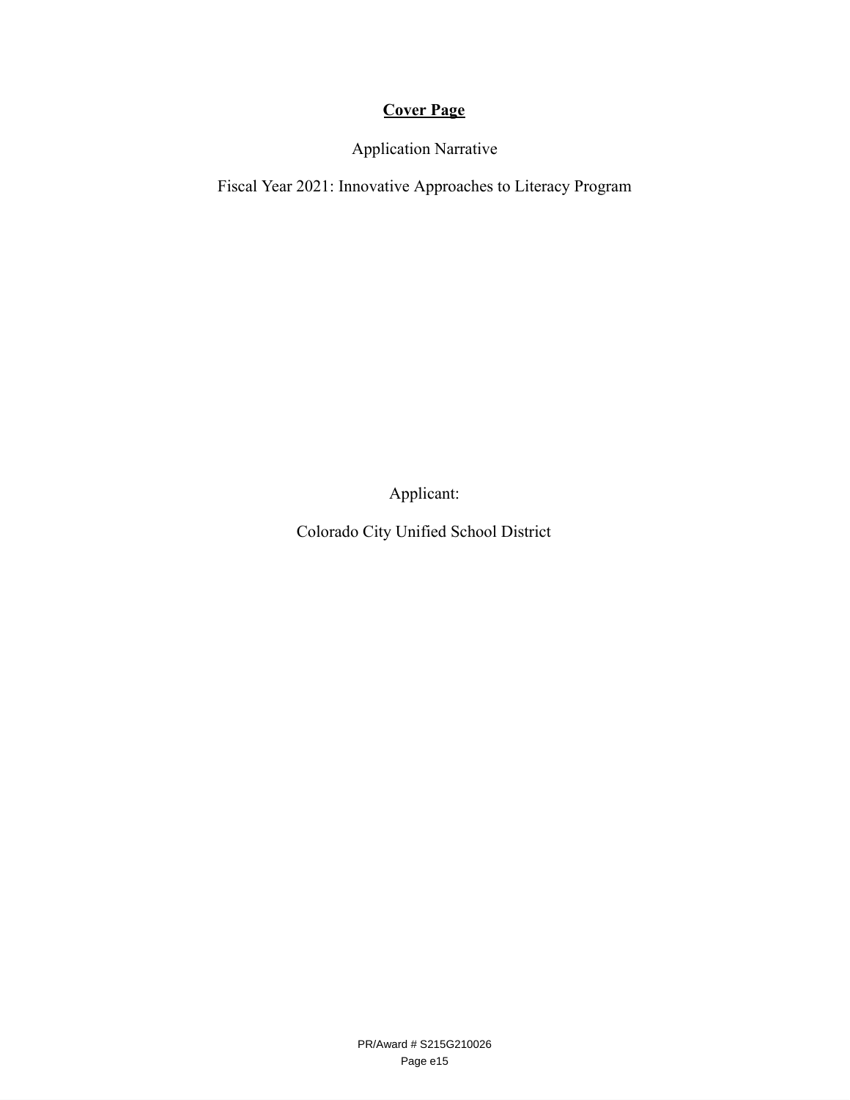# **Cover Page**

Application Narrative

Fiscal Year 2021: Innovative Approaches to Literacy Program

Applicant:

Colorado City Unified School District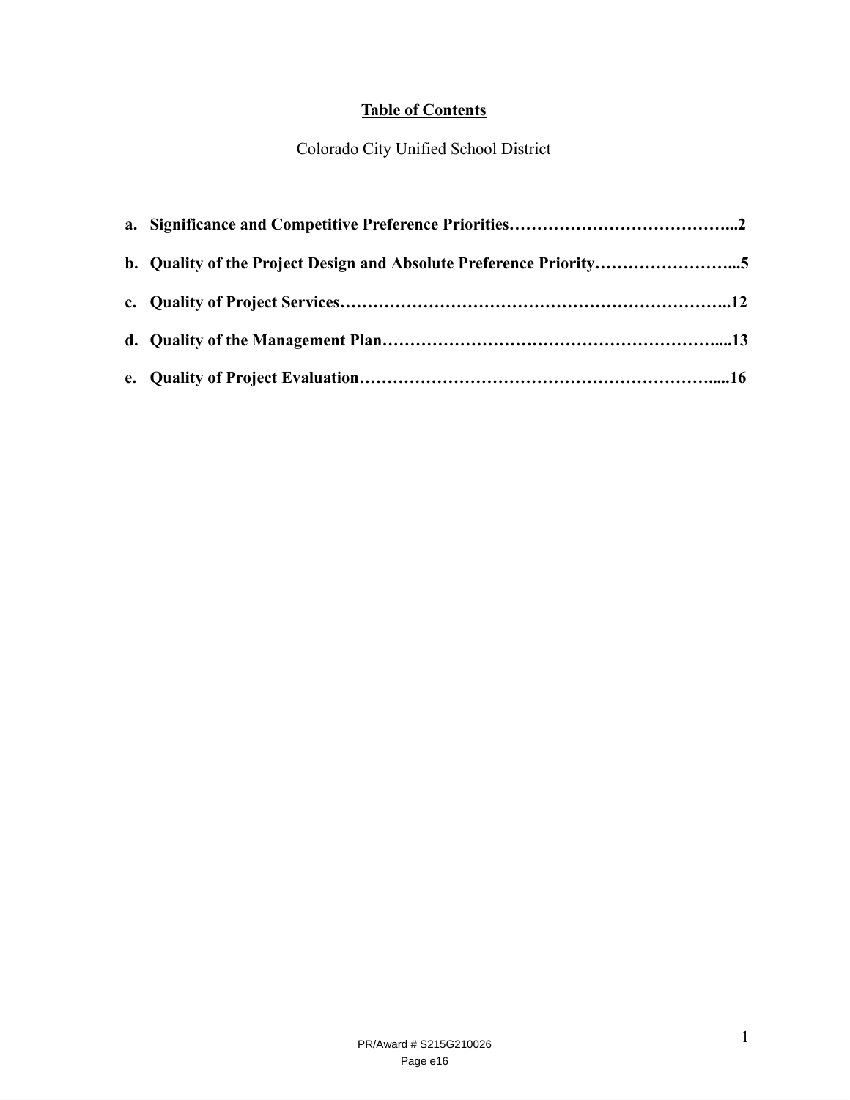# **Table of Contents**

# Colorado City Unified School District

| b. Quality of the Project Design and Absolute Preference Priority |
|-------------------------------------------------------------------|
|                                                                   |
|                                                                   |
|                                                                   |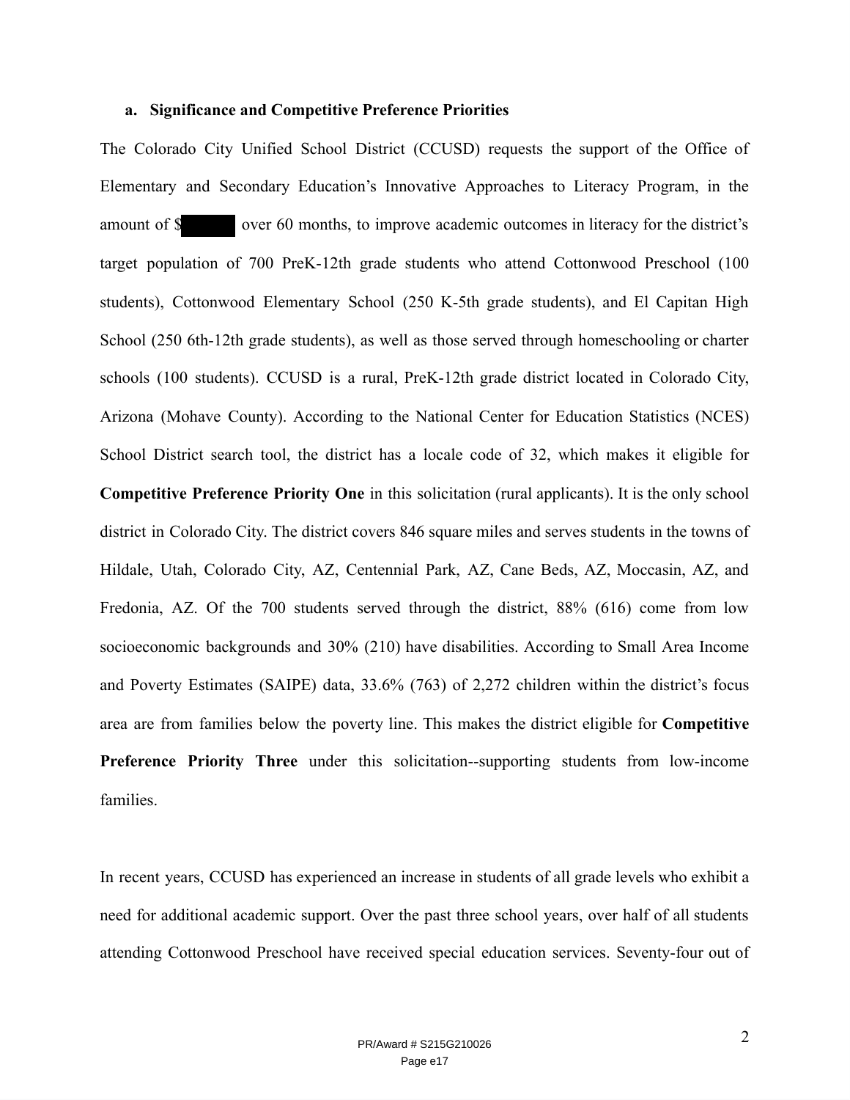#### **a. Significance and Competitive Preference Priorities**

The Colorado City Unified School District (CCUSD) requests the support of the Office of Elementary and Secondary Education's Innovative Approaches to Literacy Program, in the amount of \$ over 60 months, to improve academic outcomes in literacy for the district's target population of 700 PreK-12th grade students who attend Cottonwood Preschool (100 students), Cottonwood Elementary School (250 K-5th grade students), and El Capitan High School (250 6th-12th grade students), as well as those served through homeschooling or charter schools (100 students). CCUSD is a rural, PreK-12th grade district located in Colorado City, Arizona (Mohave County). According to the National Center for Education Statistics (NCES) School District search tool, the district has a locale code of 32, which makes it eligible for **Competitive Preference Priority One** in this solicitation (rural applicants). It is the only school district in Colorado City. The district covers 846 square miles and serves students in the towns of Hildale, Utah, Colorado City, AZ, Centennial Park, AZ, Cane Beds, AZ, Moccasin, AZ, and Fredonia, AZ. Of the 700 students served through the district, 88% (616) come from low socioeconomic backgrounds and 30% (210) have disabilities. According to Small Area Income and Poverty Estimates (SAIPE) data, 33.6% (763) of 2,272 children within the district's focus area are from families below the poverty line. This makes the district eligible for **Competitive Preference Priority Three** under this solicitation--supporting students from low-income families.

In recent years, CCUSD has experienced an increase in students of all grade levels who exhibit a need for additional academic support. Over the past three school years, over half of all students attending Cottonwood Preschool have received special education services. Seventy-four out of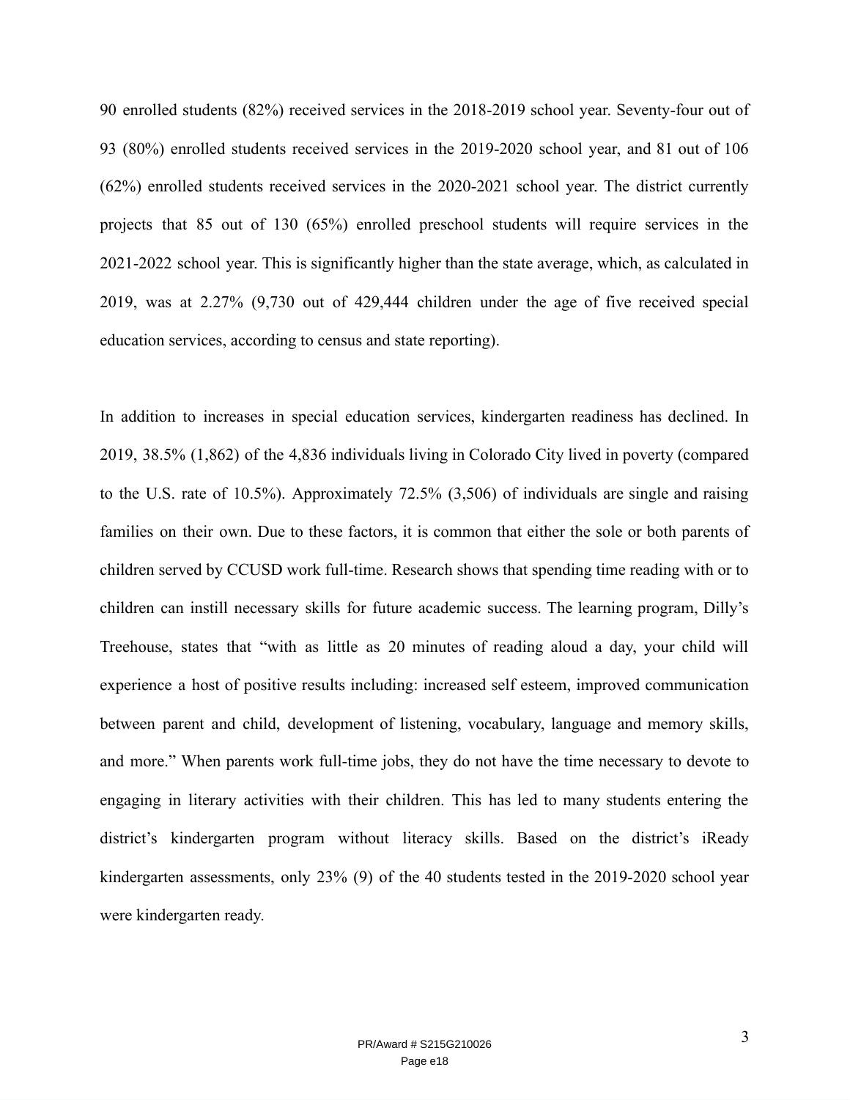90 enrolled students (82%) received services in the 2018-2019 school year. Seventy-four out of 93 (80%) enrolled students received services in the 2019-2020 school year, and 81 out of 106 (62%) enrolled students received services in the 2020-2021 school year. The district currently projects that 85 out of 130 (65%) enrolled preschool students will require services in the 2021-2022 school year. This is significantly higher than the state average, which, as calculated in 2019, was at 2.27% (9,730 out of 429,444 children under the age of five received special education services, according to census and state reporting).

In addition to increases in special education services, kindergarten readiness has declined. In 2019, 38.5% (1,862) of the 4,836 individuals living in Colorado City lived in poverty (compared to the U.S. rate of 10.5%). Approximately 72.5% (3,506) of individuals are single and raising families on their own. Due to these factors, it is common that either the sole or both parents of children served by CCUSD work full-time. Research shows that spending time reading with or to children can instill necessary skills for future academic success. The learning program, Dilly's Treehouse, states that "with as little as 20 minutes of reading aloud a day, your child will experience a host of positive results including: increased self esteem, improved communication between parent and child, development of listening, vocabulary, language and memory skills, and more." When parents work full-time jobs, they do not have the time necessary to devote to engaging in literary activities with their children. This has led to many students entering the district's kindergarten program without literacy skills. Based on the district's iReady kindergarten assessments, only 23% (9) of the 40 students tested in the 2019-2020 school year were kindergarten ready.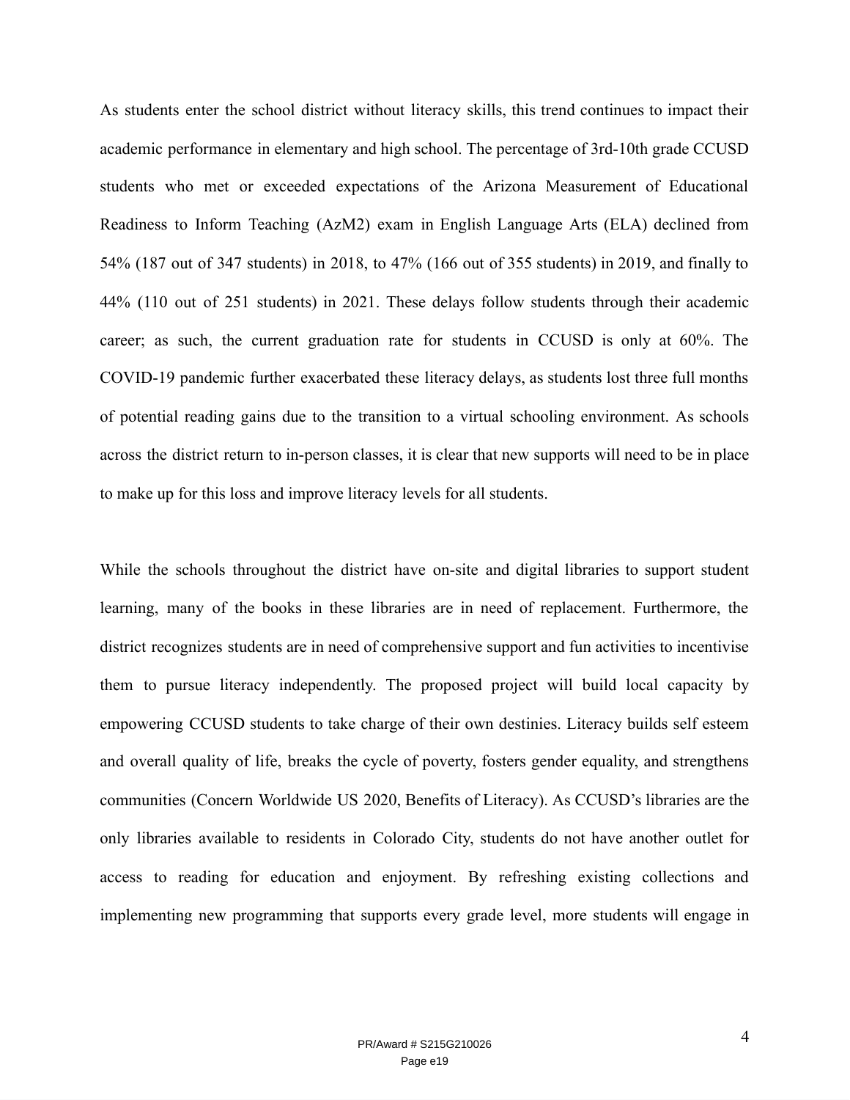As students enter the school district without literacy skills, this trend continues to impact their academic performance in elementary and high school. The percentage of 3rd-10th grade CCUSD students who met or exceeded expectations of the Arizona Measurement of Educational Readiness to Inform Teaching (AzM2) exam in English Language Arts (ELA) declined from 54% (187 out of 347 students) in 2018, to 47% (166 out of 355 students) in 2019, and finally to 44% (110 out of 251 students) in 2021. These delays follow students through their academic career; as such, the current graduation rate for students in CCUSD is only at 60%. The COVID-19 pandemic further exacerbated these literacy delays, as students lost three full months of potential reading gains due to the transition to a virtual schooling environment. As schools across the district return to in-person classes, it is clear that new supports will need to be in place to make up for this loss and improve literacy levels for all students.

While the schools throughout the district have on-site and digital libraries to support student learning, many of the books in these libraries are in need of replacement. Furthermore, the district recognizes students are in need of comprehensive support and fun activities to incentivise them to pursue literacy independently. The proposed project will build local capacity by empowering CCUSD students to take charge of their own destinies. Literacy builds self esteem and overall quality of life, breaks the cycle of poverty, fosters gender equality, and strengthens communities (Concern Worldwide US 2020, Benefits of Literacy). As CCUSD's libraries are the only libraries available to residents in Colorado City, students do not have another outlet for access to reading for education and enjoyment. By refreshing existing collections and implementing new programming that supports every grade level, more students will engage in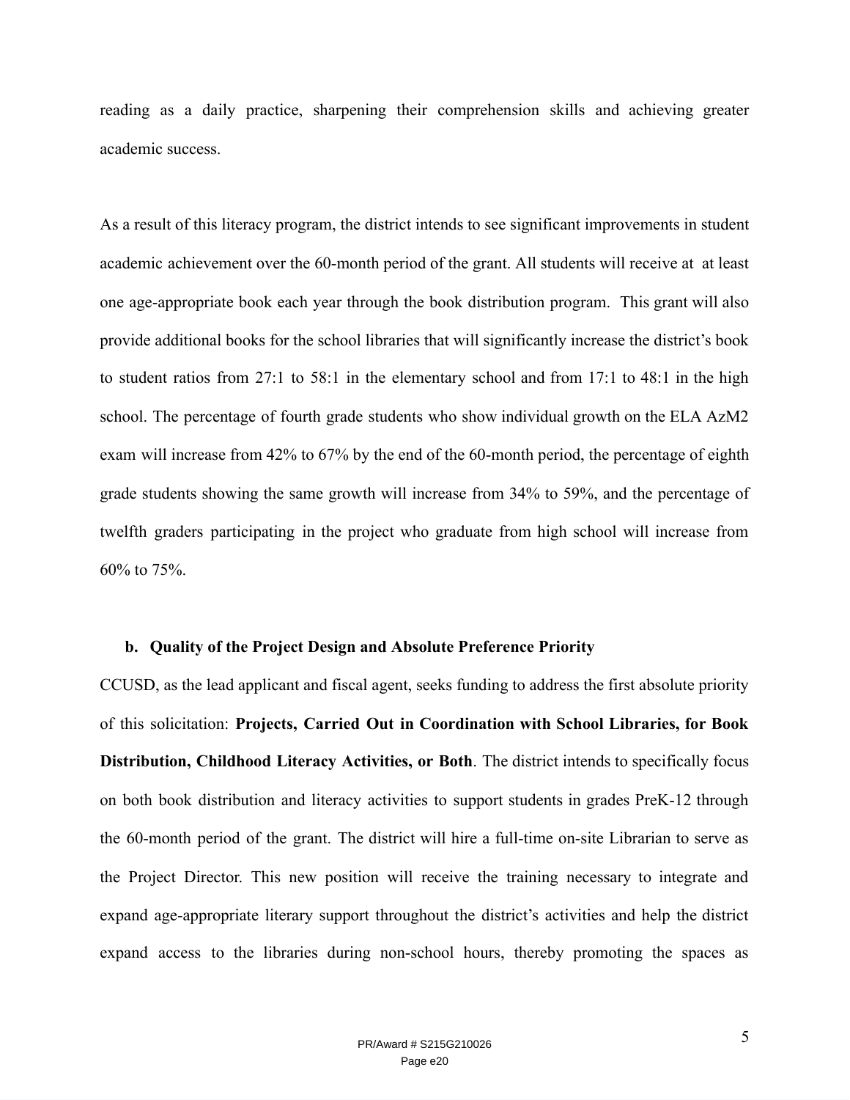reading as a daily practice, sharpening their comprehension skills and achieving greater academic success.

As a result of this literacy program, the district intends to see significant improvements in student academic achievement over the 60-month period of the grant. All students will receive at at least one age-appropriate book each year through the book distribution program. This grant will also provide additional books for the school libraries that will significantly increase the district's book to student ratios from 27:1 to 58:1 in the elementary school and from 17:1 to 48:1 in the high school. The percentage of fourth grade students who show individual growth on the ELA AzM2 exam will increase from 42% to 67% by the end of the 60-month period, the percentage of eighth grade students showing the same growth will increase from 34% to 59%, and the percentage of twelfth graders participating in the project who graduate from high school will increase from 60% to 75%.

#### **b. Quality of the Project Design and Absolute Preference Priority**

CCUSD, as the lead applicant and fiscal agent, seeks funding to address the first absolute priority of this solicitation: **Projects, Carried Out in Coordination with School Libraries, for Book Distribution, Childhood Literacy Activities, or Both**. The district intends to specifically focus on both book distribution and literacy activities to support students in grades PreK-12 through the 60-month period of the grant. The district will hire a full-time on-site Librarian to serve as the Project Director. This new position will receive the training necessary to integrate and expand age-appropriate literary support throughout the district's activities and help the district expand access to the libraries during non-school hours, thereby promoting the spaces as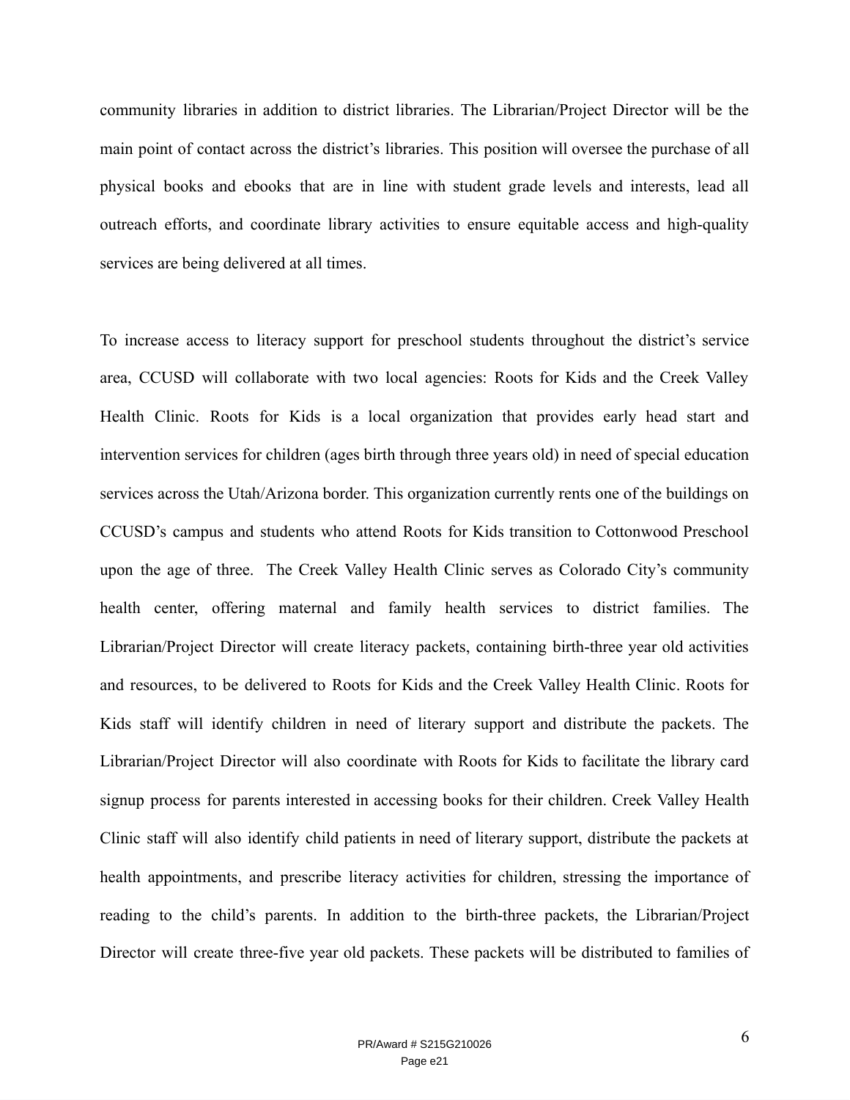community libraries in addition to district libraries. The Librarian/Project Director will be the main point of contact across the district's libraries. This position will oversee the purchase of all physical books and ebooks that are in line with student grade levels and interests, lead all outreach efforts, and coordinate library activities to ensure equitable access and high-quality services are being delivered at all times.

To increase access to literacy support for preschool students throughout the district's service area, CCUSD will collaborate with two local agencies: Roots for Kids and the Creek Valley Health Clinic. Roots for Kids is a local organization that provides early head start and intervention services for children (ages birth through three years old) in need of special education services across the Utah/Arizona border. This organization currently rents one of the buildings on CCUSD's campus and students who attend Roots for Kids transition to Cottonwood Preschool upon the age of three. The Creek Valley Health Clinic serves as Colorado City's community health center, offering maternal and family health services to district families. The Librarian/Project Director will create literacy packets, containing birth-three year old activities and resources, to be delivered to Roots for Kids and the Creek Valley Health Clinic. Roots for Kids staff will identify children in need of literary support and distribute the packets. The Librarian/Project Director will also coordinate with Roots for Kids to facilitate the library card signup process for parents interested in accessing books for their children. Creek Valley Health Clinic staff will also identify child patients in need of literary support, distribute the packets at health appointments, and prescribe literacy activities for children, stressing the importance of reading to the child's parents. In addition to the birth-three packets, the Librarian/Project Director will create three-five year old packets. These packets will be distributed to families of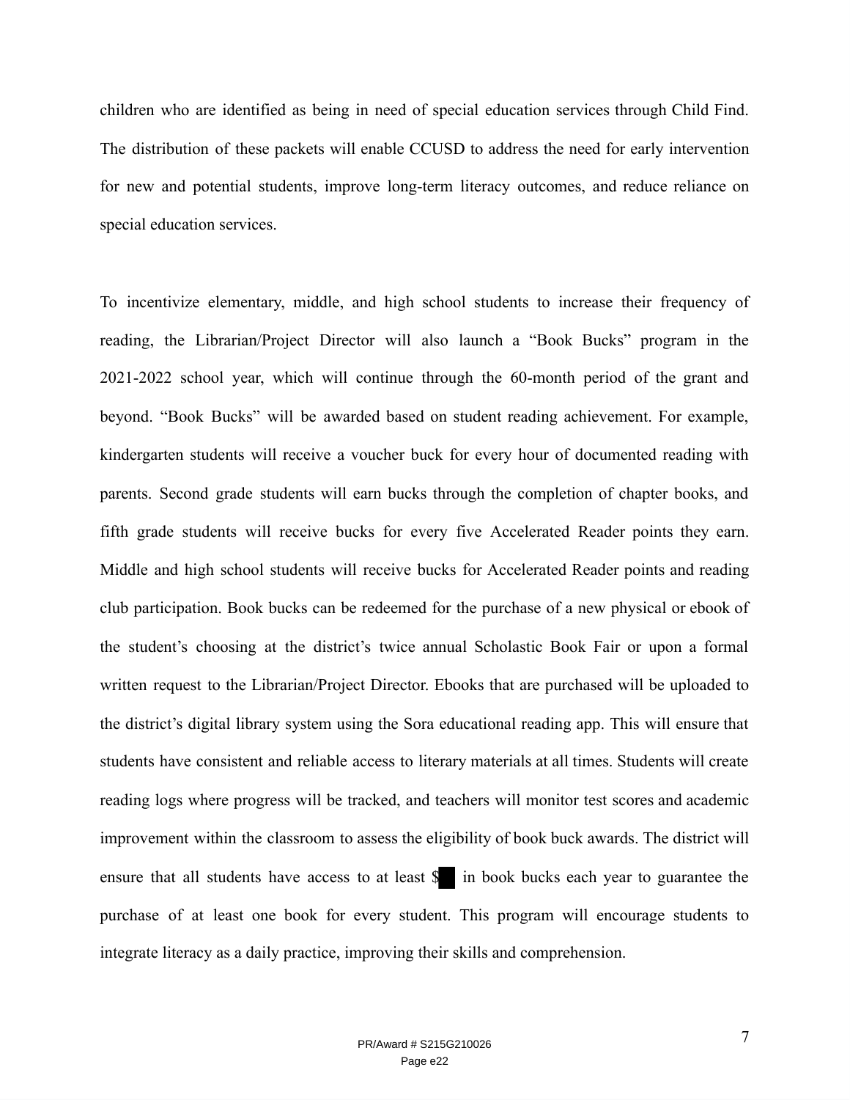children who are identified as being in need of special education services through Child Find. The distribution of these packets will enable CCUSD to address the need for early intervention for new and potential students, improve long-term literacy outcomes, and reduce reliance on special education services.

To incentivize elementary, middle, and high school students to increase their frequency of reading, the Librarian/Project Director will also launch a "Book Bucks" program in the 2021-2022 school year, which will continue through the 60-month period of the grant and beyond. "Book Bucks" will be awarded based on student reading achievement. For example, kindergarten students will receive a voucher buck for every hour of documented reading with parents. Second grade students will earn bucks through the completion of chapter books, and fifth grade students will receive bucks for every five Accelerated Reader points they earn. Middle and high school students will receive bucks for Accelerated Reader points and reading club participation. Book bucks can be redeemed for the purchase of a new physical or ebook of the student's choosing at the district's twice annual Scholastic Book Fair or upon a formal written request to the Librarian/Project Director. Ebooks that are purchased will be uploaded to the district's digital library system using the Sora educational reading app. This will ensure that students have consistent and reliable access to literary materials at all times. Students will create reading logs where progress will be tracked, and teachers will monitor test scores and academic improvement within the classroom to assess the eligibility of book buck awards. The district will ensure that all students have access to at least \$ in book bucks each year to guarantee the purchase of at least one book for every student. This program will encourage students to integrate literacy as a daily practice, improving their skills and comprehension.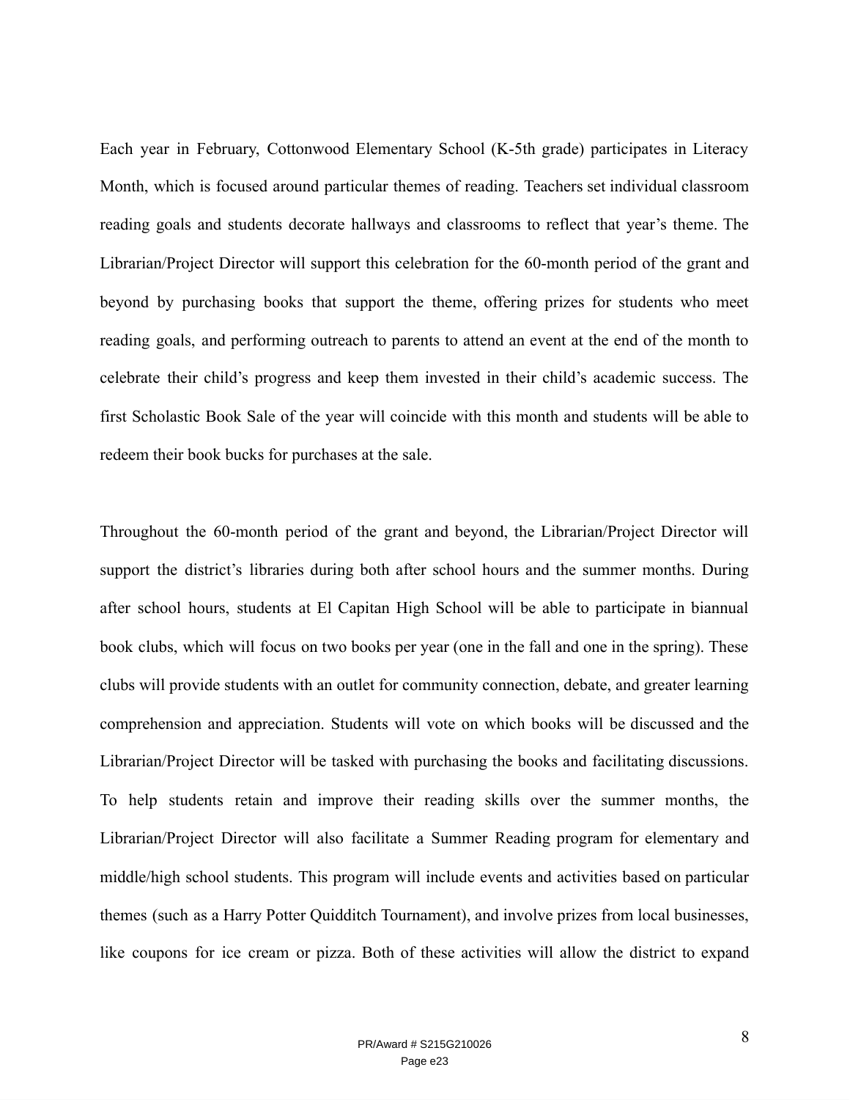Each year in February, Cottonwood Elementary School (K-5th grade) participates in Literacy Month, which is focused around particular themes of reading. Teachers set individual classroom reading goals and students decorate hallways and classrooms to reflect that year's theme. The Librarian/Project Director will support this celebration for the 60-month period of the grant and beyond by purchasing books that support the theme, offering prizes for students who meet reading goals, and performing outreach to parents to attend an event at the end of the month to celebrate their child's progress and keep them invested in their child's academic success. The first Scholastic Book Sale of the year will coincide with this month and students will be able to redeem their book bucks for purchases at the sale.

Throughout the 60-month period of the grant and beyond, the Librarian/Project Director will support the district's libraries during both after school hours and the summer months. During after school hours, students at El Capitan High School will be able to participate in biannual book clubs, which will focus on two books per year (one in the fall and one in the spring). These clubs will provide students with an outlet for community connection, debate, and greater learning comprehension and appreciation. Students will vote on which books will be discussed and the Librarian/Project Director will be tasked with purchasing the books and facilitating discussions. To help students retain and improve their reading skills over the summer months, the Librarian/Project Director will also facilitate a Summer Reading program for elementary and middle/high school students. This program will include events and activities based on particular themes (such as a Harry Potter Quidditch Tournament), and involve prizes from local businesses, like coupons for ice cream or pizza. Both of these activities will allow the district to expand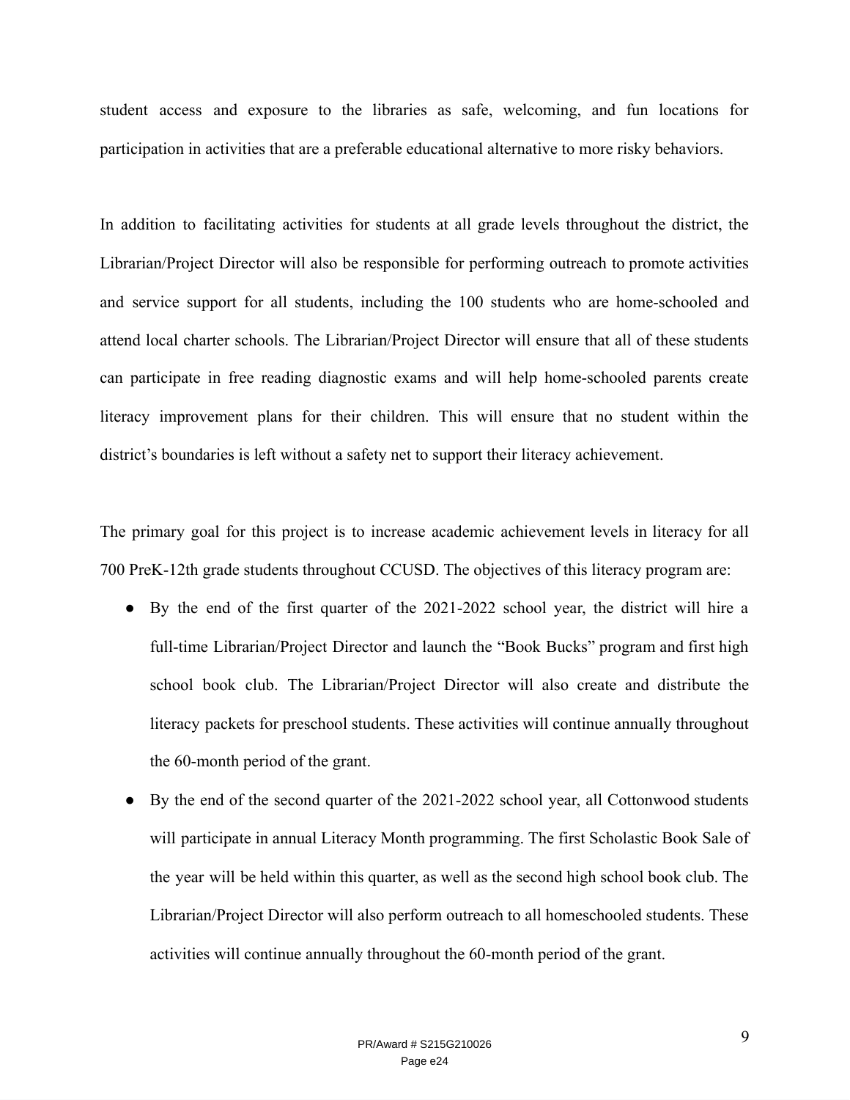student access and exposure to the libraries as safe, welcoming, and fun locations for participation in activities that are a preferable educational alternative to more risky behaviors.

In addition to facilitating activities for students at all grade levels throughout the district, the Librarian/Project Director will also be responsible for performing outreach to promote activities and service support for all students, including the 100 students who are home-schooled and attend local charter schools. The Librarian/Project Director will ensure that all of these students can participate in free reading diagnostic exams and will help home-schooled parents create literacy improvement plans for their children. This will ensure that no student within the district's boundaries is left without a safety net to support their literacy achievement.

The primary goal for this project is to increase academic achievement levels in literacy for all 700 PreK-12th grade students throughout CCUSD. The objectives of this literacy program are:

- By the end of the first quarter of the 2021-2022 school year, the district will hire a full-time Librarian/Project Director and launch the "Book Bucks" program and first high school book club. The Librarian/Project Director will also create and distribute the literacy packets for preschool students. These activities will continue annually throughout the 60-month period of the grant.
- By the end of the second quarter of the 2021-2022 school year, all Cottonwood students will participate in annual Literacy Month programming. The first Scholastic Book Sale of the year will be held within this quarter, as well as the second high school book club. The Librarian/Project Director will also perform outreach to all homeschooled students. These activities will continue annually throughout the 60-month period of the grant.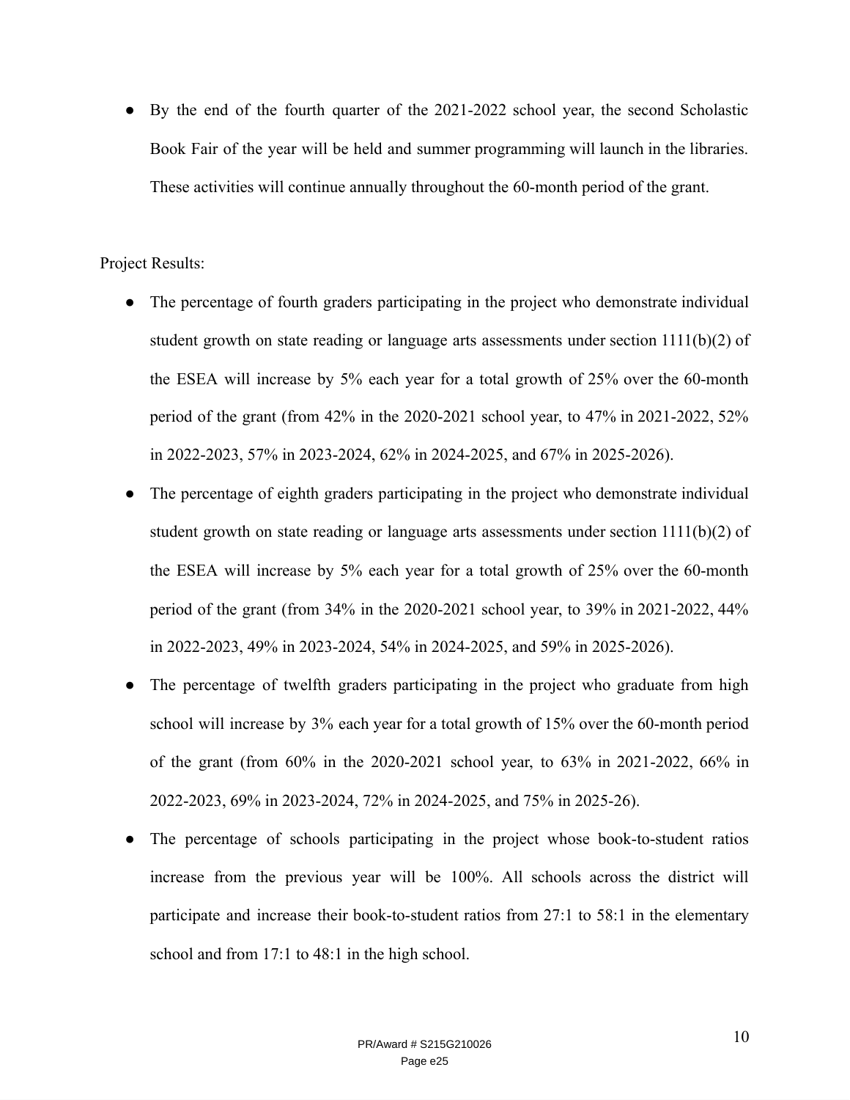● By the end of the fourth quarter of the 2021-2022 school year, the second Scholastic Book Fair of the year will be held and summer programming will launch in the libraries. These activities will continue annually throughout the 60-month period of the grant.

Project Results:

- The percentage of fourth graders participating in the project who demonstrate individual student growth on state reading or language arts assessments under section  $1111(b)(2)$  of the ESEA will increase by 5% each year for a total growth of 25% over the 60-month period of the grant (from 42% in the 2020-2021 school year, to 47% in 2021-2022, 52% in 2022-2023, 57% in 2023-2024, 62% in 2024-2025, and 67% in 2025-2026).
- The percentage of eighth graders participating in the project who demonstrate individual student growth on state reading or language arts assessments under section  $1111(b)(2)$  of the ESEA will increase by 5% each year for a total growth of 25% over the 60-month period of the grant (from 34% in the 2020-2021 school year, to 39% in 2021-2022, 44% in 2022-2023, 49% in 2023-2024, 54% in 2024-2025, and 59% in 2025-2026).
- The percentage of twelfth graders participating in the project who graduate from high school will increase by 3% each year for a total growth of 15% over the 60-month period of the grant (from 60% in the 2020-2021 school year, to 63% in 2021-2022, 66% in 2022-2023, 69% in 2023-2024, 72% in 2024-2025, and 75% in 2025-26).
- The percentage of schools participating in the project whose book-to-student ratios increase from the previous year will be 100%. All schools across the district will participate and increase their book-to-student ratios from 27:1 to 58:1 in the elementary school and from 17:1 to 48:1 in the high school.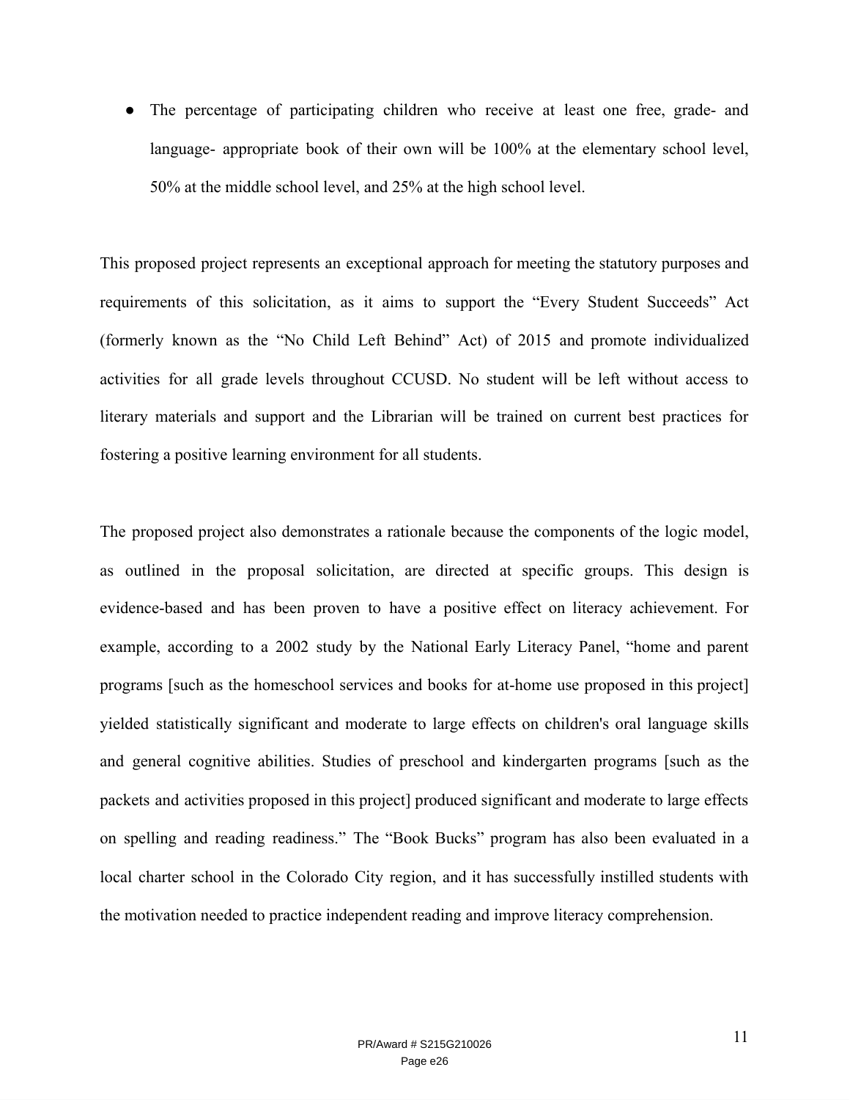• The percentage of participating children who receive at least one free, grade- and language- appropriate book of their own will be 100% at the elementary school level, 50% at the middle school level, and 25% at the high school level.

This proposed project represents an exceptional approach for meeting the statutory purposes and requirements of this solicitation, as it aims to support the "Every Student Succeeds" Act (formerly known as the "No Child Left Behind" Act) of 2015 and promote individualized activities for all grade levels throughout CCUSD. No student will be left without access to literary materials and support and the Librarian will be trained on current best practices for fostering a positive learning environment for all students.

The proposed project also demonstrates a rationale because the components of the logic model, as outlined in the proposal solicitation, are directed at specific groups. This design is evidence-based and has been proven to have a positive effect on literacy achievement. For example, according to a 2002 study by the National Early Literacy Panel, "home and parent programs [such as the homeschool services and books for at-home use proposed in this project] yielded statistically significant and moderate to large effects on children's oral language skills and general cognitive abilities. Studies of preschool and kindergarten programs [such as the packets and activities proposed in this project] produced significant and moderate to large effects on spelling and reading readiness." The "Book Bucks" program has also been evaluated in a local charter school in the Colorado City region, and it has successfully instilled students with the motivation needed to practice independent reading and improve literacy comprehension.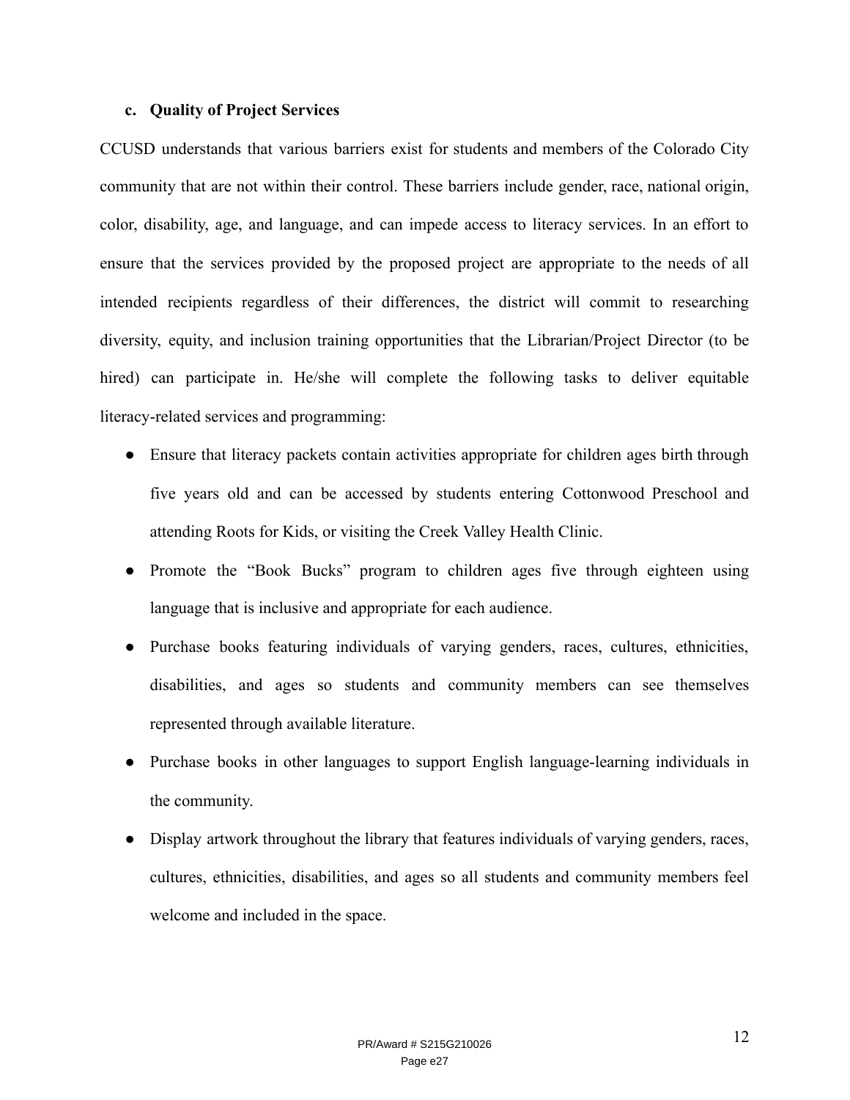#### **c. Quality of Project Services**

CCUSD understands that various barriers exist for students and members of the Colorado City community that are not within their control. These barriers include gender, race, national origin, color, disability, age, and language, and can impede access to literacy services. In an effort to ensure that the services provided by the proposed project are appropriate to the needs of all intended recipients regardless of their differences, the district will commit to researching diversity, equity, and inclusion training opportunities that the Librarian/Project Director (to be hired) can participate in. He/she will complete the following tasks to deliver equitable literacy-related services and programming:

- Ensure that literacy packets contain activities appropriate for children ages birth through five years old and can be accessed by students entering Cottonwood Preschool and attending Roots for Kids, or visiting the Creek Valley Health Clinic.
- Promote the "Book Bucks" program to children ages five through eighteen using language that is inclusive and appropriate for each audience.
- Purchase books featuring individuals of varying genders, races, cultures, ethnicities, disabilities, and ages so students and community members can see themselves represented through available literature.
- Purchase books in other languages to support English language-learning individuals in the community.
- Display artwork throughout the library that features individuals of varying genders, races, cultures, ethnicities, disabilities, and ages so all students and community members feel welcome and included in the space.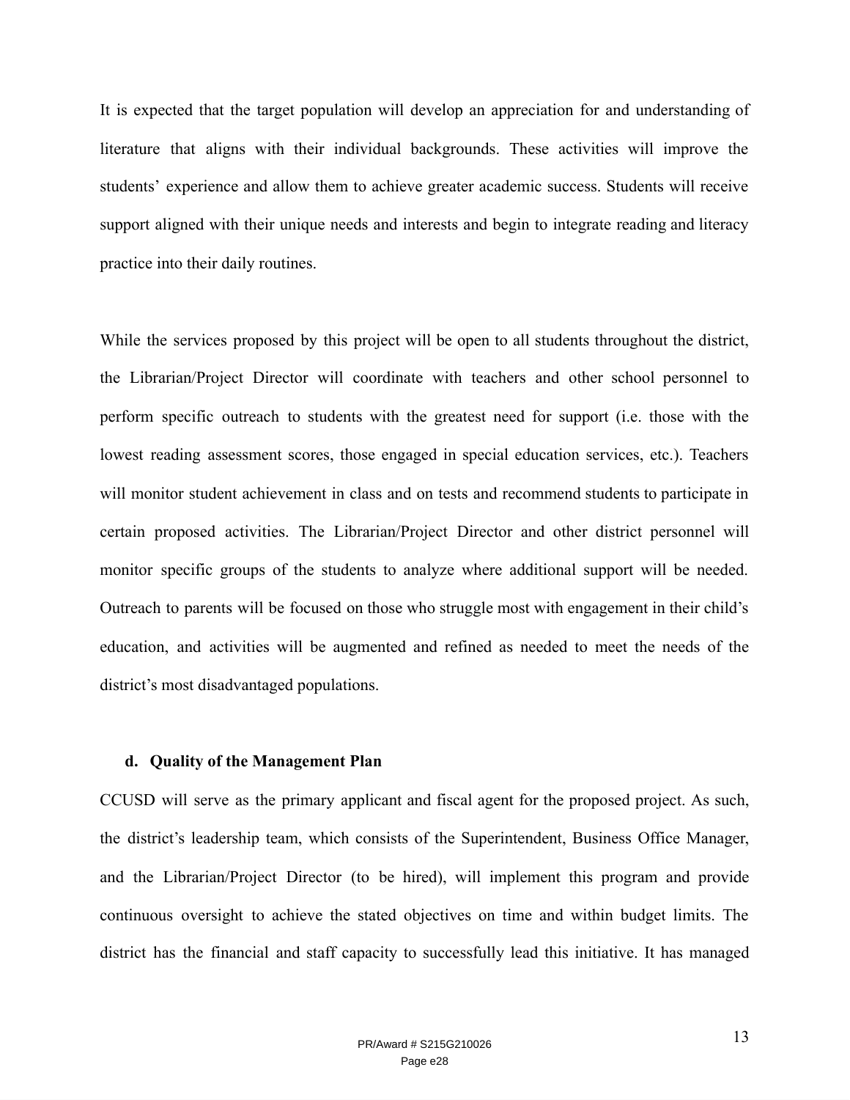It is expected that the target population will develop an appreciation for and understanding of literature that aligns with their individual backgrounds. These activities will improve the students' experience and allow them to achieve greater academic success. Students will receive support aligned with their unique needs and interests and begin to integrate reading and literacy practice into their daily routines.

While the services proposed by this project will be open to all students throughout the district, the Librarian/Project Director will coordinate with teachers and other school personnel to perform specific outreach to students with the greatest need for support (i.e. those with the lowest reading assessment scores, those engaged in special education services, etc.). Teachers will monitor student achievement in class and on tests and recommend students to participate in certain proposed activities. The Librarian/Project Director and other district personnel will monitor specific groups of the students to analyze where additional support will be needed. Outreach to parents will be focused on those who struggle most with engagement in their child's education, and activities will be augmented and refined as needed to meet the needs of the district's most disadvantaged populations.

#### **d. Quality of the Management Plan**

CCUSD will serve as the primary applicant and fiscal agent for the proposed project. As such, the district's leadership team, which consists of the Superintendent, Business Office Manager, and the Librarian/Project Director (to be hired), will implement this program and provide continuous oversight to achieve the stated objectives on time and within budget limits. The district has the financial and staff capacity to successfully lead this initiative. It has managed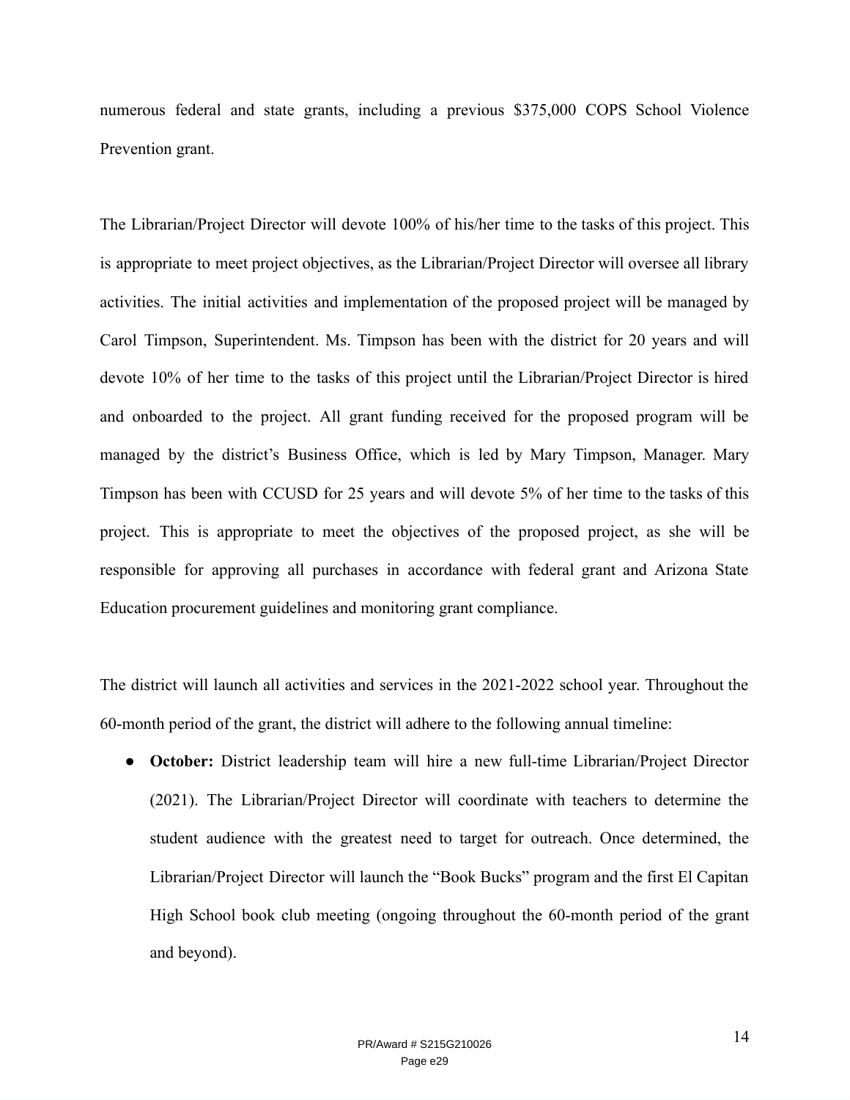numerous federal and state grants, including a previous \$375,000 COPS School Violence Prevention grant.

The Librarian/Project Director will devote 100% of his/her time to the tasks of this project. This is appropriate to meet project objectives, as the Librarian/Project Director will oversee all library activities. The initial activities and implementation of the proposed project will be managed by Carol Timpson, Superintendent. Ms. Timpson has been with the district for 20 years and will devote 10% of her time to the tasks of this project until the Librarian/Project Director is hired and onboarded to the project. All grant funding received for the proposed program will be managed by the district's Business Office, which is led by Mary Timpson, Manager. Mary Timpson has been with CCUSD for 25 years and will devote 5% of her time to the tasks of this project. This is appropriate to meet the objectives of the proposed project, as she will be responsible for approving all purchases in accordance with federal grant and Arizona State Education procurement guidelines and monitoring grant compliance.

The district will launch all activities and services in the 2021-2022 school year. Throughout the 60-month period of the grant, the district will adhere to the following annual timeline:

**● October:** District leadership team will hire a new full-time Librarian/Project Director (2021). The Librarian/Project Director will coordinate with teachers to determine the student audience with the greatest need to target for outreach. Once determined, the Librarian/Project Director will launch the "Book Bucks" program and the first El Capitan High School book club meeting (ongoing throughout the 60-month period of the grant and beyond).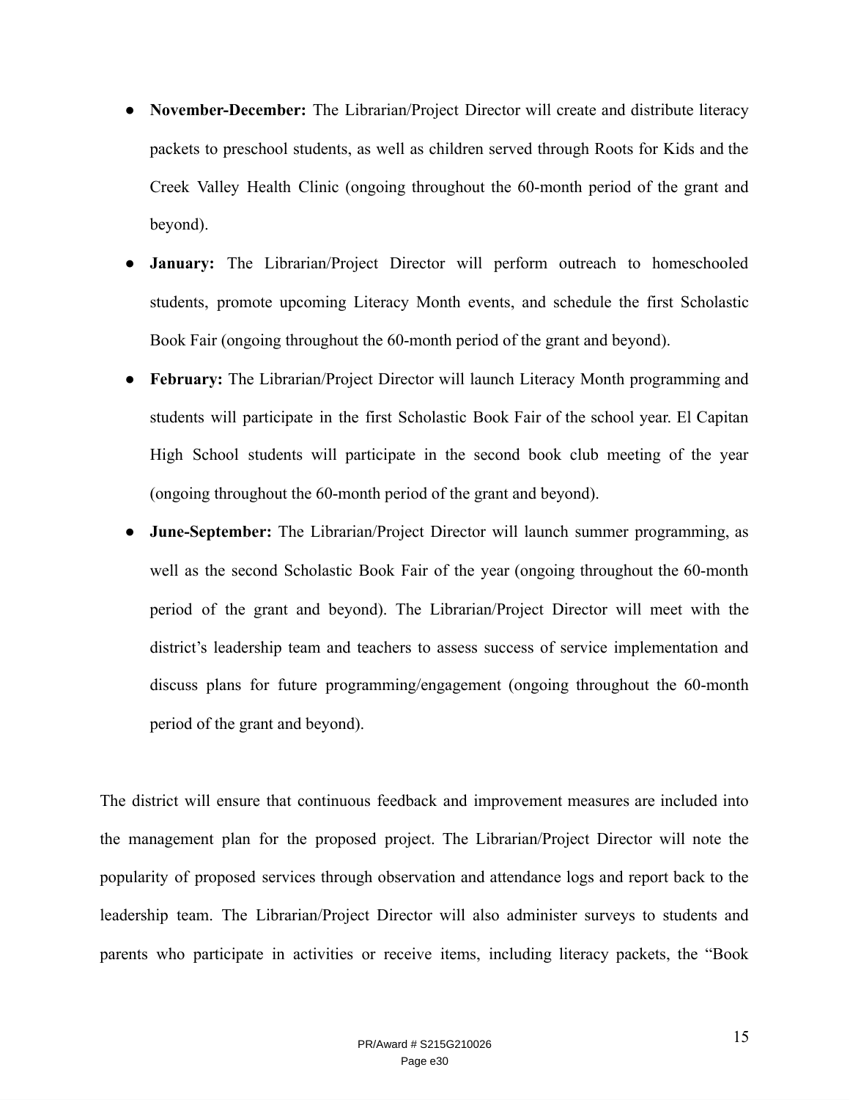- **● November-December:** The Librarian/Project Director will create and distribute literacy packets to preschool students, as well as children served through Roots for Kids and the Creek Valley Health Clinic (ongoing throughout the 60-month period of the grant and beyond).
- **January:** The Librarian/Project Director will perform outreach to homeschooled students, promote upcoming Literacy Month events, and schedule the first Scholastic Book Fair (ongoing throughout the 60-month period of the grant and beyond).
- **● February:** The Librarian/Project Director will launch Literacy Month programming and students will participate in the first Scholastic Book Fair of the school year. El Capitan High School students will participate in the second book club meeting of the year (ongoing throughout the 60-month period of the grant and beyond).
- **June-September:** The Librarian/Project Director will launch summer programming, as well as the second Scholastic Book Fair of the year (ongoing throughout the 60-month period of the grant and beyond). The Librarian/Project Director will meet with the district's leadership team and teachers to assess success of service implementation and discuss plans for future programming/engagement (ongoing throughout the 60-month period of the grant and beyond).

The district will ensure that continuous feedback and improvement measures are included into the management plan for the proposed project. The Librarian/Project Director will note the popularity of proposed services through observation and attendance logs and report back to the leadership team. The Librarian/Project Director will also administer surveys to students and parents who participate in activities or receive items, including literacy packets, the "Book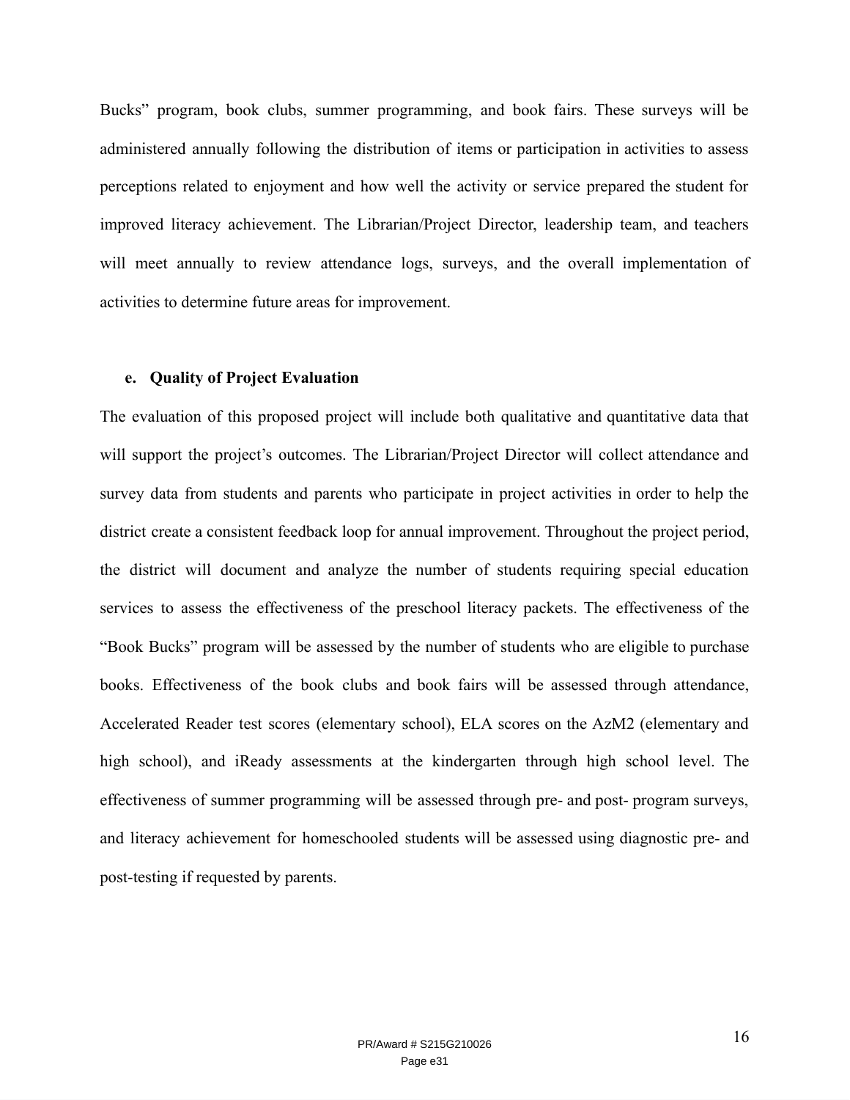Bucks" program, book clubs, summer programming, and book fairs. These surveys will be administered annually following the distribution of items or participation in activities to assess perceptions related to enjoyment and how well the activity or service prepared the student for improved literacy achievement. The Librarian/Project Director, leadership team, and teachers will meet annually to review attendance logs, surveys, and the overall implementation of activities to determine future areas for improvement.

#### **e. Quality of Project Evaluation**

The evaluation of this proposed project will include both qualitative and quantitative data that will support the project's outcomes. The Librarian/Project Director will collect attendance and survey data from students and parents who participate in project activities in order to help the district create a consistent feedback loop for annual improvement. Throughout the project period, the district will document and analyze the number of students requiring special education services to assess the effectiveness of the preschool literacy packets. The effectiveness of the "Book Bucks" program will be assessed by the number of students who are eligible to purchase books. Effectiveness of the book clubs and book fairs will be assessed through attendance, Accelerated Reader test scores (elementary school), ELA scores on the AzM2 (elementary and high school), and iReady assessments at the kindergarten through high school level. The effectiveness of summer programming will be assessed through pre- and post- program surveys, and literacy achievement for homeschooled students will be assessed using diagnostic pre- and post-testing if requested by parents.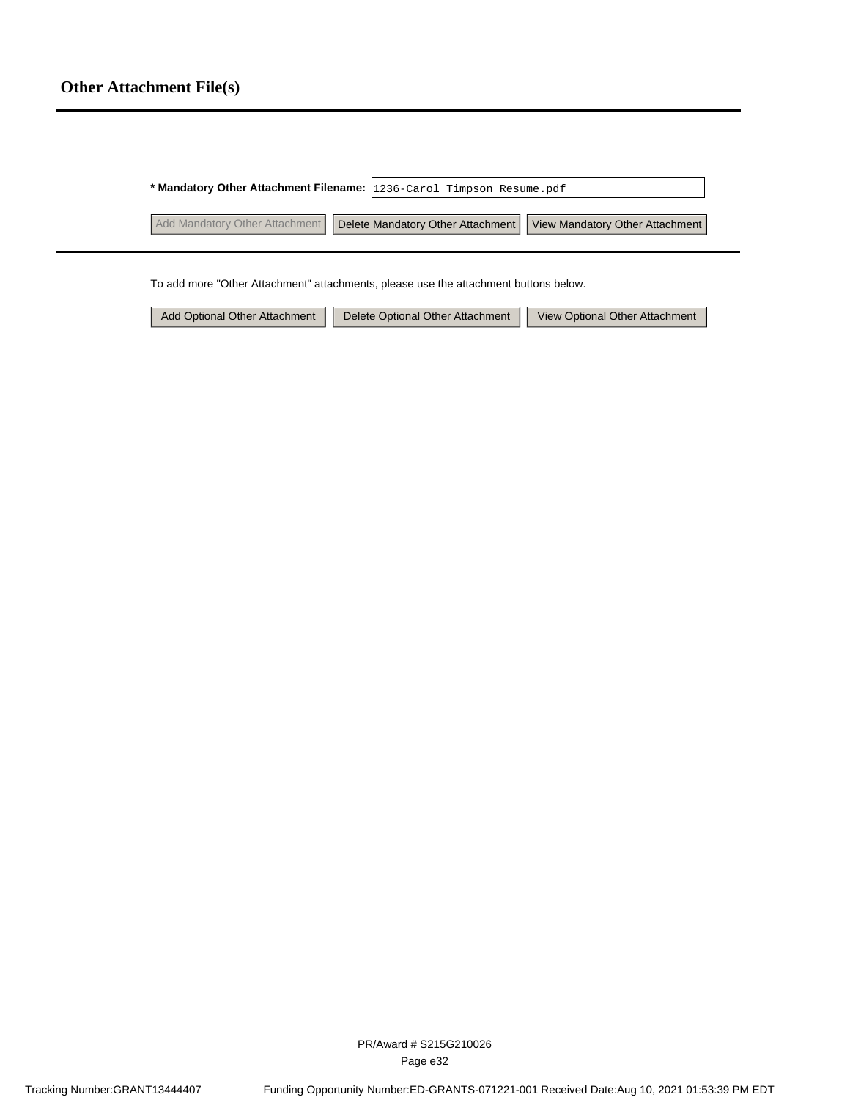# **Other Attachment File(s)**

| * Mandatory Other Attachment Filename: 1236-Carol Timpson Resume.pdf                                 |  |
|------------------------------------------------------------------------------------------------------|--|
| Add Mandatory Other Attachment   Delete Mandatory Other Attachment   View Mandatory Other Attachment |  |

To add more "Other Attachment" attachments, please use the attachment buttons below.

| Add Optional Other Attachment | Delete Optional Other Attachment | View Optional Other Attachment |
|-------------------------------|----------------------------------|--------------------------------|
|-------------------------------|----------------------------------|--------------------------------|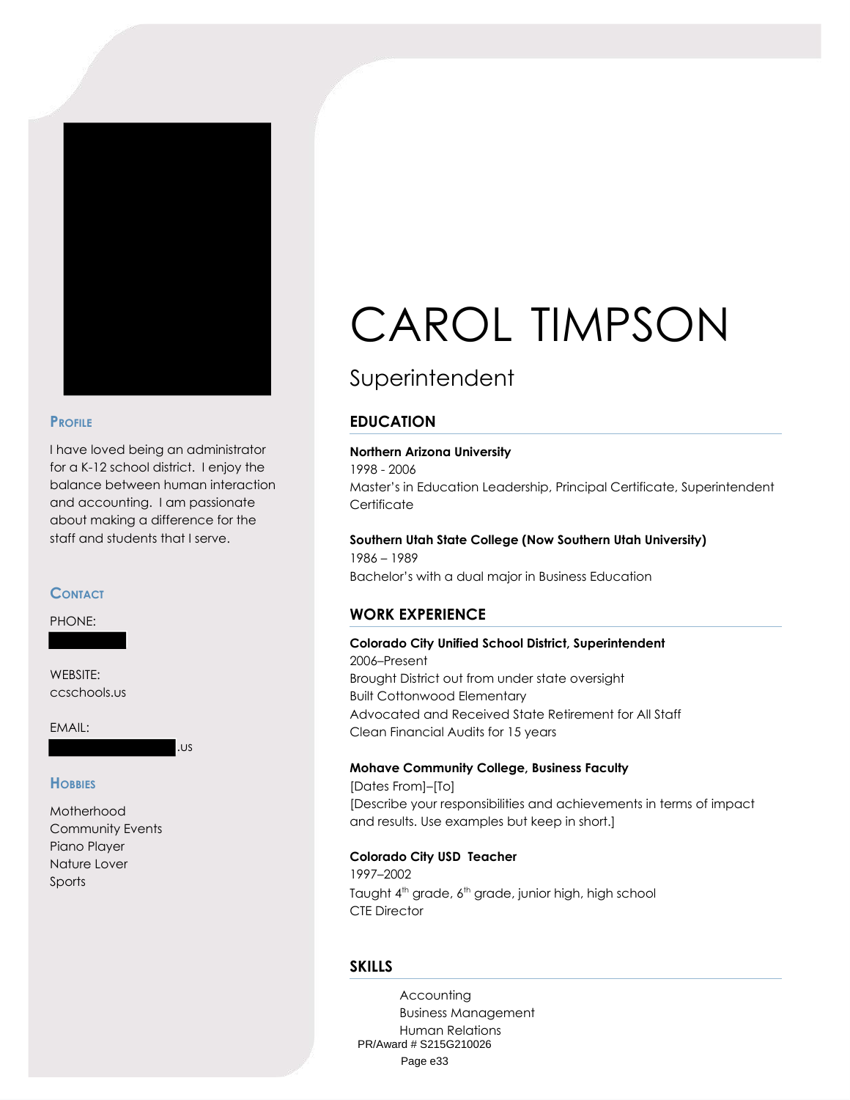

#### **PROFILE**

I have loved being an administrator for a K-12 school district. I enjoy the balance between human interaction and accounting. I am passionate about making a difference for the staff and students that I serve.

#### **CONTACT**

PHONE:

WEBSITE: ccschools.us

EMAIL:

.us

#### **HOBBIES**

Motherhood Community Events Piano Player Nature Lover Sports

# CAROL TIMPSON

# Superintendent

## **EDUCATION**

#### **Northern Arizona University**

1998 - 2006 Master's in Education Leadership, Principal Certificate, Superintendent **Certificate** 

**Southern Utah State College (Now Southern Utah University)** 1986 – 1989 Bachelor's with a dual major in Business Education

## **WORK EXPERIENCE**

## **Colorado City Unified School District, Superintendent** 2006–Present Brought District out from under state oversight Built Cottonwood Elementary

Advocated and Received State Retirement for All Staff Clean Financial Audits for 15 years

#### **Mohave Community College, Business Faculty**

[Dates From]–[To] [Describe your responsibilities and achievements in terms of impact and results. Use examples but keep in short.]

#### **Colorado City USD Teacher**

1997–2002 Taught 4<sup>th</sup> grade, 6<sup>th</sup> grade, junior high, high school CTE Director

#### **SKILLS**

**Accounting Business Management Human Relations** PR/Award # S215G210026 Page e33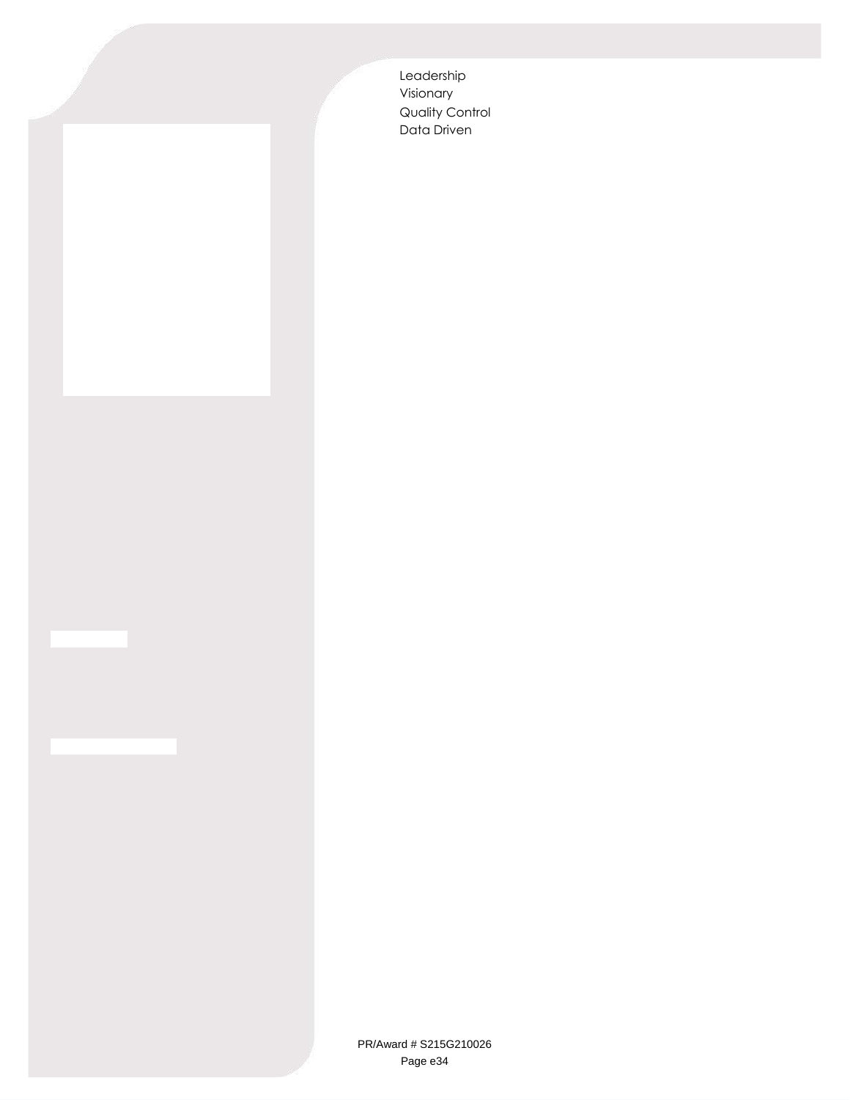Leadership Visionary Quality Control Data Driven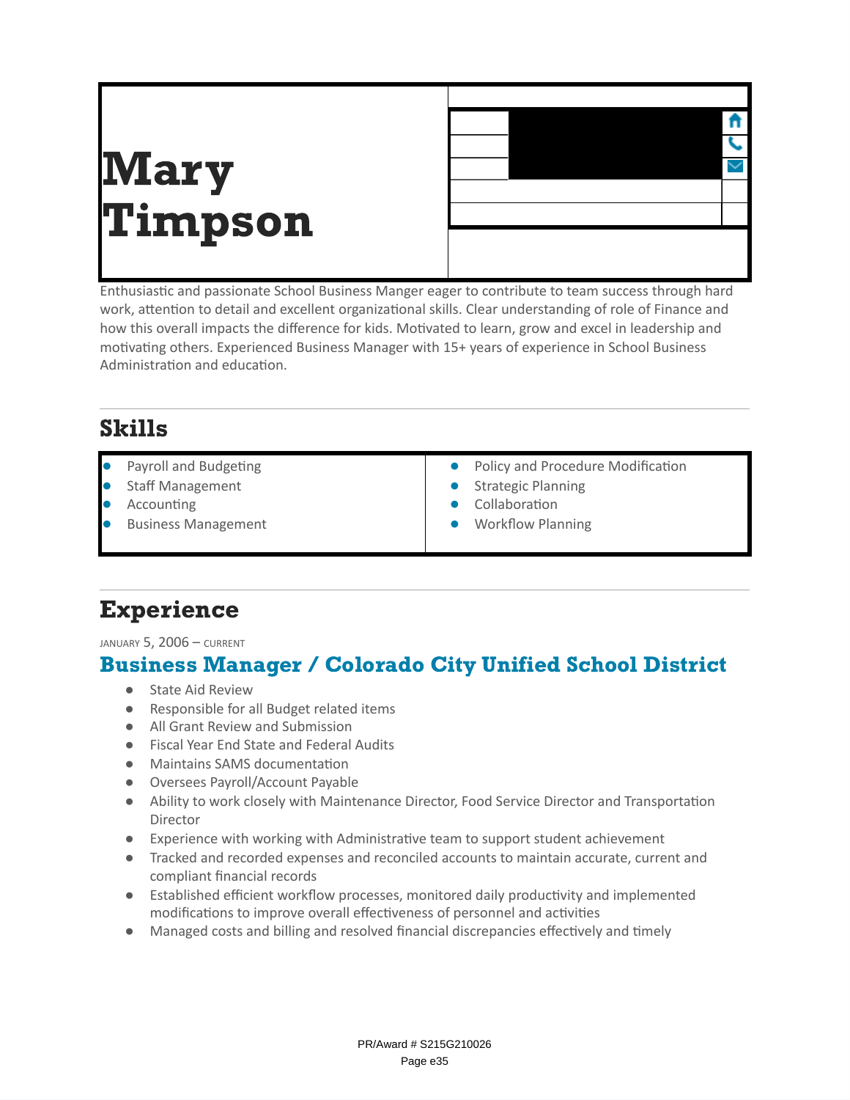# Mary Timpson

Enthusiastic and passionate School Business Manger eager to contribute to team success through hard work, attention to detail and excellent organizational skills. Clear understanding of role of Finance and how this overall impacts the difference for kids. Motivated to learn, grow and excel in leadership and motivating others. Experienced Business Manager with 15+ years of experience in School Business Administration and education.

# Skills

- Payroll and Budgeting
- **●** Staff Management
- **●** Accounting
- **●** Business Management
- **●** Policy and Procedure Modification
- **●** Strategic Planning
- **●** Collaboration
- **●** Workflow Planning

# Experience

JANUARY 5, 2006 - CURRENT

# Business Manager / Colorado City Unified School District

- State Aid Review
- Responsible for all Budget related items
- All Grant Review and Submission
- Fiscal Year Fnd State and Federal Audits
- Maintains SAMS documentation
- Oversees Payroll/Account Payable
- Ability to work closely with Maintenance Director, Food Service Director and Transportation Director
- Experience with working with Administrative team to support student achievement
- Tracked and recorded expenses and reconciled accounts to maintain accurate, current and compliant financial records
- Established efficient workflow processes, monitored daily productivity and implemented modifications to improve overall effectiveness of personnel and activities
- Managed costs and billing and resolved financial discrepancies effectively and timely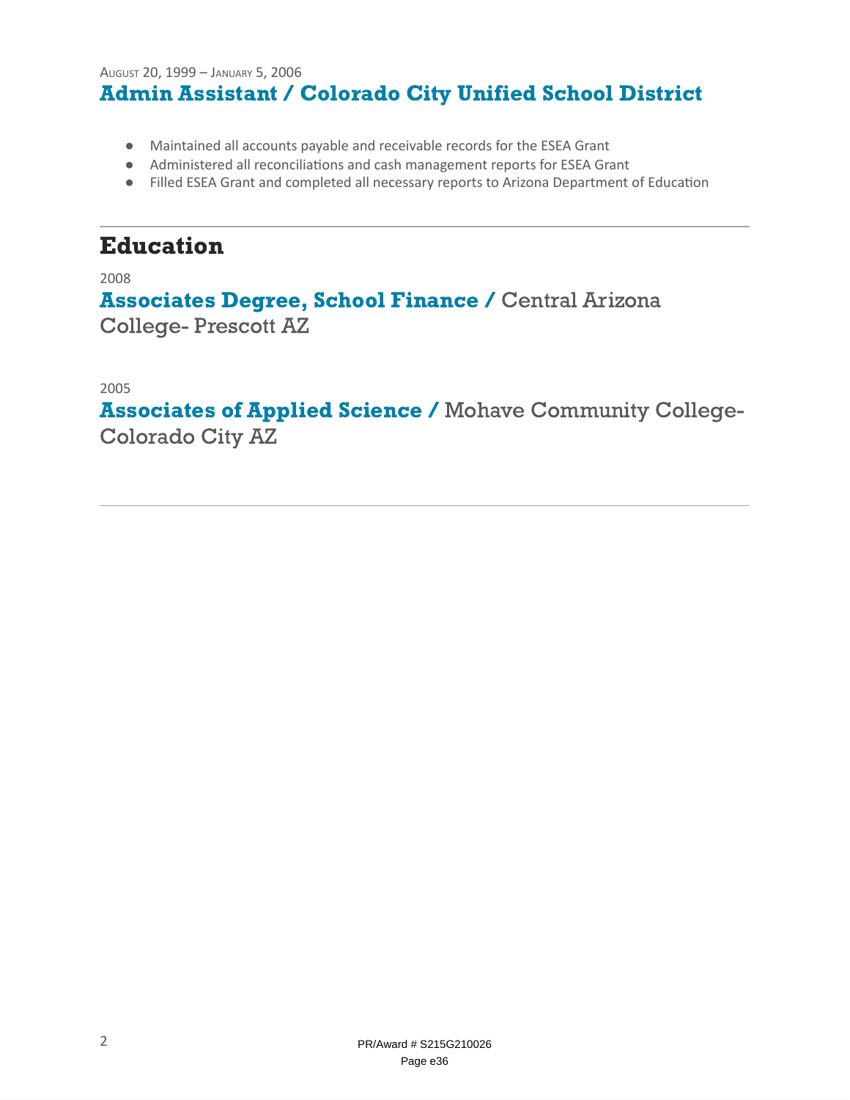# AUGUST 20, 1999 – JANUARY 5, 2006 Admin Assistant / Colorado City Unified School District

- Maintained all accounts payable and receivable records for the ESEA Grant
- Administered all reconciliations and cash management reports for ESEA Grant
- Filled ESEA Grant and completed all necessary reports to Arizona Department of Education

# Education

2008

# Associates Degree, School Finance / Central Arizona College- Prescott AZ

# 2005

Associates of Applied Science / Mohave Community College-Colorado City AZ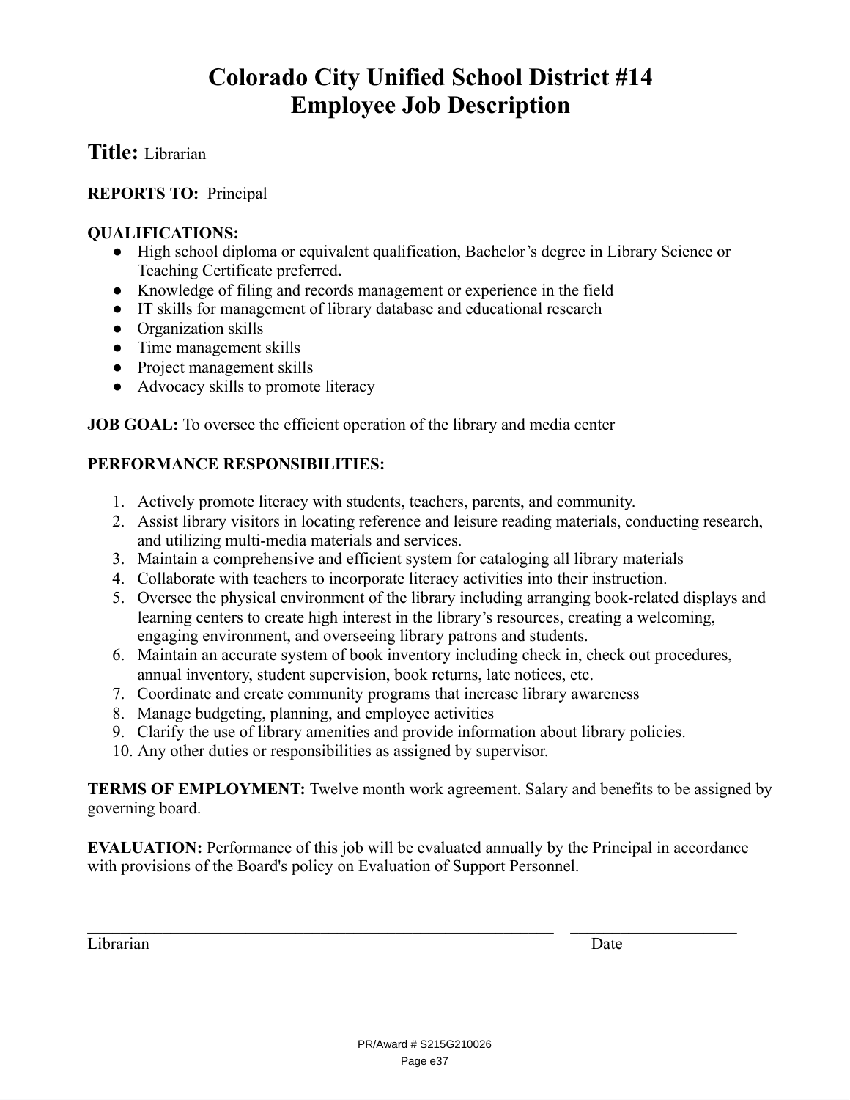# **Colorado City Unified School District #14 Employee Job Description**

**Title:** Librarian

# **REPORTS TO:** Principal

# **QUALIFICATIONS:**

- High school diploma or equivalent qualification, Bachelor's degree in Library Science or Teaching Certificate preferred**.**
- Knowledge of filing and records management or experience in the field
- IT skills for management of library database and educational research
- Organization skills
- Time management skills
- Project management skills
- Advocacy skills to promote literacy

**JOB GOAL:** To oversee the efficient operation of the library and media center

# **PERFORMANCE RESPONSIBILITIES:**

- 1. Actively promote literacy with students, teachers, parents, and community.
- 2. Assist library visitors in locating reference and leisure reading materials, conducting research, and utilizing multi-media materials and services.
- 3. Maintain a comprehensive and efficient system for cataloging all library materials
- 4. Collaborate with teachers to incorporate literacy activities into their instruction.
- 5. Oversee the physical environment of the library including arranging book-related displays and learning centers to create high interest in the library's resources, creating a welcoming, engaging environment, and overseeing library patrons and students.
- 6. Maintain an accurate system of book inventory including check in, check out procedures, annual inventory, student supervision, book returns, late notices, etc.
- 7. Coordinate and create community programs that increase library awareness
- 8. Manage budgeting, planning, and employee activities
- 9. Clarify the use of library amenities and provide information about library policies.
- 10. Any other duties or responsibilities as assigned by supervisor.

**TERMS OF EMPLOYMENT:** Twelve month work agreement. Salary and benefits to be assigned by governing board.

**EVALUATION:** Performance of this job will be evaluated annually by the Principal in accordance with provisions of the Board's policy on Evaluation of Support Personnel.

 $\mathcal{L}_\mathcal{L} = \mathcal{L}_\mathcal{L} = \mathcal{L}_\mathcal{L} = \mathcal{L}_\mathcal{L} = \mathcal{L}_\mathcal{L} = \mathcal{L}_\mathcal{L} = \mathcal{L}_\mathcal{L} = \mathcal{L}_\mathcal{L} = \mathcal{L}_\mathcal{L} = \mathcal{L}_\mathcal{L} = \mathcal{L}_\mathcal{L} = \mathcal{L}_\mathcal{L} = \mathcal{L}_\mathcal{L} = \mathcal{L}_\mathcal{L} = \mathcal{L}_\mathcal{L} = \mathcal{L}_\mathcal{L} = \mathcal{L}_\mathcal{L}$ 

Librarian Date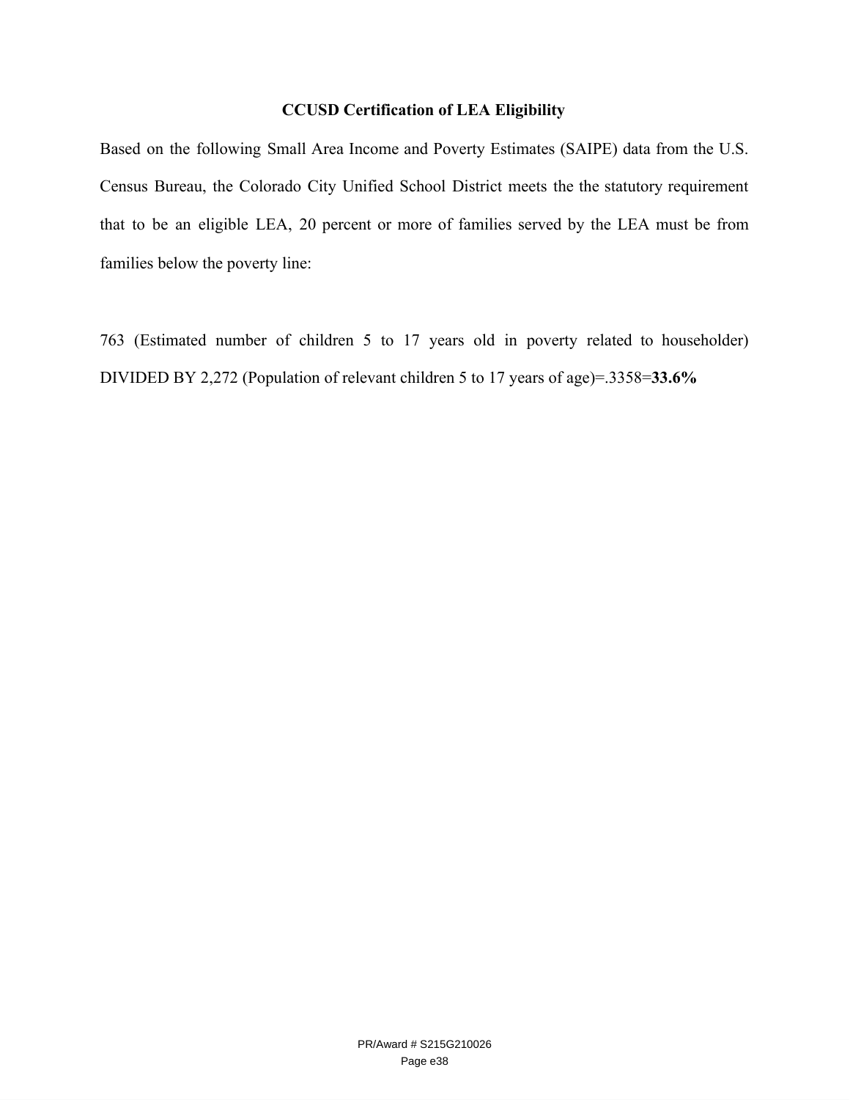## **CCUSD Certification of LEA Eligibility**

Based on the following Small Area Income and Poverty Estimates (SAIPE) data from the U.S. Census Bureau, the Colorado City Unified School District meets the the statutory requirement that to be an eligible LEA, 20 percent or more of families served by the LEA must be from families below the poverty line:

763 (Estimated number of children 5 to 17 years old in poverty related to householder) DIVIDED BY 2,272 (Population of relevant children 5 to 17 years of age)=.3358=**33.6%**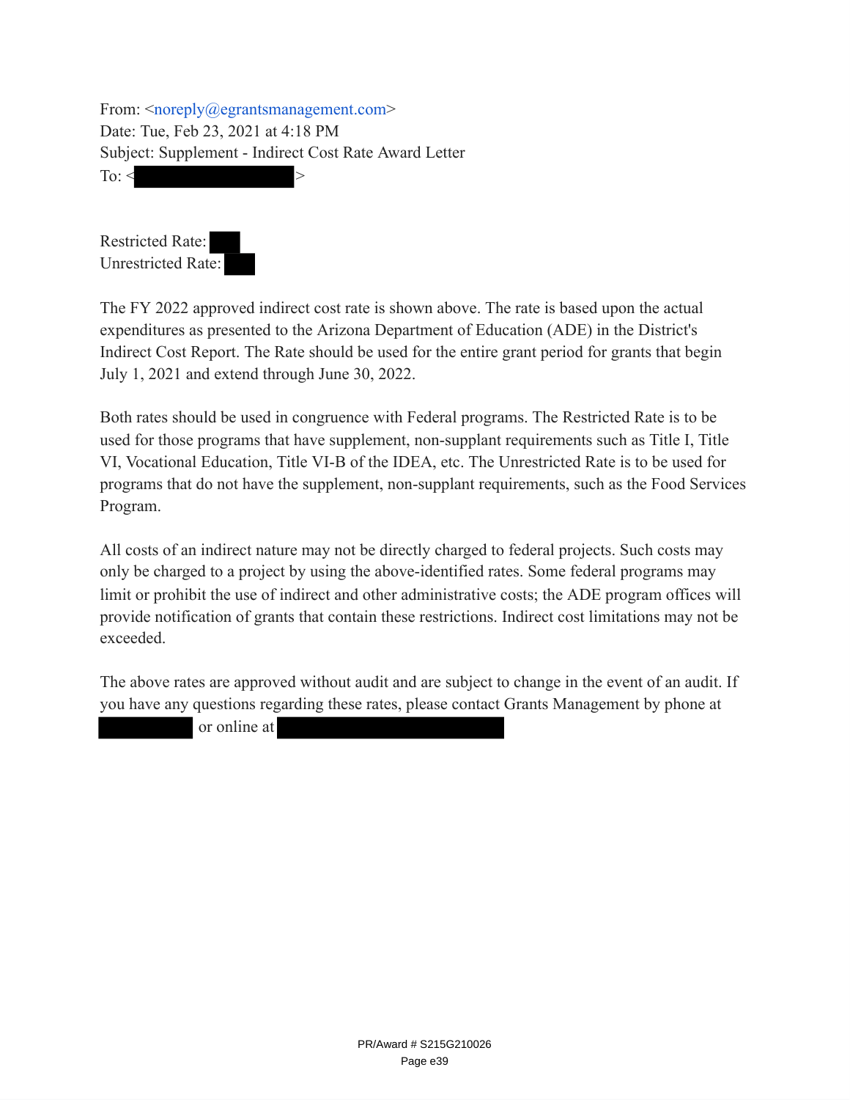From:  $\langle \text{moreply}(\partial)$ egrantsmanagement.com> Date: Tue, Feb 23, 2021 at 4:18 PM Subject: Supplement - Indirect Cost Rate Award Letter To:  $\langle \rangle$ 

Restricted Rate: Unrestricted Rate:

The FY 2022 approved indirect cost rate is shown above. The rate is based upon the actual expenditures as presented to the Arizona Department of Education (ADE) in the District's Indirect Cost Report. The Rate should be used for the entire grant period for grants that begin July 1, 2021 and extend through June 30, 2022.

Both rates should be used in congruence with Federal programs. The Restricted Rate is to be used for those programs that have supplement, non-supplant requirements such as Title I, Title VI, Vocational Education, Title VI-B of the IDEA, etc. The Unrestricted Rate is to be used for programs that do not have the supplement, non-supplant requirements, such as the Food Services Program.

All costs of an indirect nature may not be directly charged to federal projects. Such costs may only be charged to a project by using the above-identified rates. Some federal programs may limit or prohibit the use of indirect and other administrative costs; the ADE program offices will provide notification of grants that contain these restrictions. Indirect cost limitations may not be exceeded.

The above rates are approved without audit and are subject to change in the event of an audit. If you have any questions regarding these rates, please contact Grants Management by phone at

or online at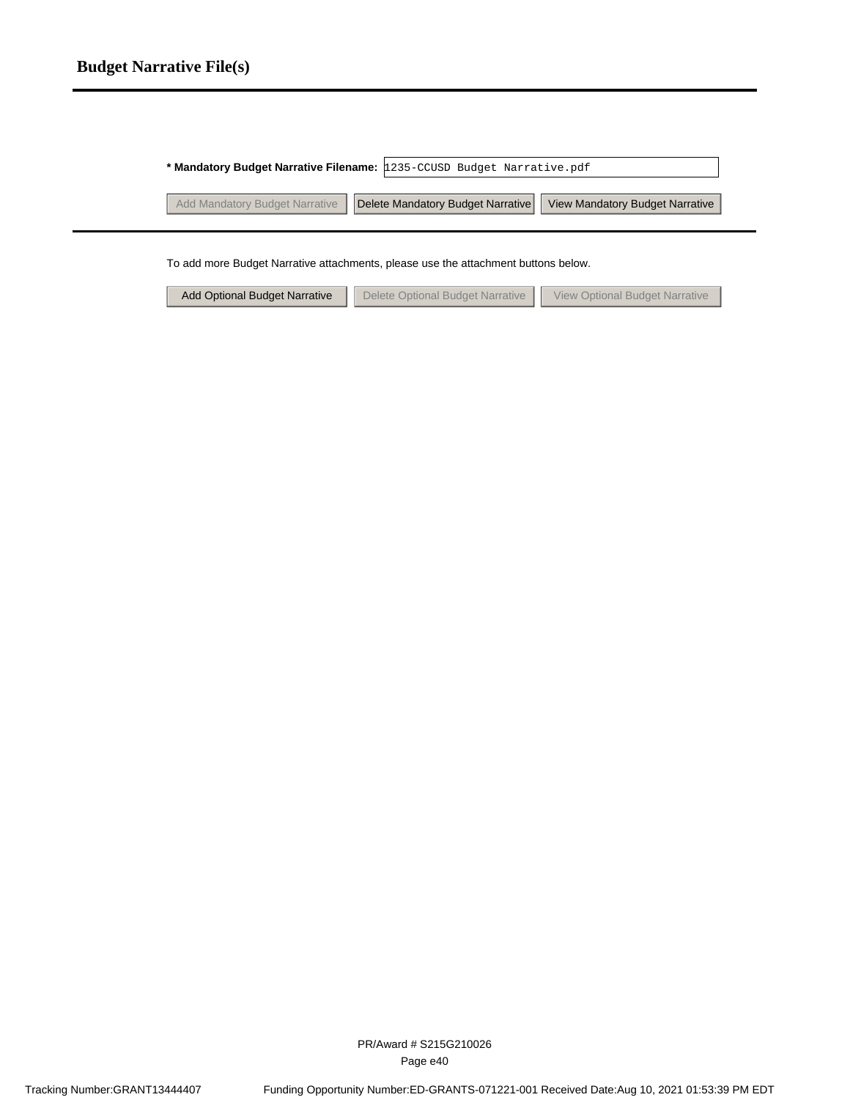# **Budget Narrative File(s)**

| * Mandatory Budget Narrative Filename: 1235-CCUSD Budget Narrative.pdf |                                                                     |
|------------------------------------------------------------------------|---------------------------------------------------------------------|
| Add Mandatory Budget Narrative                                         | Delete Mandatory Budget Narrative   View Mandatory Budget Narrative |
|                                                                        |                                                                     |

To add more Budget Narrative attachments, please use the attachment buttons below.

|  |  | Add Optional Budget Narrative   Delete Optional Budget Narrative   View Optional Budget Narrative |  |  |
|--|--|---------------------------------------------------------------------------------------------------|--|--|
|--|--|---------------------------------------------------------------------------------------------------|--|--|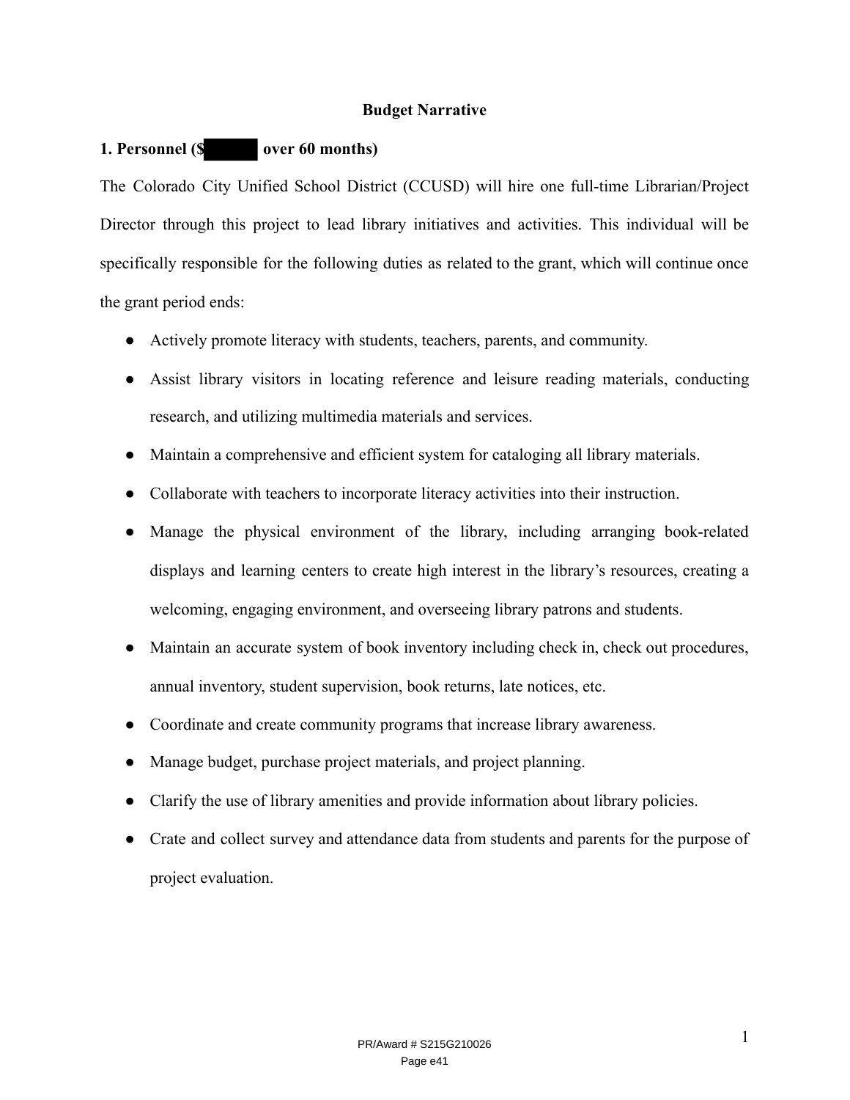#### **Budget Narrative**

## **1. Personnel (\$ over 60 months)**

The Colorado City Unified School District (CCUSD) will hire one full-time Librarian/Project Director through this project to lead library initiatives and activities. This individual will be specifically responsible for the following duties as related to the grant, which will continue once the grant period ends:

- Actively promote literacy with students, teachers, parents, and community.
- Assist library visitors in locating reference and leisure reading materials, conducting research, and utilizing multimedia materials and services.
- Maintain a comprehensive and efficient system for cataloging all library materials.
- Collaborate with teachers to incorporate literacy activities into their instruction.
- Manage the physical environment of the library, including arranging book-related displays and learning centers to create high interest in the library's resources, creating a welcoming, engaging environment, and overseeing library patrons and students.
- Maintain an accurate system of book inventory including check in, check out procedures, annual inventory, student supervision, book returns, late notices, etc.
- Coordinate and create community programs that increase library awareness.
- Manage budget, purchase project materials, and project planning.
- Clarify the use of library amenities and provide information about library policies.
- Crate and collect survey and attendance data from students and parents for the purpose of project evaluation.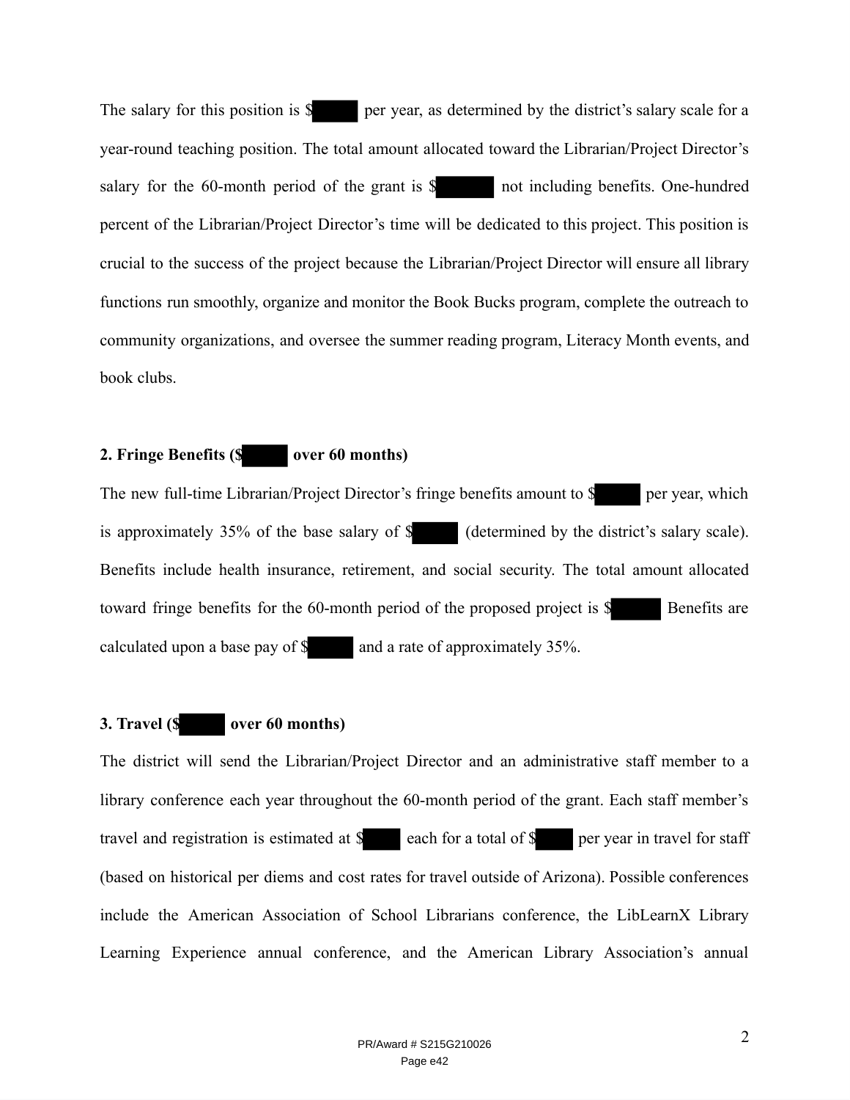The salary for this position is \$ per year, as determined by the district's salary scale for a year-round teaching position. The total amount allocated toward the Librarian/Project Director's salary for the 60-month period of the grant is \$ not including benefits. One-hundred percent of the Librarian/Project Director's time will be dedicated to this project. This position is crucial to the success of the project because the Librarian/Project Director will ensure all library functions run smoothly, organize and monitor the Book Bucks program, complete the outreach to community organizations, and oversee the summer reading program, Literacy Month events, and book clubs.

#### **2. Fringe Benefits (\$ over 60 months)**

The new full-time Librarian/Project Director's fringe benefits amount to \$ per year, which is approximately 35% of the base salary of \$ (determined by the district's salary scale). Benefits include health insurance, retirement, and social security. The total amount allocated toward fringe benefits for the 60-month period of the proposed project is \$ Benefits are calculated upon a base pay of \$ and a rate of approximately 35%.

#### **3. Travel (\$ over 60 months)**

The district will send the Librarian/Project Director and an administrative staff member to a library conference each year throughout the 60-month period of the grant. Each staff member's travel and registration is estimated at \$ each for a total of \$ per year in travel for staff (based on historical per diems and cost rates for travel outside of Arizona). Possible conferences include the American Association of School Librarians conference, the LibLearnX Library Learning Experience annual conference, and the American Library Association's annual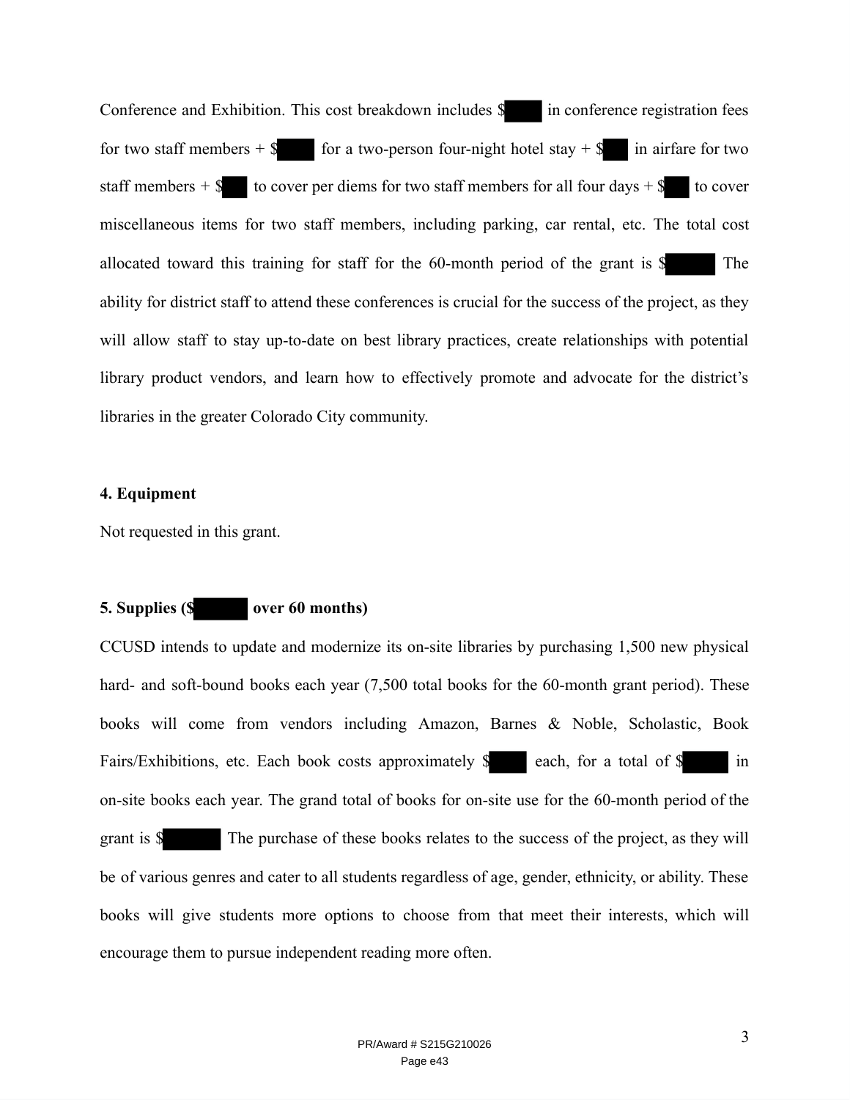Conference and Exhibition. This cost breakdown includes \$ in conference registration fees for two staff members  $+$  \$ for a two-person four-night hotel stay  $+$  \$ in airfare for two staff members  $+$  \$ to cover per diems for two staff members for all four days  $+$  \$ to cover miscellaneous items for two staff members, including parking, car rental, etc. The total cost allocated toward this training for staff for the 60-month period of the grant is \$ The ability for district staff to attend these conferences is crucial for the success of the project, as they will allow staff to stay up-to-date on best library practices, create relationships with potential library product vendors, and learn how to effectively promote and advocate for the district's libraries in the greater Colorado City community.

#### **4. Equipment**

Not requested in this grant.

## **5. Supplies (\$ over 60 months)**

CCUSD intends to update and modernize its on-site libraries by purchasing 1,500 new physical hard- and soft-bound books each year (7,500 total books for the 60-month grant period). These books will come from vendors including Amazon, Barnes & Noble, Scholastic, Book Fairs/Exhibitions, etc. Each book costs approximately \$ each, for a total of \$ in on-site books each year. The grand total of books for on-site use for the 60-month period of the grant is \$ The purchase of these books relates to the success of the project, as they will be of various genres and cater to all students regardless of age, gender, ethnicity, or ability. These books will give students more options to choose from that meet their interests, which will encourage them to pursue independent reading more often.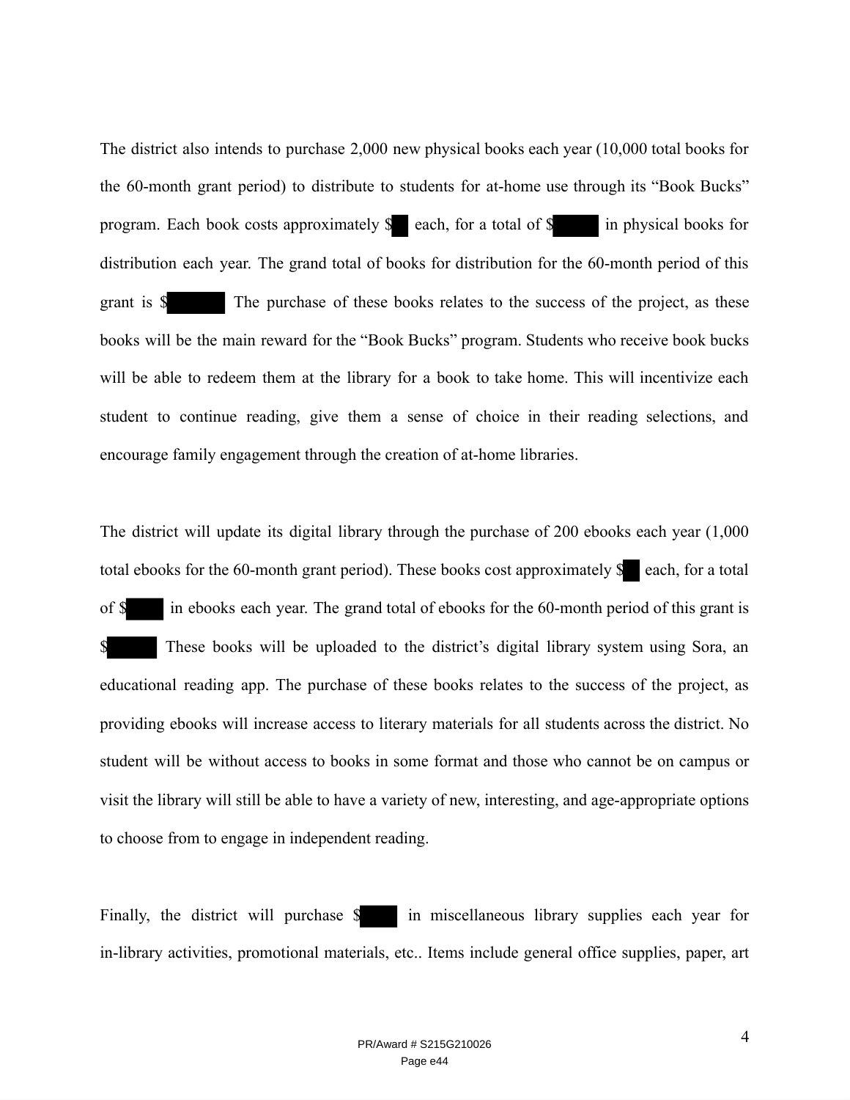The district also intends to purchase 2,000 new physical books each year (10,000 total books for the 60-month grant period) to distribute to students for at-home use through its "Book Bucks" program. Each book costs approximately \$ each, for a total of \$ in physical books for distribution each year. The grand total of books for distribution for the 60-month period of this grant is \$ The purchase of these books relates to the success of the project, as these books will be the main reward for the "Book Bucks" program. Students who receive book bucks will be able to redeem them at the library for a book to take home. This will incentivize each student to continue reading, give them a sense of choice in their reading selections, and encourage family engagement through the creation of at-home libraries.

The district will update its digital library through the purchase of 200 ebooks each year (1,000 total ebooks for the 60-month grant period). These books cost approximately \$ each, for a total of \$ in ebooks each year. The grand total of ebooks for the 60-month period of this grant is These books will be uploaded to the district's digital library system using Sora, an educational reading app. The purchase of these books relates to the success of the project, as providing ebooks will increase access to literary materials for all students across the district. No student will be without access to books in some format and those who cannot be on campus or visit the library will still be able to have a variety of new, interesting, and age-appropriate options to choose from to engage in independent reading.

Finally, the district will purchase  $\frac{1}{2}$  in miscellaneous library supplies each year for in-library activities, promotional materials, etc.. Items include general office supplies, paper, art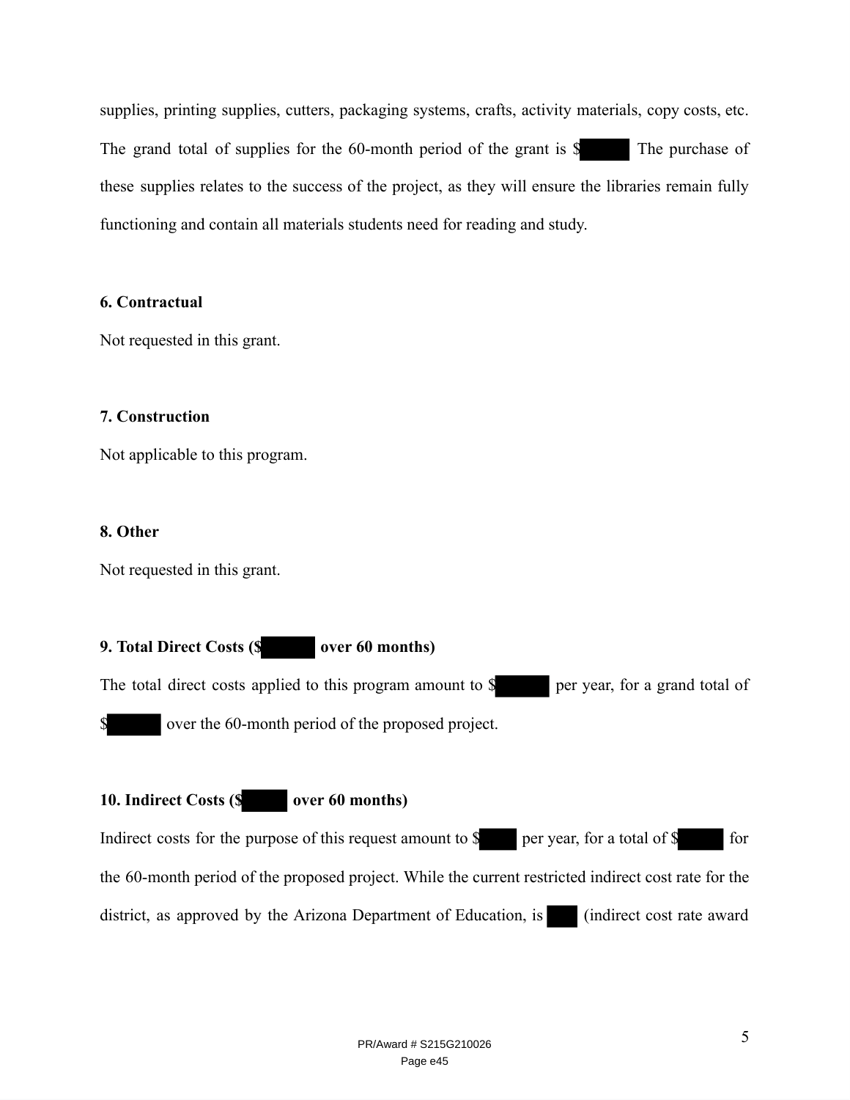supplies, printing supplies, cutters, packaging systems, crafts, activity materials, copy costs, etc. The grand total of supplies for the 60-month period of the grant is \$ The purchase of these supplies relates to the success of the project, as they will ensure the libraries remain fully functioning and contain all materials students need for reading and study.

## **6. Contractual**

Not requested in this grant.

## **7. Construction**

Not applicable to this program.

## **8. Other**

Not requested in this grant.

# **9. Total Direct Costs (\$ over 60 months)**

The total direct costs applied to this program amount to \$ per year, for a grand total of over the 60-month period of the proposed project.

# **10. Indirect Costs (\$ over 60 months)**

Indirect costs for the purpose of this request amount to  $\$\$  per year, for a total of  $\$\$  for the 60-month period of the proposed project. While the current restricted indirect cost rate for the district, as approved by the Arizona Department of Education, is (indirect cost rate award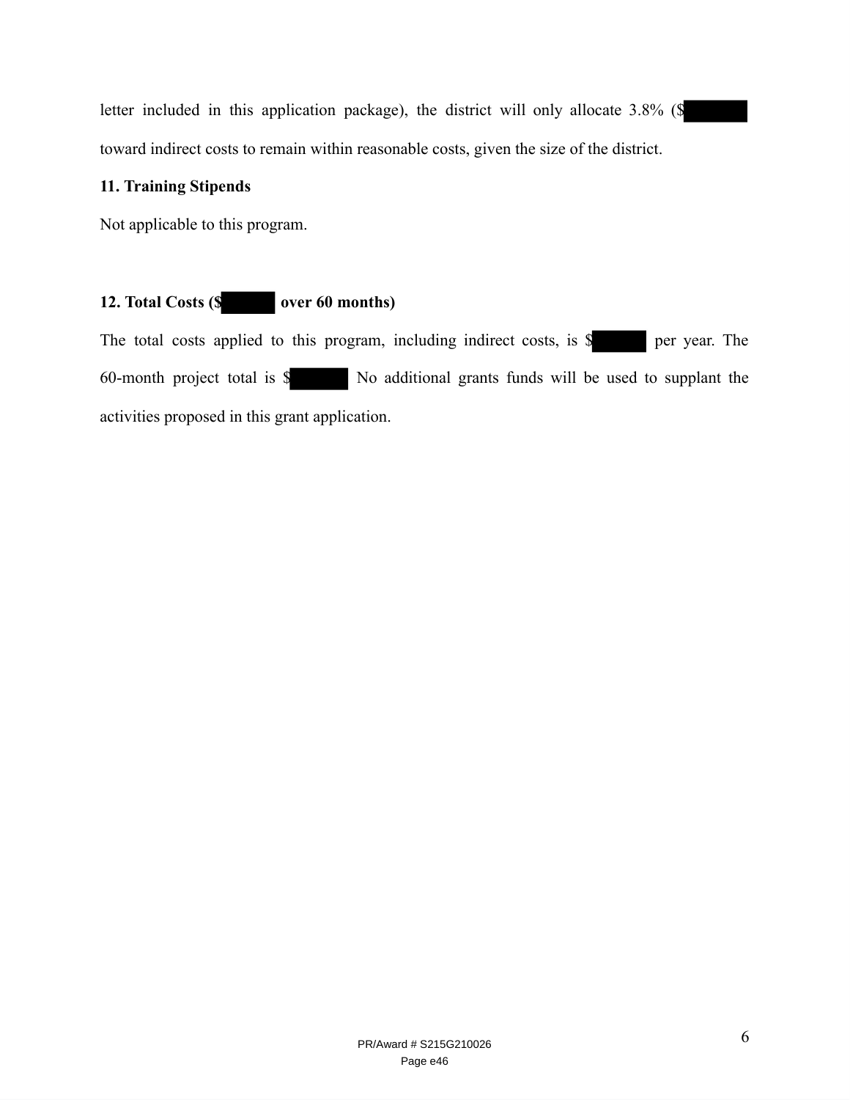letter included in this application package), the district will only allocate 3.8% (\$ toward indirect costs to remain within reasonable costs, given the size of the district.

# **11. Training Stipends**

Not applicable to this program.

# **12. Total Costs (\$ over 60 months)**

The total costs applied to this program, including indirect costs, is \$ per year. The 60-month project total is \$ No additional grants funds will be used to supplant the activities proposed in this grant application.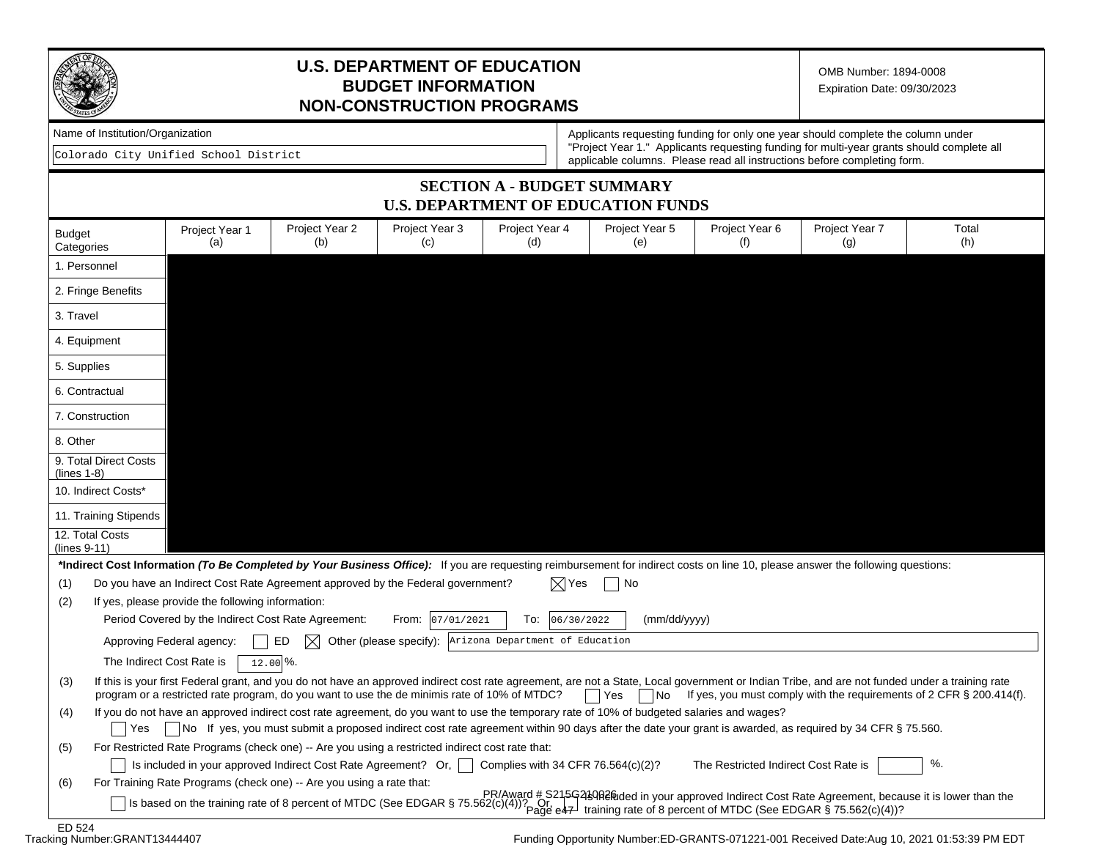

# **U.S. DEPARTMENT OF EDUCATION BUDGET INFORMATION NON-CONSTRUCTION PROGRAMS**

OMB Number: 1894-0008 Expiration Date: 09/30/2023

|  | Name of Institution/Organization |
|--|----------------------------------|
|--|----------------------------------|

Colorado City Unified School District

Applicants requesting funding for only one year should complete the column under "Project Year 1." Applicants requesting funding for multi-year grants should complete all applicable columns. Please read all instructions before completing form.

## **SECTION A - BUDGET SUMMARY U.S. DEPARTMENT OF EDUCATION FUNDS**

| <b>Budget</b><br>Categories            | Project Year 1<br>(a)                                                | Project Year 2<br>(b) | Project Year 3<br>(c)                                                                           | Project Year 4<br>(d)                                                                                                                                                                                                                                                                                | Project Year 5<br>(e)                                                                  | Project Year 6<br>(f)                | Project Year 7<br>(g) | Total<br>(h)                                                                                           |
|----------------------------------------|----------------------------------------------------------------------|-----------------------|-------------------------------------------------------------------------------------------------|------------------------------------------------------------------------------------------------------------------------------------------------------------------------------------------------------------------------------------------------------------------------------------------------------|----------------------------------------------------------------------------------------|--------------------------------------|-----------------------|--------------------------------------------------------------------------------------------------------|
| 1. Personnel                           |                                                                      |                       |                                                                                                 |                                                                                                                                                                                                                                                                                                      |                                                                                        |                                      |                       |                                                                                                        |
| 2. Fringe Benefits                     |                                                                      |                       |                                                                                                 |                                                                                                                                                                                                                                                                                                      |                                                                                        |                                      |                       |                                                                                                        |
| 3. Travel                              |                                                                      |                       |                                                                                                 |                                                                                                                                                                                                                                                                                                      |                                                                                        |                                      |                       |                                                                                                        |
| 4. Equipment                           |                                                                      |                       |                                                                                                 |                                                                                                                                                                                                                                                                                                      |                                                                                        |                                      |                       |                                                                                                        |
| 5. Supplies                            |                                                                      |                       |                                                                                                 |                                                                                                                                                                                                                                                                                                      |                                                                                        |                                      |                       |                                                                                                        |
| 6. Contractual                         |                                                                      |                       |                                                                                                 |                                                                                                                                                                                                                                                                                                      |                                                                                        |                                      |                       |                                                                                                        |
| 7. Construction                        |                                                                      |                       |                                                                                                 |                                                                                                                                                                                                                                                                                                      |                                                                                        |                                      |                       |                                                                                                        |
| 8. Other                               |                                                                      |                       |                                                                                                 |                                                                                                                                                                                                                                                                                                      |                                                                                        |                                      |                       |                                                                                                        |
| 9. Total Direct Costs<br>$(lines 1-8)$ |                                                                      |                       |                                                                                                 |                                                                                                                                                                                                                                                                                                      |                                                                                        |                                      |                       |                                                                                                        |
| 10. Indirect Costs*                    |                                                                      |                       |                                                                                                 |                                                                                                                                                                                                                                                                                                      |                                                                                        |                                      |                       |                                                                                                        |
| 11. Training Stipends                  |                                                                      |                       |                                                                                                 |                                                                                                                                                                                                                                                                                                      |                                                                                        |                                      |                       |                                                                                                        |
| 12. Total Costs<br>$(lines 9-11)$      |                                                                      |                       |                                                                                                 |                                                                                                                                                                                                                                                                                                      |                                                                                        |                                      |                       |                                                                                                        |
|                                        |                                                                      |                       |                                                                                                 | *Indirect Cost Information (To Be Completed by Your Business Office): If you are requesting reimbursement for indirect costs on line 10, please answer the following questions:                                                                                                                      |                                                                                        |                                      |                       |                                                                                                        |
| (1)                                    |                                                                      |                       | Do you have an Indirect Cost Rate Agreement approved by the Federal government?                 | $\boxtimes$ Yes                                                                                                                                                                                                                                                                                      | <b>No</b>                                                                              |                                      |                       |                                                                                                        |
| (2)                                    | If yes, please provide the following information:                    |                       |                                                                                                 |                                                                                                                                                                                                                                                                                                      |                                                                                        |                                      |                       |                                                                                                        |
|                                        | Period Covered by the Indirect Cost Rate Agreement:                  |                       | From: 07/01/2021                                                                                | 06/30/2022<br>To:                                                                                                                                                                                                                                                                                    | (mm/dd/yyyy)                                                                           |                                      |                       |                                                                                                        |
|                                        | Approving Federal agency:                                            | ED<br>IХI             |                                                                                                 | Other (please specify): Arizona Department of Education                                                                                                                                                                                                                                              |                                                                                        |                                      |                       |                                                                                                        |
|                                        | The Indirect Cost Rate is                                            | $12.00\%$ .           |                                                                                                 |                                                                                                                                                                                                                                                                                                      |                                                                                        |                                      |                       |                                                                                                        |
| (3)                                    |                                                                      |                       | program or a restricted rate program, do you want to use the de minimis rate of 10% of MTDC?    | If this is your first Federal grant, and you do not have an approved indirect cost rate agreement, are not a State, Local government or Indian Tribe, and are not funded under a training rate                                                                                                       | 7 <sub>No</sub><br>Yes                                                                 |                                      |                       | If yes, you must comply with the requirements of 2 CFR § 200.414(f).                                   |
| (4)                                    |                                                                      |                       |                                                                                                 | If you do not have an approved indirect cost rate agreement, do you want to use the temporary rate of 10% of budgeted salaries and wages?<br>No If yes, you must submit a proposed indirect cost rate agreement within 90 days after the date your grant is awarded, as required by 34 CFR § 75.560. |                                                                                        |                                      |                       |                                                                                                        |
| l Yes                                  |                                                                      |                       |                                                                                                 |                                                                                                                                                                                                                                                                                                      |                                                                                        |                                      |                       |                                                                                                        |
| (5)                                    |                                                                      |                       | For Restricted Rate Programs (check one) -- Are you using a restricted indirect cost rate that: | Is included in your approved Indirect Cost Rate Agreement? Or, Complies with 34 CFR 76.564(c)(2)?                                                                                                                                                                                                    |                                                                                        | The Restricted Indirect Cost Rate is |                       | %                                                                                                      |
| (6)                                    | For Training Rate Programs (check one) -- Are you using a rate that: |                       |                                                                                                 |                                                                                                                                                                                                                                                                                                      |                                                                                        |                                      |                       |                                                                                                        |
|                                        |                                                                      |                       | Is based on the training rate of 8 percent of MTDC (See EDGAR § 75.562(c)(4))                   |                                                                                                                                                                                                                                                                                                      | Page $e^{47}$ training rate of 8 percent of MTDC (See EDGAR $\tilde{S}$ 75.562(c)(4))? |                                      |                       | PR/Award # S215G219Refeded in your approved Indirect Cost Rate Agreement, because it is lower than the |
| $FD$ 524                               |                                                                      |                       |                                                                                                 |                                                                                                                                                                                                                                                                                                      |                                                                                        |                                      |                       |                                                                                                        |

Funding Opportunity Number:ED-GRANTS-071221-001 Received Date:Aug 10, 2021 01:53:39 PM EDT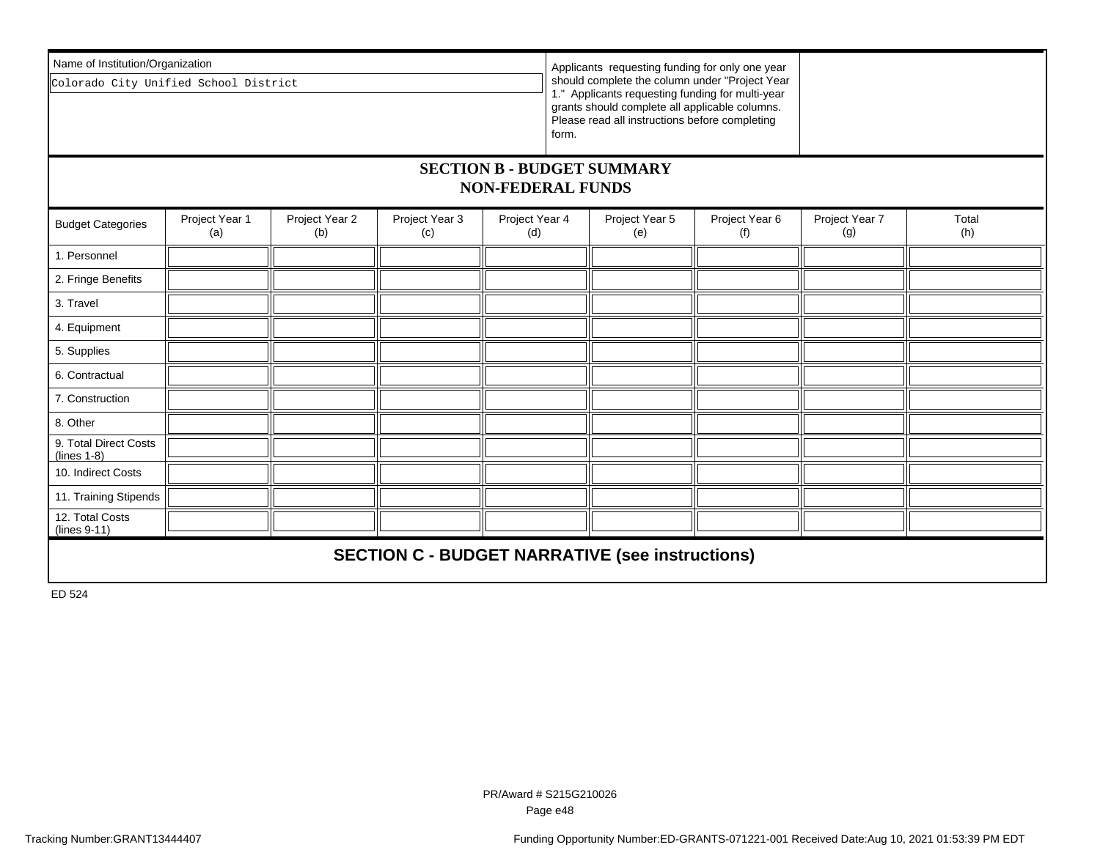| Name of Institution/Organization                                                                                             |  |  |  |                                                                                                                                                                                                                                                                    |  |                                                        |                       |                       |              |
|------------------------------------------------------------------------------------------------------------------------------|--|--|--|--------------------------------------------------------------------------------------------------------------------------------------------------------------------------------------------------------------------------------------------------------------------|--|--------------------------------------------------------|-----------------------|-----------------------|--------------|
| Colorado City Unified School District                                                                                        |  |  |  | Applicants requesting funding for only one year<br>should complete the column under "Project Year<br>1." Applicants requesting funding for multi-year<br>grants should complete all applicable columns.<br>Please read all instructions before completing<br>form. |  |                                                        |                       |                       |              |
| <b>SECTION B - BUDGET SUMMARY</b><br><b>NON-FEDERAL FUNDS</b>                                                                |  |  |  |                                                                                                                                                                                                                                                                    |  |                                                        |                       |                       |              |
| Project Year 1<br>Project Year 2<br>Project Year 3<br>Project Year 4<br><b>Budget Categories</b><br>(a)<br>(b)<br>(c)<br>(d) |  |  |  |                                                                                                                                                                                                                                                                    |  | Project Year 5<br>(e)                                  | Project Year 6<br>(f) | Project Year 7<br>(g) | Total<br>(h) |
| 1. Personnel                                                                                                                 |  |  |  |                                                                                                                                                                                                                                                                    |  |                                                        |                       |                       |              |
| 2. Fringe Benefits                                                                                                           |  |  |  |                                                                                                                                                                                                                                                                    |  |                                                        |                       |                       |              |
| 3. Travel                                                                                                                    |  |  |  |                                                                                                                                                                                                                                                                    |  |                                                        |                       |                       |              |
| 4. Equipment                                                                                                                 |  |  |  |                                                                                                                                                                                                                                                                    |  |                                                        |                       |                       |              |
| 5. Supplies                                                                                                                  |  |  |  |                                                                                                                                                                                                                                                                    |  |                                                        |                       |                       |              |
| 6. Contractual                                                                                                               |  |  |  |                                                                                                                                                                                                                                                                    |  |                                                        |                       |                       |              |
| 7. Construction                                                                                                              |  |  |  |                                                                                                                                                                                                                                                                    |  |                                                        |                       |                       |              |
| 8. Other                                                                                                                     |  |  |  |                                                                                                                                                                                                                                                                    |  |                                                        |                       |                       |              |
| 9. Total Direct Costs<br>$(lines 1-8)$                                                                                       |  |  |  |                                                                                                                                                                                                                                                                    |  |                                                        |                       |                       |              |
| 10. Indirect Costs                                                                                                           |  |  |  |                                                                                                                                                                                                                                                                    |  |                                                        |                       |                       |              |
| 11. Training Stipends                                                                                                        |  |  |  |                                                                                                                                                                                                                                                                    |  |                                                        |                       |                       |              |
| 12. Total Costs<br>(lines 9-11)                                                                                              |  |  |  |                                                                                                                                                                                                                                                                    |  |                                                        |                       |                       |              |
|                                                                                                                              |  |  |  |                                                                                                                                                                                                                                                                    |  | <b>SECTION C - BUDGET NARRATIVE (see instructions)</b> |                       |                       |              |

ED 524